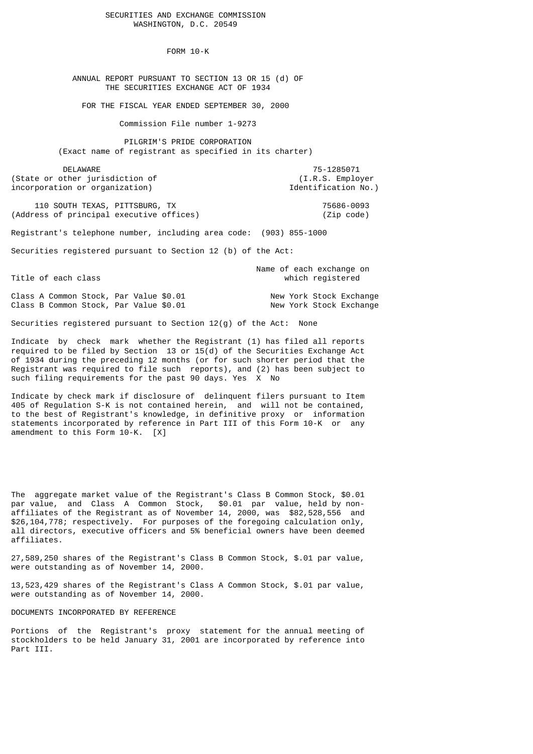SECURITIES AND EXCHANGE COMMISSION WASHINGTON, D.C. 20549

FORM 10-K

 ANNUAL REPORT PURSUANT TO SECTION 13 OR 15 (d) OF THE SECURITIES EXCHANGE ACT OF 1934

FOR THE FISCAL YEAR ENDED SEPTEMBER 30, 2000

Commission File number 1-9273

 PILGRIM'S PRIDE CORPORATION (Exact name of registrant as specified in its charter)

 DELAWARE 75-1285071 (State or other jurisdiction of (I.R.S. Employer incorporation or organization) and the set of the set of the set of the set of the set of the set of the set of the set of the set of the set of the set of the set of the set of the set of the set of the set of the set of

 110 SOUTH TEXAS, PITTSBURG, TX 75686-0093 (Address of principal executive offices) (Zip code)

Registrant's telephone number, including area code: (903) 855-1000

Securities registered pursuant to Section 12 (b) of the Act:

 Name of each exchange on Title of each class which registered

Class A Common Stock, Par Value \$0.01 New York Stock Exchange Class B Common Stock, Par Value \$0.01 New York Stock Exchange

Securities registered pursuant to Section 12(g) of the Act: None

Indicate by check mark whether the Registrant (1) has filed all reports required to be filed by Section 13 or 15(d) of the Securities Exchange Act of 1934 during the preceding 12 months (or for such shorter period that the Registrant was required to file such reports), and (2) has been subject to such filing requirements for the past 90 days. Yes X No

Indicate by check mark if disclosure of delinquent filers pursuant to Item 405 of Regulation S-K is not contained herein, and will not be contained, to the best of Registrant's knowledge, in definitive proxy or information statements incorporated by reference in Part III of this Form 10-K or any amendment to this Form 10-K. [X]

The aggregate market value of the Registrant's Class B Common Stock, \$0.01 par value, and Class A Common Stock, \$0.01 par value, held by nonaffiliates of the Registrant as of November 14, 2000, was \$82,528,556 and \$26,104,778; respectively. For purposes of the foregoing calculation only, all directors, executive officers and 5% beneficial owners have been deemed affiliates.

27,589,250 shares of the Registrant's Class B Common Stock, \$.01 par value, were outstanding as of November 14, 2000.

13,523,429 shares of the Registrant's Class A Common Stock, \$.01 par value, were outstanding as of November 14, 2000.

DOCUMENTS INCORPORATED BY REFERENCE

Portions of the Registrant's proxy statement for the annual meeting of stockholders to be held January 31, 2001 are incorporated by reference into Part III.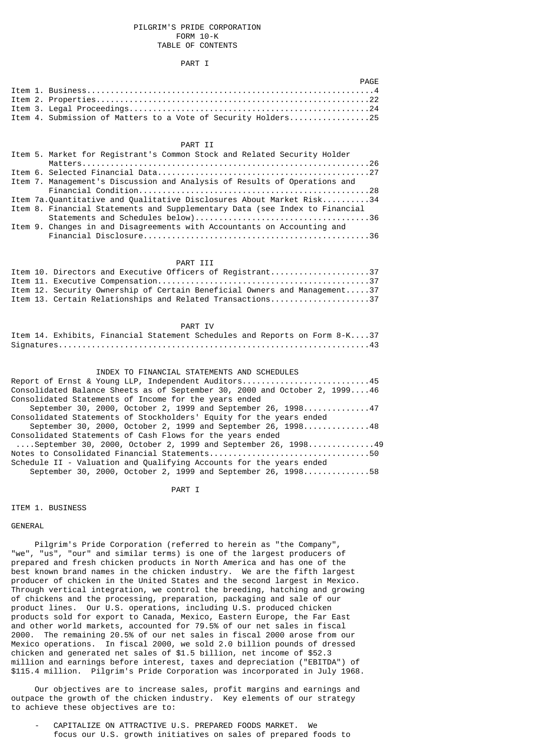### PILGRIM'S PRIDE CORPORATION FORM 10-K TABLE OF CONTENTS

### PART I

|  | PAGF                                                          |  |
|--|---------------------------------------------------------------|--|
|  |                                                               |  |
|  |                                                               |  |
|  |                                                               |  |
|  | Item 4. Submission of Matters to a Vote of Security Holders25 |  |

# PART II

|  | Item 5. Market for Registrant's Common Stock and Related Security Holder    |
|--|-----------------------------------------------------------------------------|
|  |                                                                             |
|  |                                                                             |
|  | Item 7. Management's Discussion and Analysis of Results of Operations and   |
|  |                                                                             |
|  | Item 7a.Ouantitative and Oualitative Disclosures About Market Risk34        |
|  | Item 8. Financial Statements and Supplementary Data (see Index to Financial |
|  |                                                                             |
|  | Item 9. Changes in and Disagreements with Accountants on Accounting and     |
|  |                                                                             |

#### PART III

|  | Item 10. Directors and Executive Officers of Registrant37                 |
|--|---------------------------------------------------------------------------|
|  |                                                                           |
|  | Item 12. Security Ownership of Certain Beneficial Owners and Management37 |
|  | Item 13. Certain Relationships and Related Transactions37                 |

#### PART IV

|  |  | Item 14. Exhibits, Financial Statement Schedules and Reports on Form 8-K37 |  |  |  |
|--|--|----------------------------------------------------------------------------|--|--|--|
|  |  |                                                                            |  |  |  |

#### INDEX TO FINANCIAL STATEMENTS AND SCHEDULES

| Report of Ernst & Young LLP, Independent Auditors45                        |
|----------------------------------------------------------------------------|
| Consolidated Balance Sheets as of September 30, 2000 and October 2, 199946 |
| Consolidated Statements of Income for the years ended                      |
| September 30, 2000, October 2, 1999 and September 26, 199847               |
| Consolidated Statements of Stockholders' Equity for the years ended        |
| September 30, 2000, October 2, 1999 and September 26, 199848               |
| Consolidated Statements of Cash Flows for the years ended                  |
| $\ldots$ .September 30, 2000, October 2, 1999 and September 26, 199849     |
|                                                                            |
| Schedule II - Valuation and Qualifying Accounts for the years ended        |
| September 30, 2000, October 2, 1999 and September 26, 199858               |

#### PART I

ITEM 1. BUSINESS

GENERAL

 Pilgrim's Pride Corporation (referred to herein as "the Company", "we", "us", "our" and similar terms) is one of the largest producers of prepared and fresh chicken products in North America and has one of the best known brand names in the chicken industry. We are the fifth largest producer of chicken in the United States and the second largest in Mexico. Through vertical integration, we control the breeding, hatching and growing of chickens and the processing, preparation, packaging and sale of our product lines. Our U.S. operations, including U.S. produced chicken products sold for export to Canada, Mexico, Eastern Europe, the Far East and other world markets, accounted for 79.5% of our net sales in fiscal 2000. The remaining 20.5% of our net sales in fiscal 2000 arose from our Mexico operations. In fiscal 2000, we sold 2.0 billion pounds of dressed chicken and generated net sales of \$1.5 billion, net income of \$52.3 million and earnings before interest, taxes and depreciation ("EBITDA") of \$115.4 million. Pilgrim's Pride Corporation was incorporated in July 1968.

 Our objectives are to increase sales, profit margins and earnings and outpace the growth of the chicken industry. Key elements of our strategy to achieve these objectives are to:

CAPITALIZE ON ATTRACTIVE U.S. PREPARED FOODS MARKET. We focus our U.S. growth initiatives on sales of prepared foods to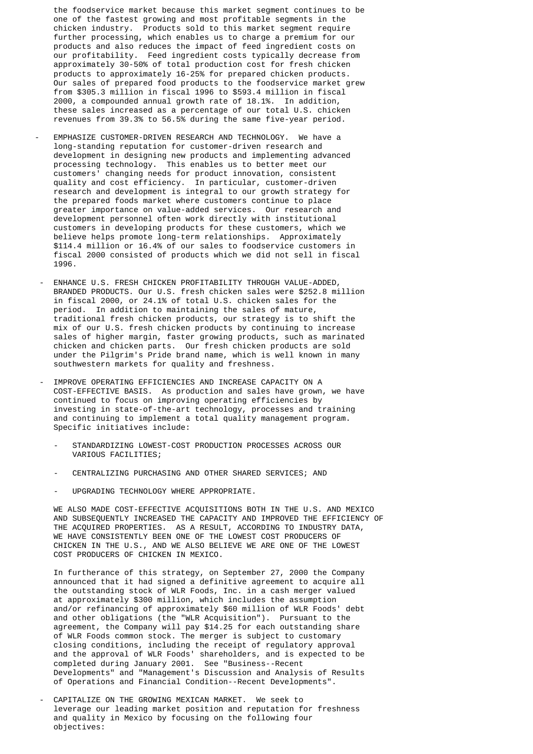the foodservice market because this market segment continues to be one of the fastest growing and most profitable segments in the chicken industry. Products sold to this market segment require further processing, which enables us to charge a premium for our products and also reduces the impact of feed ingredient costs on our profitability. Feed ingredient costs typically decrease from approximately 30-50% of total production cost for fresh chicken products to approximately 16-25% for prepared chicken products. Our sales of prepared food products to the foodservice market grew from \$305.3 million in fiscal 1996 to \$593.4 million in fiscal 2000, a compounded annual growth rate of 18.1%. In addition, these sales increased as a percentage of our total U.S. chicken revenues from 39.3% to 56.5% during the same five-year period.

- EMPHASIZE CUSTOMER-DRIVEN RESEARCH AND TECHNOLOGY. We have a long-standing reputation for customer-driven research and development in designing new products and implementing advanced processing technology. This enables us to better meet our customers' changing needs for product innovation, consistent quality and cost efficiency. In particular, customer-driven research and development is integral to our growth strategy for the prepared foods market where customers continue to place greater importance on value-added services. Our research and development personnel often work directly with institutional customers in developing products for these customers, which we believe helps promote long-term relationships. Approximately \$114.4 million or 16.4% of our sales to foodservice customers in fiscal 2000 consisted of products which we did not sell in fiscal 1996.
- ENHANCE U.S. FRESH CHICKEN PROFITABILITY THROUGH VALUE-ADDED, BRANDED PRODUCTS. Our U.S. fresh chicken sales were \$252.8 million in fiscal 2000, or 24.1% of total U.S. chicken sales for the period. In addition to maintaining the sales of mature, traditional fresh chicken products, our strategy is to shift the mix of our U.S. fresh chicken products by continuing to increase sales of higher margin, faster growing products, such as marinated chicken and chicken parts. Our fresh chicken products are sold under the Pilgrim's Pride brand name, which is well known in many southwestern markets for quality and freshness.
	- IMPROVE OPERATING EFFICIENCIES AND INCREASE CAPACITY ON A COST-EFFECTIVE BASIS. As production and sales have grown, we have continued to focus on improving operating efficiencies by investing in state-of-the-art technology, processes and training and continuing to implement a total quality management program. Specific initiatives include:
		- STANDARDIZING LOWEST-COST PRODUCTION PROCESSES ACROSS OUR VARIOUS FACILITIES;
		- CENTRALIZING PURCHASING AND OTHER SHARED SERVICES; AND
		- UPGRADING TECHNOLOGY WHERE APPROPRIATE.

 WE ALSO MADE COST-EFFECTIVE ACQUISITIONS BOTH IN THE U.S. AND MEXICO AND SUBSEQUENTLY INCREASED THE CAPACITY AND IMPROVED THE EFFICIENCY OF THE ACQUIRED PROPERTIES. AS A RESULT, ACCORDING TO INDUSTRY DATA, WE HAVE CONSISTENTLY BEEN ONE OF THE LOWEST COST PRODUCERS OF CHICKEN IN THE U.S., AND WE ALSO BELIEVE WE ARE ONE OF THE LOWEST COST PRODUCERS OF CHICKEN IN MEXICO.

 In furtherance of this strategy, on September 27, 2000 the Company announced that it had signed a definitive agreement to acquire all the outstanding stock of WLR Foods, Inc. in a cash merger valued at approximately \$300 million, which includes the assumption and/or refinancing of approximately \$60 million of WLR Foods' debt and other obligations (the "WLR Acquisition"). Pursuant to the agreement, the Company will pay \$14.25 for each outstanding share of WLR Foods common stock. The merger is subject to customary closing conditions, including the receipt of regulatory approval and the approval of WLR Foods' shareholders, and is expected to be completed during January 2001. See "Business--Recent Developments" and "Management's Discussion and Analysis of Results of Operations and Financial Condition--Recent Developments".

CAPITALIZE ON THE GROWING MEXICAN MARKET. We seek to leverage our leading market position and reputation for freshness and quality in Mexico by focusing on the following four objectives: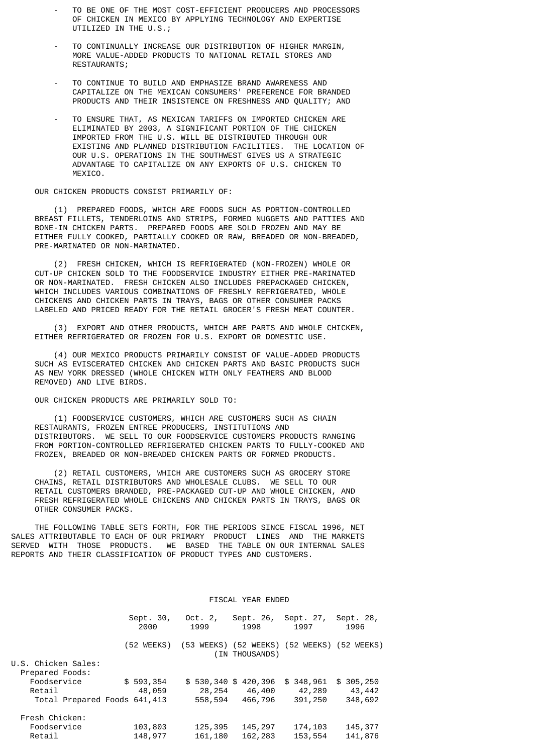- TO BE ONE OF THE MOST COST-EFFICIENT PRODUCERS AND PROCESSORS OF CHICKEN IN MEXICO BY APPLYING TECHNOLOGY AND EXPERTISE UTILIZED IN THE U.S.;
- TO CONTINUALLY INCREASE OUR DISTRIBUTION OF HIGHER MARGIN. MORE VALUE-ADDED PRODUCTS TO NATIONAL RETAIL STORES AND RESTAURANTS;
- TO CONTINUE TO BUILD AND EMPHASIZE BRAND AWARENESS AND CAPITALIZE ON THE MEXICAN CONSUMERS' PREFERENCE FOR BRANDED PRODUCTS AND THEIR INSISTENCE ON FRESHNESS AND QUALITY; AND
- TO ENSURE THAT, AS MEXICAN TARIFFS ON IMPORTED CHICKEN ARE ELIMINATED BY 2003, A SIGNIFICANT PORTION OF THE CHICKEN IMPORTED FROM THE U.S. WILL BE DISTRIBUTED THROUGH OUR EXISTING AND PLANNED DISTRIBUTION FACILITIES. THE LOCATION OF OUR U.S. OPERATIONS IN THE SOUTHWEST GIVES US A STRATEGIC ADVANTAGE TO CAPITALIZE ON ANY EXPORTS OF U.S. CHICKEN TO MEXICO.

OUR CHICKEN PRODUCTS CONSIST PRIMARILY OF:

 (1) PREPARED FOODS, WHICH ARE FOODS SUCH AS PORTION-CONTROLLED BREAST FILLETS, TENDERLOINS AND STRIPS, FORMED NUGGETS AND PATTIES AND BONE-IN CHICKEN PARTS. PREPARED FOODS ARE SOLD FROZEN AND MAY BE EITHER FULLY COOKED, PARTIALLY COOKED OR RAW, BREADED OR NON-BREADED, PRE-MARINATED OR NON-MARINATED.

 (2) FRESH CHICKEN, WHICH IS REFRIGERATED (NON-FROZEN) WHOLE OR CUT-UP CHICKEN SOLD TO THE FOODSERVICE INDUSTRY EITHER PRE-MARINATED OR NON-MARINATED. FRESH CHICKEN ALSO INCLUDES PREPACKAGED CHICKEN, WHICH INCLUDES VARIOUS COMBINATIONS OF FRESHLY REFRIGERATED, WHOLE CHICKENS AND CHICKEN PARTS IN TRAYS, BAGS OR OTHER CONSUMER PACKS LABELED AND PRICED READY FOR THE RETAIL GROCER'S FRESH MEAT COUNTER.

 (3) EXPORT AND OTHER PRODUCTS, WHICH ARE PARTS AND WHOLE CHICKEN, EITHER REFRIGERATED OR FROZEN FOR U.S. EXPORT OR DOMESTIC USE.

 (4) OUR MEXICO PRODUCTS PRIMARILY CONSIST OF VALUE-ADDED PRODUCTS SUCH AS EVISCERATED CHICKEN AND CHICKEN PARTS AND BASIC PRODUCTS SUCH AS NEW YORK DRESSED (WHOLE CHICKEN WITH ONLY FEATHERS AND BLOOD REMOVED) AND LIVE BIRDS.

OUR CHICKEN PRODUCTS ARE PRIMARILY SOLD TO:

 (1) FOODSERVICE CUSTOMERS, WHICH ARE CUSTOMERS SUCH AS CHAIN RESTAURANTS, FROZEN ENTREE PRODUCERS, INSTITUTIONS AND DISTRIBUTORS. WE SELL TO OUR FOODSERVICE CUSTOMERS PRODUCTS RANGING FROM PORTION-CONTROLLED REFRIGERATED CHICKEN PARTS TO FULLY-COOKED AND FROZEN, BREADED OR NON-BREADED CHICKEN PARTS OR FORMED PRODUCTS.

 (2) RETAIL CUSTOMERS, WHICH ARE CUSTOMERS SUCH AS GROCERY STORE CHAINS, RETAIL DISTRIBUTORS AND WHOLESALE CLUBS. WE SELL TO OUR RETAIL CUSTOMERS BRANDED, PRE-PACKAGED CUT-UP AND WHOLE CHICKEN, AND FRESH REFRIGERATED WHOLE CHICKENS AND CHICKEN PARTS IN TRAYS, BAGS OR OTHER CONSUMER PACKS.

 THE FOLLOWING TABLE SETS FORTH, FOR THE PERIODS SINCE FISCAL 1996, NET SALES ATTRIBUTABLE TO EACH OF OUR PRIMARY PRODUCT LINES AND THE MARKETS SERVED WITH THOSE PRODUCTS. WE BASED THE TABLE ON OUR INTERNAL SALES REPORTS AND THEIR CLASSIFICATION OF PRODUCT TYPES AND CUSTOMERS.

#### FISCAL YEAR ENDED

|                              | Sept. 30,<br>2000 | Oct. 2,<br>1999 | Sept. 26,<br>1998     | Sept. 27,<br>1997 | Sept. 28,<br>1996                           |
|------------------------------|-------------------|-----------------|-----------------------|-------------------|---------------------------------------------|
|                              | (52 WEEKS)        |                 | (IN THOUSANDS)        |                   | (53 WEEKS) (52 WEEKS) (52 WEEKS) (52 WEEKS) |
| U.S. Chicken Sales:          |                   |                 |                       |                   |                                             |
| Prepared Foods:              |                   |                 |                       |                   |                                             |
| Foodservice                  | \$593,354         |                 | $$530,340$ \$ 420,396 | \$348,961         | \$305, 250                                  |
| Retail                       | 48,059            | 28,254          | 46,400                | 42,289            | 43,442                                      |
| Total Prepared Foods 641,413 |                   | 558,594         | 466,796               | 391,250           | 348,692                                     |
| Fresh Chicken:               |                   |                 |                       |                   |                                             |
| Foodservice                  | 103,803           | 125,395         | 145, 297              | 174,103           | 145,377                                     |
| Retail                       | 148,977           | 161,180         | 162, 283              | 153,554           | 141,876                                     |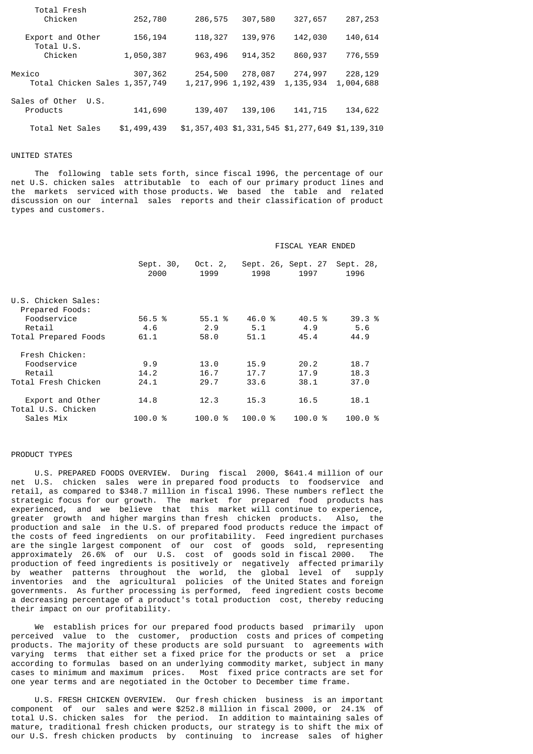| Total Fresh<br>Chicken                    | 252,780     | 286,575                            | 307,580  | 327,657                                         | 287,253              |
|-------------------------------------------|-------------|------------------------------------|----------|-------------------------------------------------|----------------------|
| Export and Other<br>Total U.S.            | 156, 194    | 118,327                            | 139,976  | 142,030                                         | 140,614              |
| Chicken                                   | 1,050,387   | 963,496                            | 914, 352 | 860,937                                         | 776,559              |
| Mexico<br>Total Chicken Sales 1, 357, 749 | 307,362     | 254,500<br>1, 217, 996 1, 192, 439 | 278,087  | 274,997<br>1, 135, 934                          | 228,129<br>1,004,688 |
| Sales of Other<br>U.S.<br>Products        | 141,690     | 139,407                            | 139, 106 | 141,715                                         | 134,622              |
| Total Net Sales                           | \$1,499,439 |                                    |          | \$1,357,403 \$1,331,545 \$1,277,649 \$1,139,310 |                      |

# UNITED STATES

 The following table sets forth, since fiscal 1996, the percentage of our net U.S. chicken sales attributable to each of our primary product lines and the markets serviced with those products. We based the table and related discussion on our internal sales reports and their classification of product types and customers.

### FISCAL YEAR ENDED

|                                        | Sept. 30,<br>2000 | Oct. 2,<br>1999 | 1998   | Sept. 26, Sept. 27<br>1997 | Sept. 28,<br>1996 |
|----------------------------------------|-------------------|-----------------|--------|----------------------------|-------------------|
| U.S. Chicken Sales:                    |                   |                 |        |                            |                   |
| Prepared Foods:<br>Foodservice         | 56.5 %            | 55.1%           | 46.0%  | 40.5 %                     | 39.3 %            |
| Retail                                 | 4.6               | 2.9             | 5.1    | 4.9                        | 5.6               |
| Total Prepared Foods                   | 61.1              | 58.0            | 51.1   | 45.4                       | 44.9              |
| Fresh Chicken:                         |                   |                 |        |                            |                   |
| Foodservice                            | 9.9               | 13.0            | 15.9   | 20.2                       | 18.7              |
| Retail                                 | 14.2              | 16.7            | 17.7   | 17.9                       | 18.3              |
| Total Fresh Chicken                    | 24.1              | 29.7            | 33.6   | 38.1                       | 37.0              |
| Export and Other<br>Total U.S. Chicken | 14.8              | 12.3            | 15.3   | 16.5                       | 18.1              |
| Sales Mix                              | 100.0%            | 100.0<br>%      | 100.0% | 100.0%                     | 100.0%            |

### PRODUCT TYPES

 U.S. PREPARED FOODS OVERVIEW. During fiscal 2000, \$641.4 million of our net U.S. chicken sales were in prepared food products to foodservice and retail, as compared to \$348.7 million in fiscal 1996. These numbers reflect the strategic focus for our growth. The market for prepared food products has experienced, and we believe that this market will continue to experience, greater growth and higher margins than fresh chicken products. Also, the production and sale in the U.S. of prepared food products reduce the impact of the costs of feed ingredients on our profitability. Feed ingredient purchases are the single largest component of our cost of goods sold, representing approximately 26.6% of our U.S. cost of goods sold in fiscal 2000. The production of feed ingredients is positively or negatively affected primarily by weather patterns throughout the world, the global level of supply inventories and the agricultural policies of the United States and foreign governments. As further processing is performed, feed ingredient costs become a decreasing percentage of a product's total production cost, thereby reducing their impact on our profitability.

 We establish prices for our prepared food products based primarily upon perceived value to the customer, production costs and prices of competing products. The majority of these products are sold pursuant to agreements with varying terms that either set a fixed price for the products or set a price according to formulas based on an underlying commodity market, subject in many cases to minimum and maximum prices. Most fixed price contracts are set for one year terms and are negotiated in the October to December time frame.

 U.S. FRESH CHICKEN OVERVIEW. Our fresh chicken business is an important component of our sales and were \$252.8 million in fiscal 2000, or 24.1% of total U.S. chicken sales for the period. In addition to maintaining sales of mature, traditional fresh chicken products, our strategy is to shift the mix of our U.S. fresh chicken products by continuing to increase sales of higher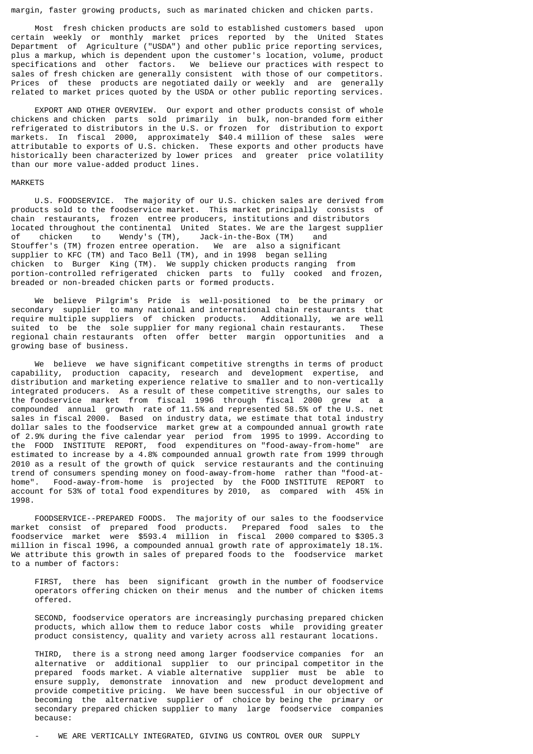margin, faster growing products, such as marinated chicken and chicken parts.

 Most fresh chicken products are sold to established customers based upon certain weekly or monthly market prices reported by the United States Department of Agriculture ("USDA") and other public price reporting services, plus a markup, which is dependent upon the customer's location, volume, product specifications and other factors. We believe our practices with respect to sales of fresh chicken are generally consistent with those of our competitors. Prices of these products are negotiated daily or weekly and are generally related to market prices quoted by the USDA or other public reporting services.

 EXPORT AND OTHER OVERVIEW. Our export and other products consist of whole chickens and chicken parts sold primarily in bulk, non-branded form either refrigerated to distributors in the U.S. or frozen for distribution to export markets. In fiscal 2000, approximately \$40.4 million of these sales were attributable to exports of U.S. chicken. These exports and other products have historically been characterized by lower prices and greater price volatility than our more value-added product lines.

#### MARKETS

 U.S. FOODSERVICE. The majority of our U.S. chicken sales are derived from products sold to the foodservice market. This market principally consists of chain restaurants, frozen entree producers, institutions and distributors located throughout the continental United States. We are the largest supplier of chicken to Wendy's (TM), Jack-in-the-Box (TM) and Stouffer's (TM) frozen entree operation. We are also a significant supplier to KFC (TM) and Taco Bell (TM), and in 1998 began selling chicken to Burger King (TM). We supply chicken products ranging from portion-controlled refrigerated chicken parts to fully cooked and frozen, breaded or non-breaded chicken parts or formed products.

 We believe Pilgrim's Pride is well-positioned to be the primary or secondary supplier to many national and international chain restaurants that<br>require multiple suppliers of chicken products. Additionally, we are well require multiple suppliers of chicken products. suited to be the sole supplier for many regional chain restaurants. These regional chain restaurants often offer better margin opportunities and a growing base of business.

 We believe we have significant competitive strengths in terms of product capability, production capacity, research and development expertise, and distribution and marketing experience relative to smaller and to non-vertically integrated producers. As a result of these competitive strengths, our sales to the foodservice market from fiscal 1996 through fiscal 2000 grew at a compounded annual growth rate of 11.5% and represented 58.5% of the U.S. net sales in fiscal 2000. Based on industry data, we estimate that total industry dollar sales to the foodservice market grew at a compounded annual growth rate of 2.9% during the five calendar year period from 1995 to 1999. According to the FOOD INSTITUTE REPORT, food expenditures on "food-away-from-home" are estimated to increase by a 4.8% compounded annual growth rate from 1999 through 2010 as a result of the growth of quick service restaurants and the continuing trend of consumers spending money on food-away-from-home rather than "food-athome". Food-away-from-home is projected by the FOOD INSTITUTE REPORT to account for 53% of total food expenditures by 2010, as compared with 45% in 1998.

 FOODSERVICE--PREPARED FOODS. The majority of our sales to the foodservice market consist of prepared food products. Prepared food sales to the foodservice market were \$593.4 million in fiscal 2000 compared to \$305.3 million in fiscal 1996, a compounded annual growth rate of approximately 18.1%. We attribute this growth in sales of prepared foods to the foodservice market to a number of factors:

 FIRST, there has been significant growth in the number of foodservice operators offering chicken on their menus and the number of chicken items offered.

 SECOND, foodservice operators are increasingly purchasing prepared chicken products, which allow them to reduce labor costs while providing greater product consistency, quality and variety across all restaurant locations.

 THIRD, there is a strong need among larger foodservice companies for an alternative or additional supplier to our principal competitor in the prepared foods market. A viable alternative supplier must be able to ensure supply, demonstrate innovation and new product development and provide competitive pricing. We have been successful in our objective of becoming the alternative supplier of choice by being the primary or secondary prepared chicken supplier to many large foodservice companies because: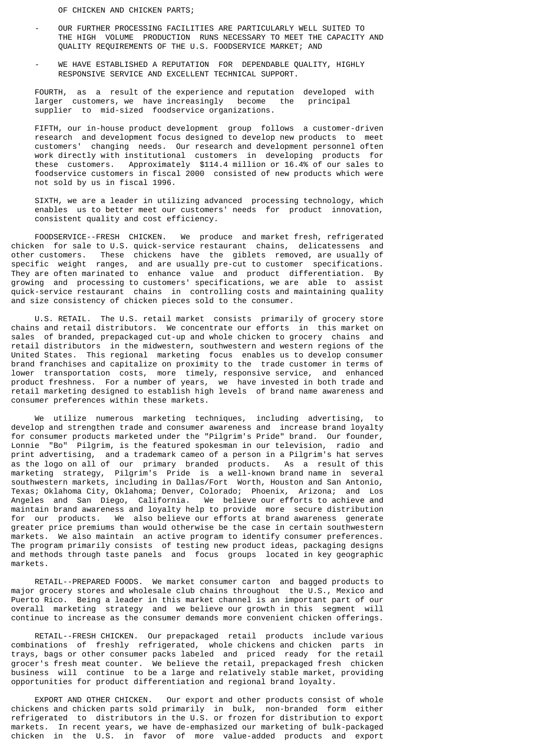OF CHICKEN AND CHICKEN PARTS;

- OUR FURTHER PROCESSING FACILITIES ARE PARTICULARLY WELL SUITED TO THE HIGH VOLUME PRODUCTION RUNS NECESSARY TO MEET THE CAPACITY AND QUALITY REQUIREMENTS OF THE U.S. FOODSERVICE MARKET; AND
- WE HAVE ESTABLISHED A REPUTATION FOR DEPENDABLE QUALITY, HIGHLY RESPONSIVE SERVICE AND EXCELLENT TECHNICAL SUPPORT.

 FOURTH, as a result of the experience and reputation developed with larger customers, we have increasingly become the principal supplier to mid-sized foodservice organizations.

 FIFTH, our in-house product development group follows a customer-driven research and development focus designed to develop new products to meet customers' changing needs. Our research and development personnel often work directly with institutional customers in developing products for these customers. Approximately \$114.4 million or 16.4% of our sales to foodservice customers in fiscal 2000 consisted of new products which were not sold by us in fiscal 1996.

 SIXTH, we are a leader in utilizing advanced processing technology, which enables us to better meet our customers' needs for product innovation, consistent quality and cost efficiency.

 FOODSERVICE--FRESH CHICKEN. We produce and market fresh, refrigerated chicken for sale to U.S. quick-service restaurant chains, delicatessens and other customers. These chickens have the giblets removed, are usually of specific weight ranges, and are usually pre-cut to customer specifications. They are often marinated to enhance value and product differentiation. By growing and processing to customers' specifications, we are able to assist quick-service restaurant chains in controlling costs and maintaining quality and size consistency of chicken pieces sold to the consumer.

 U.S. RETAIL. The U.S. retail market consists primarily of grocery store chains and retail distributors. We concentrate our efforts in this market on sales of branded, prepackaged cut-up and whole chicken to grocery chains and retail distributors in the midwestern, southwestern and western regions of the United States. This regional marketing focus enables us to develop consumer brand franchises and capitalize on proximity to the trade customer in terms of lower transportation costs, more timely, responsive service, and enhanced product freshness. For a number of years, we have invested in both trade and retail marketing designed to establish high levels of brand name awareness and consumer preferences within these markets.

 We utilize numerous marketing techniques, including advertising, to develop and strengthen trade and consumer awareness and increase brand loyalty for consumer products marketed under the "Pilgrim's Pride" brand. Our founder, Lonnie "Bo" Pilgrim, is the featured spokesman in our television, radio and print advertising, and a trademark cameo of a person in a Pilgrim's hat serves as the logo on all of our primary branded products. As a result of this marketing strategy, Pilgrim's Pride is a well-known brand name in several southwestern markets, including in Dallas/Fort Worth, Houston and San Antonio, Texas; Oklahoma City, Oklahoma; Denver, Colorado; Phoenix, Arizona; and Los Angeles and San Diego, California. We believe our efforts to achieve and maintain brand awareness and loyalty help to provide more secure distribution for our products. We also believe our efforts at brand awareness generate greater price premiums than would otherwise be the case in certain southwestern markets. We also maintain an active program to identify consumer preferences. The program primarily consists of testing new product ideas, packaging designs and methods through taste panels and focus groups located in key geographic markets.

 RETAIL--PREPARED FOODS. We market consumer carton and bagged products to major grocery stores and wholesale club chains throughout the U.S., Mexico and Puerto Rico. Being a leader in this market channel is an important part of our overall marketing strategy and we believe our growth in this segment will continue to increase as the consumer demands more convenient chicken offerings.

 RETAIL--FRESH CHICKEN. Our prepackaged retail products include various combinations of freshly refrigerated, whole chickens and chicken parts in trays, bags or other consumer packs labeled and priced ready for the retail grocer's fresh meat counter. We believe the retail, prepackaged fresh chicken business will continue to be a large and relatively stable market, providing opportunities for product differentiation and regional brand loyalty.

 EXPORT AND OTHER CHICKEN. Our export and other products consist of whole chickens and chicken parts sold primarily in bulk, non-branded form either refrigerated to distributors in the U.S. or frozen for distribution to export markets. In recent years, we have de-emphasized our marketing of bulk-packaged chicken in the U.S. in favor of more value-added products and export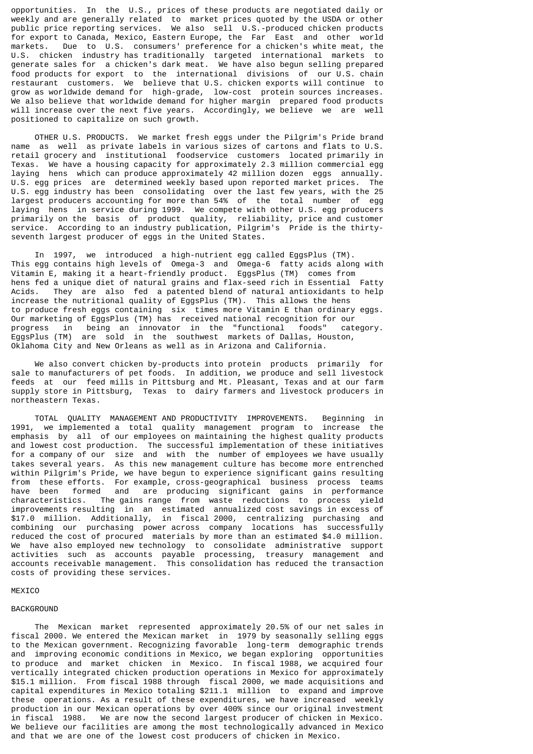opportunities. In the U.S., prices of these products are negotiated daily or weekly and are generally related to market prices quoted by the USDA or other public price reporting services. We also sell U.S.-produced chicken products for export to Canada, Mexico, Eastern Europe, the Far East and other world markets. Due to U.S. consumers' preference for a chicken's white meat, the U.S. chicken industry has traditionally targeted international markets to generate sales for a chicken's dark meat. We have also begun selling prepared food products for export to the international divisions of our U.S. chain restaurant customers. We believe that U.S. chicken exports will continue to grow as worldwide demand for high-grade, low-cost protein sources increases. We also believe that worldwide demand for higher margin prepared food products will increase over the next five years. Accordingly, we believe we are well positioned to capitalize on such growth.

 OTHER U.S. PRODUCTS. We market fresh eggs under the Pilgrim's Pride brand name as well as private labels in various sizes of cartons and flats to U.S. retail grocery and institutional foodservice customers located primarily in Texas. We have a housing capacity for approximately 2.3 million commercial egg laying hens which can produce approximately 42 million dozen eggs annually. U.S. egg prices are determined weekly based upon reported market prices. The U.S. egg industry has been consolidating over the last few years, with the 25 largest producers accounting for more than 54% of the total number of egg laying hens in service during 1999. We compete with other U.S. egg producers primarily on the basis of product quality, reliability, price and customer service. According to an industry publication, Pilgrim's Pride is the thirtyseventh largest producer of eggs in the United States.

 In 1997, we introduced a high-nutrient egg called EggsPlus (TM). This egg contains high levels of Omega-3 and Omega-6 fatty acids along with Vitamin E, making it a heart-friendly product. EggsPlus (TM) comes from hens fed a unique diet of natural grains and flax-seed rich in Essential Fatty Acids. They are also fed a patented blend of natural antioxidants to help increase the nutritional quality of EggsPlus (TM). This allows the hens to produce fresh eggs containing six times more Vitamin E than ordinary eggs. Our marketing of EggsPlus (TM) has received national recognition for our progress in being an innovator in the "functional foods" category. EggsPlus (TM) are sold in the southwest markets of Dallas, Houston, Oklahoma City and New Orleans as well as in Arizona and California.

 We also convert chicken by-products into protein products primarily for sale to manufacturers of pet foods. In addition, we produce and sell livestock feeds at our feed mills in Pittsburg and Mt. Pleasant, Texas and at our farm supply store in Pittsburg, Texas to dairy farmers and livestock producers in northeastern Texas.

 TOTAL QUALITY MANAGEMENT AND PRODUCTIVITY IMPROVEMENTS. Beginning in 1991, we implemented a total quality management program to increase the emphasis by all of our employees on maintaining the highest quality products and lowest cost production. The successful implementation of these initiatives for a company of our size and with the number of employees we have usually takes several years. As this new management culture has become more entrenched within Pilgrim's Pride, we have begun to experience significant gains resulting from these efforts. For example, cross-geographical business process teams have been formed and are producing significant gains in performance characteristics. The gains range from waste reductions to process yield improvements resulting in an estimated annualized cost savings in excess of \$17.0 million. Additionally, in fiscal 2000, centralizing purchasing and combining our purchasing power across company locations has successfully reduced the cost of procured materials by more than an estimated \$4.0 million. We have also employed new technology to consolidate administrative support activities such as accounts payable processing, treasury management and accounts receivable management. This consolidation has reduced the transaction costs of providing these services.

#### MEXICO

#### BACKGROUND

 The Mexican market represented approximately 20.5% of our net sales in fiscal 2000. We entered the Mexican market in 1979 by seasonally selling eggs to the Mexican government. Recognizing favorable long-term demographic trends and improving economic conditions in Mexico, we began exploring opportunities to produce and market chicken in Mexico. In fiscal 1988, we acquired four vertically integrated chicken production operations in Mexico for approximately \$15.1 million. From fiscal 1988 through fiscal 2000, we made acquisitions and capital expenditures in Mexico totaling \$211.1 million to expand and improve these operations. As a result of these expenditures, we have increased weekly production in our Mexican operations by over 400% since our original investment in fiscal 1988. We are now the second largest producer of chicken in Mexico. We believe our facilities are among the most technologically advanced in Mexico and that we are one of the lowest cost producers of chicken in Mexico.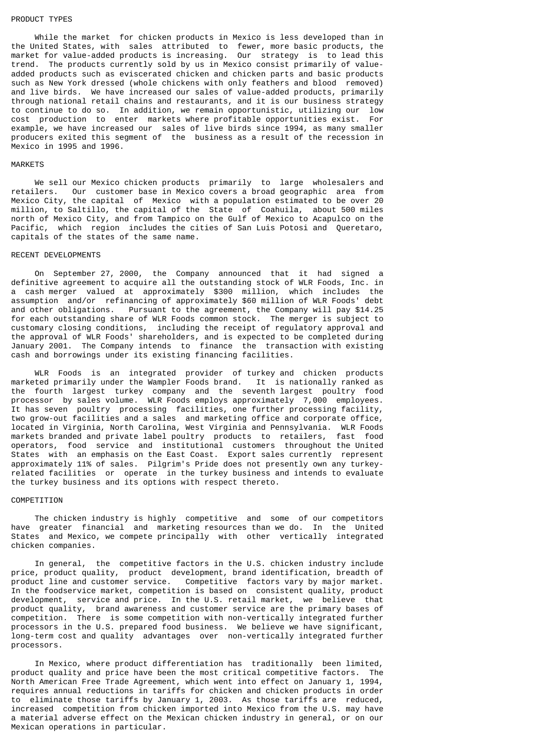#### PRODUCT TYPES

 While the market for chicken products in Mexico is less developed than in the United States, with sales attributed to fewer, more basic products, the market for value-added products is increasing. Our strategy is to lead this trend. The products currently sold by us in Mexico consist primarily of valueadded products such as eviscerated chicken and chicken parts and basic products such as New York dressed (whole chickens with only feathers and blood removed) and live birds. We have increased our sales of value-added products, primarily through national retail chains and restaurants, and it is our business strategy to continue to do so. In addition, we remain opportunistic, utilizing our low cost production to enter markets where profitable opportunities exist. For example, we have increased our sales of live birds since 1994, as many smaller producers exited this segment of the business as a result of the recession in Mexico in 1995 and 1996.

#### MARKETS

 We sell our Mexico chicken products primarily to large wholesalers and retailers. Our customer base in Mexico covers a broad geographic area from Mexico City, the capital of Mexico with a population estimated to be over 20 million, to Saltillo, the capital of the State of Coahuila, about 500 miles north of Mexico City, and from Tampico on the Gulf of Mexico to Acapulco on the Pacific, which region includes the cities of San Luis Potosi and Queretaro, capitals of the states of the same name.

### RECENT DEVELOPMENTS

 On September 27, 2000, the Company announced that it had signed a definitive agreement to acquire all the outstanding stock of WLR Foods, Inc. in a cash merger valued at approximately \$300 million, which includes the assumption and/or refinancing of approximately \$60 million of WLR Foods' debt and other obligations. Pursuant to the agreement, the Company will pay \$14.25 for each outstanding share of WLR Foods common stock. The merger is subject to customary closing conditions, including the receipt of regulatory approval and the approval of WLR Foods' shareholders, and is expected to be completed during January 2001. The Company intends to finance the transaction with existing cash and borrowings under its existing financing facilities.

 WLR Foods is an integrated provider of turkey and chicken products marketed primarily under the Wampler Foods brand. It is nationally ranked as the fourth largest turkey company and the seventh largest poultry food processor by sales volume. WLR Foods employs approximately 7,000 employees. It has seven poultry processing facilities, one further processing facility, two grow-out facilities and a sales and marketing office and corporate office, located in Virginia, North Carolina, West Virginia and Pennsylvania. WLR Foods markets branded and private label poultry products to retailers, fast food operators, food service and institutional customers throughout the United States with an emphasis on the East Coast. Export sales currently represent approximately 11% of sales. Pilgrim's Pride does not presently own any turkeyrelated facilities or operate in the turkey business and intends to evaluate the turkey business and its options with respect thereto.

### COMPETITION

 The chicken industry is highly competitive and some of our competitors have greater financial and marketing resources than we do. In the United States and Mexico, we compete principally with other vertically integrated chicken companies.

 In general, the competitive factors in the U.S. chicken industry include price, product quality, product development, brand identification, breadth of product line and customer service. Competitive factors vary by major market. In the foodservice market, competition is based on consistent quality, product development, service and price. In the U.S. retail market, we believe that product quality, brand awareness and customer service are the primary bases of competition. There is some competition with non-vertically integrated further processors in the U.S. prepared food business. We believe we have significant, long-term cost and quality advantages over non-vertically integrated further processors.

 In Mexico, where product differentiation has traditionally been limited, product quality and price have been the most critical competitive factors. The North American Free Trade Agreement, which went into effect on January 1, 1994, requires annual reductions in tariffs for chicken and chicken products in order to eliminate those tariffs by January 1, 2003. As those tariffs are reduced, increased competition from chicken imported into Mexico from the U.S. may have a material adverse effect on the Mexican chicken industry in general, or on our Mexican operations in particular.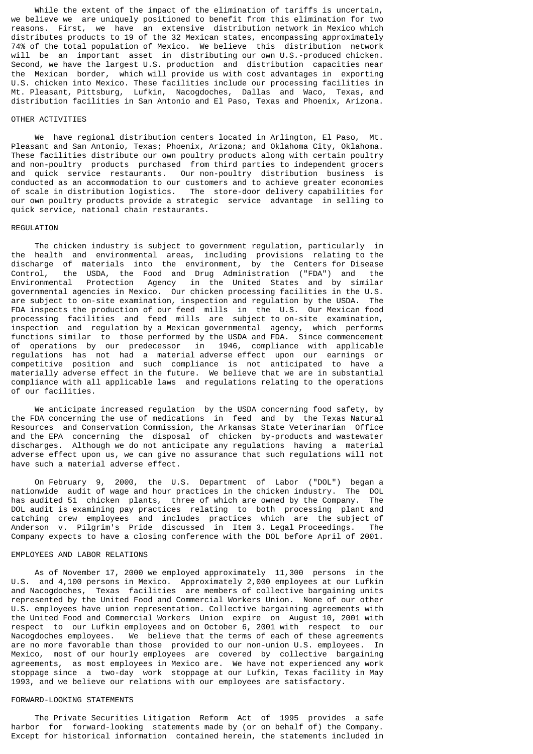While the extent of the impact of the elimination of tariffs is uncertain, we believe we are uniquely positioned to benefit from this elimination for two reasons. First, we have an extensive distribution network in Mexico which distributes products to 19 of the 32 Mexican states, encompassing approximately 74% of the total population of Mexico. We believe this distribution network will be an important asset in distributing our own U.S.-produced chicken. Second, we have the largest U.S. production and distribution capacities near the Mexican border, which will provide us with cost advantages in exporting U.S. chicken into Mexico. These facilities include our processing facilities in Mt. Pleasant, Pittsburg, Lufkin, Nacogdoches, Dallas and Waco, Texas, and distribution facilities in San Antonio and El Paso, Texas and Phoenix, Arizona.

# OTHER ACTIVITIES

 We have regional distribution centers located in Arlington, El Paso, Mt. Pleasant and San Antonio, Texas; Phoenix, Arizona; and Oklahoma City, Oklahoma. These facilities distribute our own poultry products along with certain poultry and non-poultry products purchased from third parties to independent grocers and quick service restaurants. Our non-poultry distribution business is conducted as an accommodation to our customers and to achieve greater economies of scale in distribution logistics. The store-door delivery capabilities for our own poultry products provide a strategic service advantage in selling to quick service, national chain restaurants.

#### REGULATION

 The chicken industry is subject to government regulation, particularly in the health and environmental areas, including provisions relating to the discharge of materials into the environment, by the Centers for Disease Control, the USDA, the Food and Drug Administration ("FDA") and the Environmental Protection Agency in the United States and by similar governmental agencies in Mexico. Our chicken processing facilities in the U.S. are subject to on-site examination, inspection and regulation by the USDA. The FDA inspects the production of our feed mills in the U.S. Our Mexican food processing facilities and feed mills are subject to on-site examination, inspection and regulation by a Mexican governmental agency, which performs functions similar to those performed by the USDA and FDA. Since commencement of operations by our predecessor in 1946, compliance with applicable regulations has not had a material adverse effect upon our earnings or competitive position and such compliance is not anticipated to have a materially adverse effect in the future. We believe that we are in substantial compliance with all applicable laws and regulations relating to the operations of our facilities.

 We anticipate increased regulation by the USDA concerning food safety, by the FDA concerning the use of medications in feed and by the Texas Natural Resources and Conservation Commission, the Arkansas State Veterinarian Office and the EPA concerning the disposal of chicken by-products and wastewater discharges. Although we do not anticipate any regulations having a material adverse effect upon us, we can give no assurance that such regulations will not have such a material adverse effect.

 On February 9, 2000, the U.S. Department of Labor ("DOL") began a nationwide audit of wage and hour practices in the chicken industry. The DOL has audited 51 chicken plants, three of which are owned by the Company. The DOL audit is examining pay practices relating to both processing plant and catching crew employees and includes practices which are the subject of Anderson v. Pilgrim's Pride discussed in Item 3. Legal Proceedings. The Company expects to have a closing conference with the DOL before April of 2001.

### EMPLOYEES AND LABOR RELATIONS

 As of November 17, 2000 we employed approximately 11,300 persons in the U.S. and 4,100 persons in Mexico. Approximately 2,000 employees at our Lufkin and Nacogdoches, Texas facilities are members of collective bargaining units represented by the United Food and Commercial Workers Union. None of our other U.S. employees have union representation. Collective bargaining agreements with the United Food and Commercial Workers Union expire on August 10, 2001 with respect to our Lufkin employees and on October 6, 2001 with respect to our Nacogdoches employees. We believe that the terms of each of these agreements are no more favorable than those provided to our non-union U.S. employees. In Mexico, most of our hourly employees are covered by collective bargaining agreements, as most employees in Mexico are. We have not experienced any work stoppage since a two-day work stoppage at our Lufkin, Texas facility in May 1993, and we believe our relations with our employees are satisfactory.

#### FORWARD-LOOKING STATEMENTS

 The Private Securities Litigation Reform Act of 1995 provides a safe harbor for forward-looking statements made by (or on behalf of) the Company. Except for historical information contained herein, the statements included in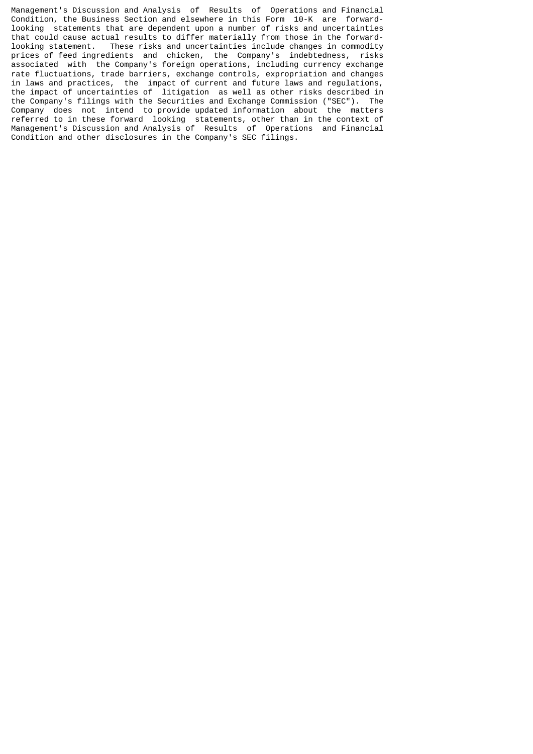Management's Discussion and Analysis of Results of Operations and Financial Condition, the Business Section and elsewhere in this Form 10-K are forwardlooking statements that are dependent upon a number of risks and uncertainties that could cause actual results to differ materially from those in the forwardlooking statement. These risks and uncertainties include changes in commodity prices of feed ingredients and chicken, the Company's indebtedness, risks associated with the Company's foreign operations, including currency exchange rate fluctuations, trade barriers, exchange controls, expropriation and changes in laws and practices, the impact of current and future laws and regulations, the impact of uncertainties of litigation as well as other risks described in the Company's filings with the Securities and Exchange Commission ("SEC"). The Company does not intend to provide updated information about the matters referred to in these forward looking statements, other than in the context of Management's Discussion and Analysis of Results of Operations and Financial Condition and other disclosures in the Company's SEC filings.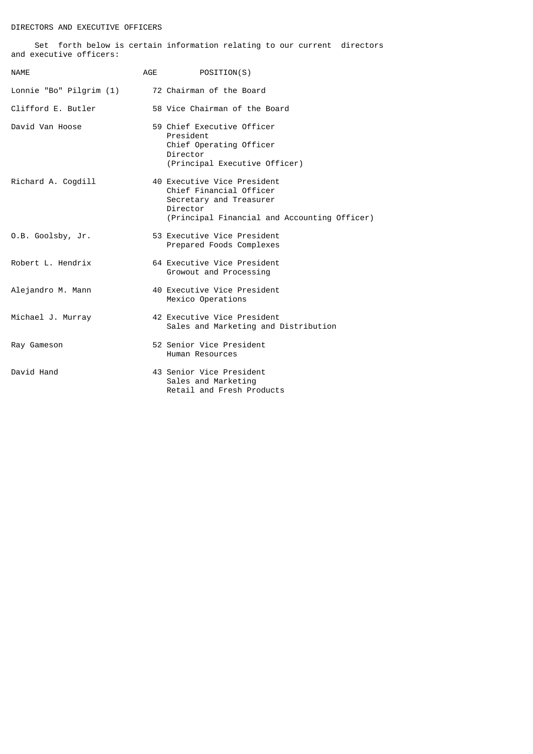# DIRECTORS AND EXECUTIVE OFFICERS

 Set forth below is certain information relating to our current directors and executive officers:

| <b>NAME</b>                                      | AGE POSITION(S)                                                                                                                               |
|--------------------------------------------------|-----------------------------------------------------------------------------------------------------------------------------------------------|
| Lonnie "Bo" Pilgrim (1) 72 Chairman of the Board |                                                                                                                                               |
| Clifford E. Butler                               | 58 Vice Chairman of the Board                                                                                                                 |
| David Van Hoose                                  | 59 Chief Executive Officer<br>President<br>Chief Operating Officer<br>Director<br>(Principal Executive Officer)                               |
| Richard A. Cogdill                               | 40 Executive Vice President<br>Chief Financial Officer<br>Secretary and Treasurer<br>Director<br>(Principal Financial and Accounting Officer) |
| O.B. Goolsby, Jr.                                | 53 Executive Vice President<br>Prepared Foods Complexes                                                                                       |
| Robert L. Hendrix                                | 64 Executive Vice President<br>Growout and Processing                                                                                         |
| Alejandro M. Mann                                | 40 Executive Vice President<br>Mexico Operations                                                                                              |
| Michael J. Murray                                | 42 Executive Vice President<br>Sales and Marketing and Distribution                                                                           |
| Ray Gameson                                      | 52 Senior Vice President<br>Human Resources                                                                                                   |
| David Hand                                       | 43 Senior Vice President<br>Sales and Marketing<br>Retail and Fresh Products                                                                  |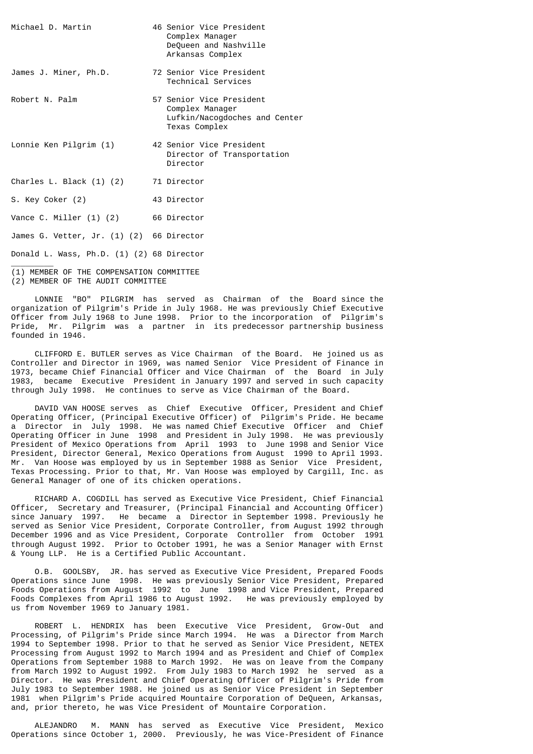| Michael D. Martin                         | 46 Senior Vice President<br>Complex Manager<br>DeQueen and Nashville<br>Arkansas Complex      |
|-------------------------------------------|-----------------------------------------------------------------------------------------------|
| James J. Miner, Ph.D.                     | 72 Senior Vice President<br>Technical Services                                                |
| Robert N. Palm                            | 57 Senior Vice President<br>Complex Manager<br>Lufkin/Nacogdoches and Center<br>Texas Complex |
| Lonnie Ken Pilgrim (1)                    | 42 Senior Vice President<br>Director of Transportation<br>Director                            |
| Charles L. Black (1) (2)                  | 71 Director                                                                                   |
| S. Key Coker (2)                          | 43 Director                                                                                   |
| Vance C. Miller (1) (2)                   | 66 Director                                                                                   |
| James G. Vetter, Jr. (1) (2) 66 Director  |                                                                                               |
| Donald L. Wass, Ph.D. (1) (2) 68 Director |                                                                                               |

(1) MEMBER OF THE COMPENSATION COMMITTEE (2) MEMBER OF THE AUDIT COMMITTEE

 LONNIE "BO" PILGRIM has served as Chairman of the Board since the organization of Pilgrim's Pride in July 1968. He was previously Chief Executive Officer from July 1968 to June 1998. Prior to the incorporation of Pilgrim's Pride, Mr. Pilgrim was a partner in its predecessor partnership business founded in 1946.

 CLIFFORD E. BUTLER serves as Vice Chairman of the Board. He joined us as Controller and Director in 1969, was named Senior Vice President of Finance in 1973, became Chief Financial Officer and Vice Chairman of the Board in July 1983, became Executive President in January 1997 and served in such capacity through July 1998. He continues to serve as Vice Chairman of the Board.

 DAVID VAN HOOSE serves as Chief Executive Officer, President and Chief Operating Officer, (Principal Executive Officer) of Pilgrim's Pride. He became a Director in July 1998. He was named Chief Executive Officer and Chief Operating Officer in June 1998 and President in July 1998. He was previously President of Mexico Operations from April 1993 to June 1998 and Senior Vice President, Director General, Mexico Operations from August 1990 to April 1993. Mr. Van Hoose was employed by us in September 1988 as Senior Vice President, Texas Processing. Prior to that, Mr. Van Hoose was employed by Cargill, Inc. as General Manager of one of its chicken operations.

 RICHARD A. COGDILL has served as Executive Vice President, Chief Financial Officer, Secretary and Treasurer, (Principal Financial and Accounting Officer) since January 1997. He became a Director in September 1998. Previously he served as Senior Vice President, Corporate Controller, from August 1992 through December 1996 and as Vice President, Corporate Controller from October 1991 through August 1992. Prior to October 1991, he was a Senior Manager with Ernst & Young LLP. He is a Certified Public Accountant.

 O.B. GOOLSBY, JR. has served as Executive Vice President, Prepared Foods Operations since June 1998. He was previously Senior Vice President, Prepared Foods Operations from August 1992 to June 1998 and Vice President, Prepared Foods Complexes from April 1986 to August 1992. He was previously employed by us from November 1969 to January 1981.

 ROBERT L. HENDRIX has been Executive Vice President, Grow-Out and Processing, of Pilgrim's Pride since March 1994. He was a Director from March 1994 to September 1998. Prior to that he served as Senior Vice President, NETEX Processing from August 1992 to March 1994 and as President and Chief of Complex Operations from September 1988 to March 1992. He was on leave from the Company from March 1992 to August 1992. From July 1983 to March 1992 he served as a Director. He was President and Chief Operating Officer of Pilgrim's Pride from July 1983 to September 1988. He joined us as Senior Vice President in September 1981 when Pilgrim's Pride acquired Mountaire Corporation of DeQueen, Arkansas, and, prior thereto, he was Vice President of Mountaire Corporation.

 ALEJANDRO M. MANN has served as Executive Vice President, Mexico Operations since October 1, 2000. Previously, he was Vice-President of Finance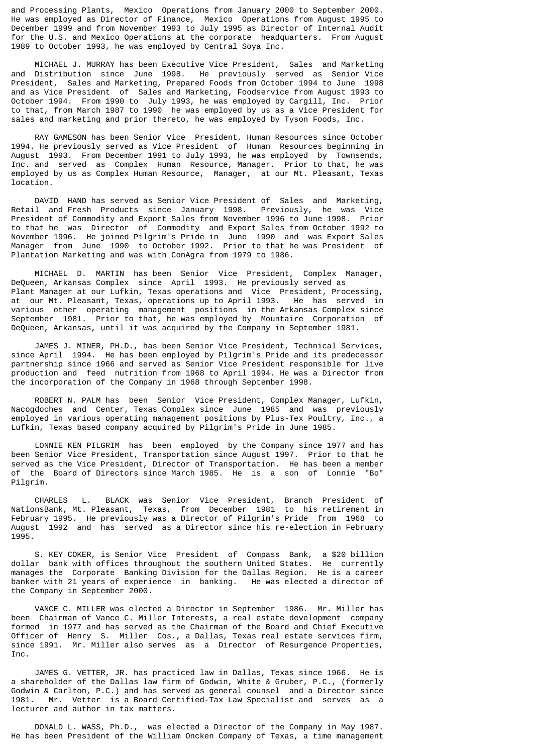and Processing Plants, Mexico Operations from January 2000 to September 2000. He was employed as Director of Finance, Mexico Operations from August 1995 to December 1999 and from November 1993 to July 1995 as Director of Internal Audit for the U.S. and Mexico Operations at the corporate headquarters. From August 1989 to October 1993, he was employed by Central Soya Inc.

 MICHAEL J. MURRAY has been Executive Vice President, Sales and Marketing and Distribution since June 1998. He previously served as Senior Vice President, Sales and Marketing, Prepared Foods from October 1994 to June 1998 and as Vice President of Sales and Marketing, Foodservice from August 1993 to October 1994. From 1990 to July 1993, he was employed by Cargill, Inc. Prior to that, from March 1987 to 1990 he was employed by us as a Vice President for sales and marketing and prior thereto, he was employed by Tyson Foods, Inc.

 RAY GAMESON has been Senior Vice President, Human Resources since October 1994. He previously served as Vice President of Human Resources beginning in August 1993. From December 1991 to July 1993, he was employed by Townsends, Inc. and served as Complex Human Resource, Manager. Prior to that, he was employed by us as Complex Human Resource, Manager, at our Mt. Pleasant, Texas location.

 DAVID HAND has served as Senior Vice President of Sales and Marketing, Retail and Fresh Products since January 1998. Previously, he was Vice President of Commodity and Export Sales from November 1996 to June 1998. Prior to that he was Director of Commodity and Export Sales from October 1992 to November 1996. He joined Pilgrim's Pride in June 1990 and was Export Sales Manager from June 1990 to October 1992. Prior to that he was President of Plantation Marketing and was with ConAgra from 1979 to 1986.

 MICHAEL D. MARTIN has been Senior Vice President, Complex Manager, DeQueen, Arkansas Complex since April 1993. He previously served as Plant Manager at our Lufkin, Texas operations and Vice President, Processing, at our Mt. Pleasant, Texas, operations up to April 1993. He has served in various other operating management positions in the Arkansas Complex since September 1981. Prior to that, he was employed by Mountaire Corporation of DeQueen, Arkansas, until it was acquired by the Company in September 1981.

 JAMES J. MINER, PH.D., has been Senior Vice President, Technical Services, since April 1994. He has been employed by Pilgrim's Pride and its predecessor partnership since 1966 and served as Senior Vice President responsible for live production and feed nutrition from 1968 to April 1994. He was a Director from the incorporation of the Company in 1968 through September 1998.

 ROBERT N. PALM has been Senior Vice President, Complex Manager, Lufkin, Nacogdoches and Center, Texas Complex since June 1985 and was previously employed in various operating management positions by Plus-Tex Poultry, Inc., a Lufkin, Texas based company acquired by Pilgrim's Pride in June 1985.

 LONNIE KEN PILGRIM has been employed by the Company since 1977 and has been Senior Vice President, Transportation since August 1997. Prior to that he served as the Vice President, Director of Transportation. He has been a member of the Board of Directors since March 1985. He is a son of Lonnie "Bo" Pilgrim.

 CHARLES L. BLACK was Senior Vice President, Branch President of NationsBank, Mt. Pleasant, Texas, from December 1981 to his retirement in February 1995. He previously was a Director of Pilgrim's Pride from 1968 to August 1992 and has served as a Director since his re-election in February 1995.

 S. KEY COKER, is Senior Vice President of Compass Bank, a \$20 billion dollar bank with offices throughout the southern United States. He currently manages the Corporate Banking Division for the Dallas Region. He is a career banker with 21 years of experience in banking. He was elected a director of the Company in September 2000.

 VANCE C. MILLER was elected a Director in September 1986. Mr. Miller has been Chairman of Vance C. Miller Interests, a real estate development company formed in 1977 and has served as the Chairman of the Board and Chief Executive Officer of Henry S. Miller Cos., a Dallas, Texas real estate services firm, since 1991. Mr. Miller also serves as a Director of Resurgence Properties, T<sub>nc</sub>

 JAMES G. VETTER, JR. has practiced law in Dallas, Texas since 1966. He is a shareholder of the Dallas law firm of Godwin, White & Gruber, P.C., (formerly Godwin & Carlton, P.C.) and has served as general counsel and a Director since 1981. Mr. Vetter is a Board Certified-Tax Law Specialist and serves as a lecturer and author in tax matters.

 DONALD L. WASS, Ph.D., was elected a Director of the Company in May 1987. He has been President of the William Oncken Company of Texas, a time management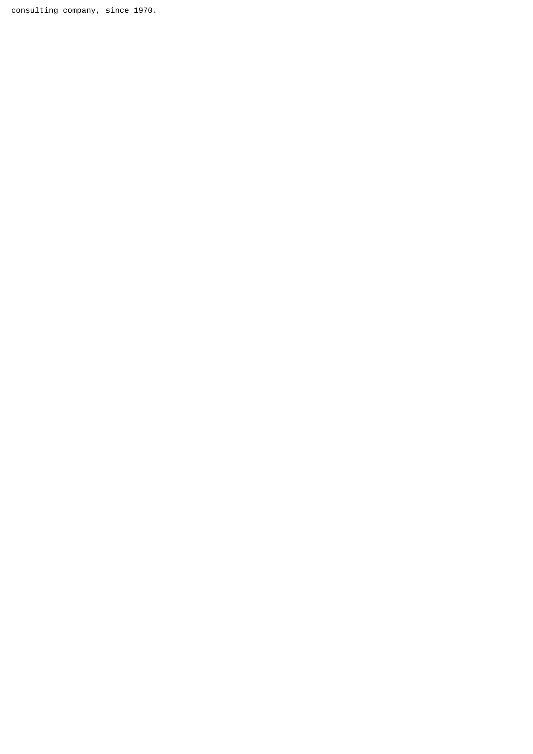consulting company, since 1970.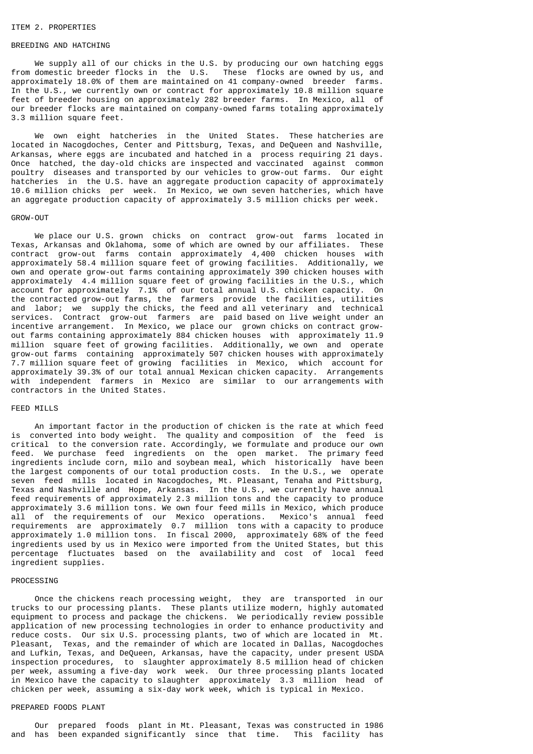#### ITEM 2. PROPERTIES

### BREEDING AND HATCHING

We supply all of our chicks in the U.S. by producing our own hatching eggs from domestic breeder flocks in the U.S. These flocks are owned by us, and approximately 18.0% of them are maintained on 41 company-owned breeder farms. In the U.S., we currently own or contract for approximately 10.8 million square feet of breeder housing on approximately 282 breeder farms. In Mexico, all of our breeder flocks are maintained on company-owned farms totaling approximately 3.3 million square feet.

 We own eight hatcheries in the United States. These hatcheries are located in Nacogdoches, Center and Pittsburg, Texas, and DeQueen and Nashville, Arkansas, where eggs are incubated and hatched in a process requiring 21 days. Once hatched, the day-old chicks are inspected and vaccinated against common poultry diseases and transported by our vehicles to grow-out farms. Our eight hatcheries in the U.S. have an aggregate production capacity of approximately 10.6 million chicks per week. In Mexico, we own seven hatcheries, which have an aggregate production capacity of approximately 3.5 million chicks per week.

#### GROW-OUT

 We place our U.S. grown chicks on contract grow-out farms located in Texas, Arkansas and Oklahoma, some of which are owned by our affiliates. These contract grow-out farms contain approximately 4,400 chicken houses with approximately 58.4 million square feet of growing facilities. Additionally, we own and operate grow-out farms containing approximately 390 chicken houses with approximately 4.4 million square feet of growing facilities in the U.S., which account for approximately 7.1% of our total annual U.S. chicken capacity. On the contracted grow-out farms, the farmers provide the facilities, utilities and labor; we supply the chicks, the feed and all veterinary and technical services. Contract grow-out farmers are paid based on live weight under an incentive arrangement. In Mexico, we place our grown chicks on contract growout farms containing approximately 884 chicken houses with approximately 11.9 million square feet of growing facilities. Additionally, we own and operate grow-out farms containing approximately 507 chicken houses with approximately 7.7 million square feet of growing facilities in Mexico, which account for approximately 39.3% of our total annual Mexican chicken capacity. Arrangements with independent farmers in Mexico are similar to our arrangements with contractors in the United States.

## FEED MILLS

 An important factor in the production of chicken is the rate at which feed is converted into body weight. The quality and composition of the feed is critical to the conversion rate. Accordingly, we formulate and produce our own feed. We purchase feed ingredients on the open market. The primary feed ingredients include corn, milo and soybean meal, which historically have been the largest components of our total production costs. In the U.S., we operate seven feed mills located in Nacogdoches, Mt. Pleasant, Tenaha and Pittsburg, Texas and Nashville and Hope, Arkansas. In the U.S., we currently have annual feed requirements of approximately 2.3 million tons and the capacity to produce approximately 3.6 million tons. We own four feed mills in Mexico, which produce all of the requirements of our Mexico operations. Mexico's annual feed requirements are approximately 0.7 million tons with a capacity to produce approximately 1.0 million tons. In fiscal 2000, approximately 68% of the feed ingredients used by us in Mexico were imported from the United States, but this percentage fluctuates based on the availability and cost of local feed ingredient supplies.

### PROCESSING

 Once the chickens reach processing weight, they are transported in our trucks to our processing plants. These plants utilize modern, highly automated equipment to process and package the chickens. We periodically review possible application of new processing technologies in order to enhance productivity and reduce costs. Our six U.S. processing plants, two of which are located in Mt. Pleasant, Texas, and the remainder of which are located in Dallas, Nacogdoches and Lufkin, Texas, and DeQueen, Arkansas, have the capacity, under present USDA inspection procedures, to slaughter approximately 8.5 million head of chicken per week, assuming a five-day work week. Our three processing plants located in Mexico have the capacity to slaughter approximately 3.3 million head of chicken per week, assuming a six-day work week, which is typical in Mexico.

### PREPARED FOODS PLANT

 Our prepared foods plant in Mt. Pleasant, Texas was constructed in 1986 and has been expanded significantly since that time. This facility has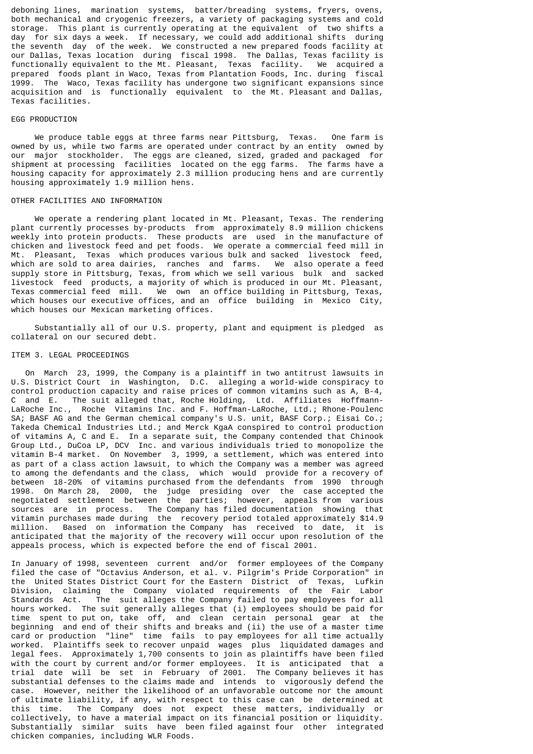deboning lines, marination systems, batter/breading systems, fryers, ovens, both mechanical and cryogenic freezers, a variety of packaging systems and cold storage. This plant is currently operating at the equivalent of two shifts a day for six days a week. If necessary, we could add additional shifts during the seventh day of the week. We constructed a new prepared foods facility at our Dallas, Texas location during fiscal 1998. The Dallas, Texas facility is functionally equivalent to the Mt. Pleasant, Texas facility. We acquired a prepared foods plant in Waco, Texas from Plantation Foods, Inc. during fiscal 1999. The Waco, Texas facility has undergone two significant expansions since acquisition and is functionally equivalent to the Mt. Pleasant and Dallas, Texas facilities.

### EGG PRODUCTION

 We produce table eggs at three farms near Pittsburg, Texas. One farm is owned by us, while two farms are operated under contract by an entity owned by our major stockholder. The eggs are cleaned, sized, graded and packaged for shipment at processing facilities located on the egg farms. The farms have a housing capacity for approximately 2.3 million producing hens and are currently housing approximately 1.9 million hens.

### OTHER FACILITIES AND INFORMATION

 We operate a rendering plant located in Mt. Pleasant, Texas. The rendering plant currently processes by-products from approximately 8.9 million chickens weekly into protein products. These products are used in the manufacture of chicken and livestock feed and pet foods. We operate a commercial feed mill in Mt. Pleasant, Texas which produces various bulk and sacked livestock feed, which are sold to area dairies, ranches and farms. We also operate a feed supply store in Pittsburg, Texas, from which we sell various bulk and sacked livestock feed products, a majority of which is produced in our Mt. Pleasant, Texas commercial feed mill. We own an office building in Pittsburg, Texas, which houses our executive offices, and an office building in Mexico City, which houses our Mexican marketing offices.

 Substantially all of our U.S. property, plant and equipment is pledged as collateral on our secured debt.

#### ITEM 3. LEGAL PROCEEDINGS

 On March 23, 1999, the Company is a plaintiff in two antitrust lawsuits in U.S. District Court in Washington, D.C. alleging a world-wide conspiracy to control production capacity and raise prices of common vitamins such as A, B-4, C and E. The suit alleged that, Roche Holding, Ltd. Affiliates Hoffmann-LaRoche Inc., Roche Vitamins Inc. and F. Hoffman-LaRoche, Ltd.; Rhone-Poulenc SA; BASF AG and the German chemical company's U.S. unit, BASF Corp.; Eisai Co.; Takeda Chemical Industries Ltd.; and Merck KgaA conspired to control production of vitamins A, C and E. In a separate suit, the Company contended that Chinook Group Ltd., DuCoa LP, DCV Inc. and various individuals tried to monopolize the vitamin B-4 market. On November 3, 1999, a settlement, which was entered into as part of a class action lawsuit, to which the Company was a member was agreed to among the defendants and the class, which would provide for a recovery of between 18-20% of vitamins purchased from the defendants from 1990 through 1998. On March 28, 2000, the judge presiding over the case accepted the negotiated settlement between the parties; however, appeals from various sources are in process. The Company has filed documentation showing that vitamin purchases made during the recovery period totaled approximately \$14.9 million. Based on information the Company has received to date, it is anticipated that the majority of the recovery will occur upon resolution of the appeals process, which is expected before the end of fiscal 2001.

In January of 1998, seventeen current and/or former employees of the Company filed the case of "Octavius Anderson, et al. v. Pilgrim's Pride Corporation" in the United States District Court for the Eastern District of Texas, Lufkin Division, claiming the Company violated requirements of the Fair Labor<br>Standards Act. The suit alleges the Company failed to pay employees for all The suit alleges the Company failed to pay employees for all hours worked. The suit generally alleges that (i) employees should be paid for time spent to put on, take off, and clean certain personal gear at the beginning and end of their shifts and breaks and (ii) the use of a master time card or production "line" time fails to pay employees for all time actually worked. Plaintiffs seek to recover unpaid wages plus liquidated damages and legal fees. Approximately 1,700 consents to join as plaintiffs have been filed with the court by current and/or former employees. It is anticipated that a trial date will be set in February of 2001. The Company believes it has substantial defenses to the claims made and intends to vigorously defend the case. However, neither the likelihood of an unfavorable outcome nor the amount of ultimate liability, if any, with respect to this case can be determined at this time. The Company does not expect these matters, individually or collectively, to have a material impact on its financial position or liquidity. Substantially similar suits have been filed against four other integrated chicken companies, including WLR Foods.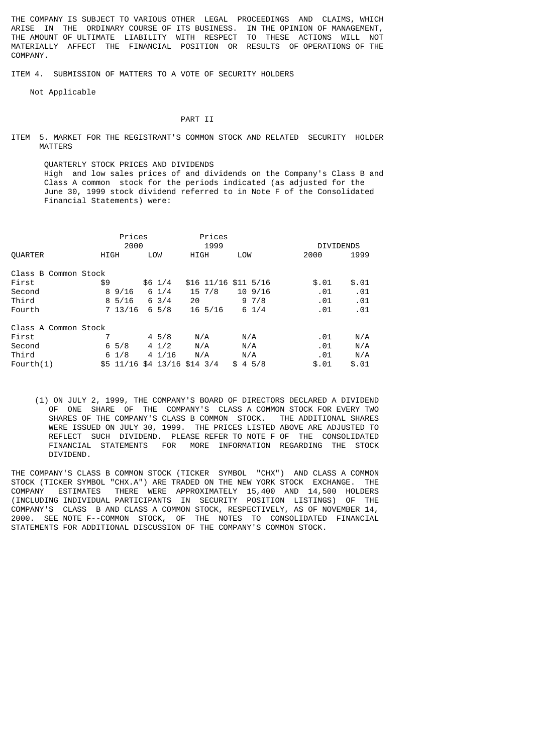THE COMPANY IS SUBJECT TO VARIOUS OTHER LEGAL PROCEEDINGS AND CLAIMS, WHICH ARISE IN THE ORDINARY COURSE OF ITS BUSINESS. IN THE OPINION OF MANAGEMENT, THE AMOUNT OF ULTIMATE LIABILITY WITH RESPECT TO THESE ACTIONS WILL NOT MATERIALLY AFFECT THE FINANCIAL POSITION OR RESULTS OF OPERATIONS OF THE COMPANY.

ITEM 4. SUBMISSION OF MATTERS TO A VOTE OF SECURITY HOLDERS

Not Applicable

#### PART **TT**

ITEM 5. MARKET FOR THE REGISTRANT'S COMMON STOCK AND RELATED SECURITY HOLDER MATTERS

 QUARTERLY STOCK PRICES AND DIVIDENDS High and low sales prices of and dividends on the Company's Class B and Class A common stock for the periods indicated (as adjusted for the June 30, 1999 stock dividend referred to in Note F of the Consolidated Financial Statements) were:

|                      |      | Prices                       |                  |      | Prices               |     |                 |       |     |                  |
|----------------------|------|------------------------------|------------------|------|----------------------|-----|-----------------|-------|-----|------------------|
|                      |      | 2000                         |                  |      | 1999                 |     |                 |       |     | <b>DIVIDENDS</b> |
| <b>OUARTER</b>       | HIGH |                              | LOW              | HIGH |                      | LOW |                 | 2000  |     | 1999             |
| Class B Common Stock |      |                              |                  |      |                      |     |                 |       |     |                  |
| First                | \$9  |                              | $$6 \t1/4$       |      | \$16 11/16 \$11 5/16 |     |                 | \$.01 |     | \$.01            |
| Second               |      | 89/16                        | $6 \frac{1}{4}$  |      | 15, 7/8              |     | $10\,9/16$      | .01   |     | .01              |
| Third                |      | $8\,5/16$                    | $6 \frac{3}{4}$  | 20   |                      |     | 97/8            |       | .01 | .01              |
| Fourth               |      | $7\;13/16$                   | $6\,5/8$         |      | $16\,5/16$           |     | $6 \frac{1}{4}$ |       | .01 | .01              |
| Class A Common Stock |      |                              |                  |      |                      |     |                 |       |     |                  |
| First                |      |                              | $4\,5/8$         | N/A  |                      | N/A |                 |       | .01 | N/A              |
| Second               |      | $6\frac{5}{8}$               | $4 \frac{1}{2}$  | N/A  |                      | N/A |                 | .01   |     | N/A              |
| Third                |      | $6 \frac{1}{8}$              | $4 \frac{1}{16}$ | N/A  |                      | N/A |                 |       | .01 | N/A              |
| Fourth $(1)$         |      | \$5 11/16 \$4 13/16 \$14 3/4 |                  |      |                      |     | \$45/8          | \$.01 |     | \$.01            |

 (1) ON JULY 2, 1999, THE COMPANY'S BOARD OF DIRECTORS DECLARED A DIVIDEND OF ONE SHARE OF THE COMPANY'S CLASS A COMMON STOCK FOR EVERY TWO SHARES OF THE COMPANY'S CLASS B COMMON STOCK. THE ADDITIONAL SHARES WERE ISSUED ON JULY 30, 1999. THE PRICES LISTED ABOVE ARE ADJUSTED TO REFLECT SUCH DIVIDEND. PLEASE REFER TO NOTE F OF THE CONSOLIDATED FINANCIAL STATEMENTS FOR MORE INFORMATION REGARDING THE STOCK DIVIDEND.

THE COMPANY'S CLASS B COMMON STOCK (TICKER SYMBOL "CHX") AND CLASS A COMMON STOCK (TICKER SYMBOL "CHX.A") ARE TRADED ON THE NEW YORK STOCK EXCHANGE. THE COMPANY ESTIMATES THERE WERE APPROXIMATELY 15,400 AND 14,500 HOLDERS (INCLUDING INDIVIDUAL PARTICIPANTS IN SECURITY POSITION LISTINGS) OF THE COMPANY'S CLASS B AND CLASS A COMMON STOCK, RESPECTIVELY, AS OF NOVEMBER 14, 2000. SEE NOTE F--COMMON STOCK, OF THE NOTES TO CONSOLIDATED FINANCIAL STATEMENTS FOR ADDITIONAL DISCUSSION OF THE COMPANY'S COMMON STOCK.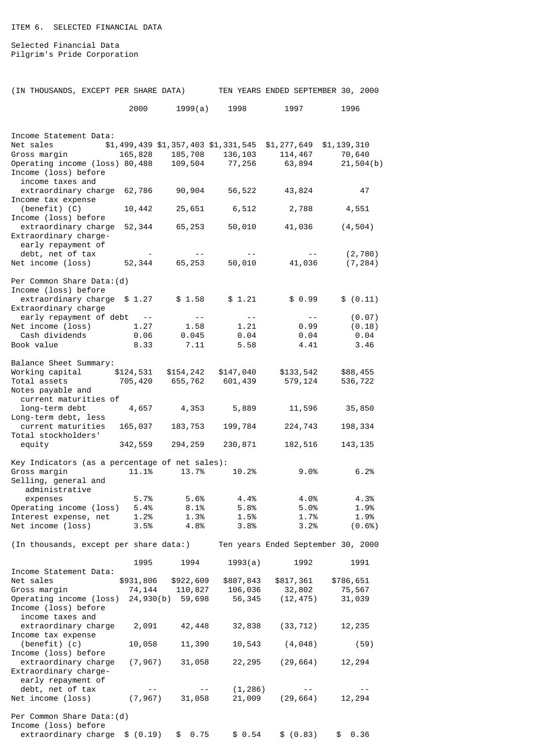ITEM 6. SELECTED FINANCIAL DATA

Selected Financial Data Pilgrim's Pride Corporation

| (IN THOUSANDS, EXCEPT PER SHARE DATA)                   |           |                         |                                                                                                                                                                                                                                                                                                                                                                                                                                                                            | TEN YEARS ENDED SEPTEMBER 30, 2000                               |                     |
|---------------------------------------------------------|-----------|-------------------------|----------------------------------------------------------------------------------------------------------------------------------------------------------------------------------------------------------------------------------------------------------------------------------------------------------------------------------------------------------------------------------------------------------------------------------------------------------------------------|------------------------------------------------------------------|---------------------|
|                                                         | 2000      | 1999(a)                 | 1998                                                                                                                                                                                                                                                                                                                                                                                                                                                                       | 1997                                                             | 1996                |
|                                                         |           |                         |                                                                                                                                                                                                                                                                                                                                                                                                                                                                            |                                                                  |                     |
| Income Statement Data:                                  |           |                         |                                                                                                                                                                                                                                                                                                                                                                                                                                                                            |                                                                  |                     |
|                                                         |           |                         |                                                                                                                                                                                                                                                                                                                                                                                                                                                                            | $$1,499,439$ $$1,357,403$ $$1,331,545$ $$1,277,649$ $$1,139,310$ |                     |
| Net sales \$1,<br>Gross margin                          |           |                         |                                                                                                                                                                                                                                                                                                                                                                                                                                                                            | 165,828 185,708 136,103 114,467                                  | 70,640              |
| Operating income (loss) 80,488  109,504  77,256  63,894 |           |                         |                                                                                                                                                                                                                                                                                                                                                                                                                                                                            |                                                                  | 21,504(b)           |
| Income (loss) before<br>income taxes and                |           |                         |                                                                                                                                                                                                                                                                                                                                                                                                                                                                            |                                                                  |                     |
| extraordinary charge 62,786 90,904 56,522 43,824        |           |                         |                                                                                                                                                                                                                                                                                                                                                                                                                                                                            |                                                                  | 47                  |
| Income tax expense                                      |           |                         |                                                                                                                                                                                                                                                                                                                                                                                                                                                                            |                                                                  |                     |
| (benefit) (C)                                           |           |                         | 10,442 25,651 6,512                                                                                                                                                                                                                                                                                                                                                                                                                                                        | 2,788                                                            | 4,551               |
| Income (loss) before                                    |           |                         |                                                                                                                                                                                                                                                                                                                                                                                                                                                                            |                                                                  |                     |
| extraordinary charge<br>Extraordinary charge-           |           | 52,344 65,253           |                                                                                                                                                                                                                                                                                                                                                                                                                                                                            | 50,010 41,036                                                    | (4, 504)            |
| early repayment of                                      |           |                         |                                                                                                                                                                                                                                                                                                                                                                                                                                                                            |                                                                  |                     |
| debt, net of tax                                        |           | $\sim 100$ km s $^{-1}$ |                                                                                                                                                                                                                                                                                                                                                                                                                                                                            | $50,010$ $41,036$                                                | (2, 780)            |
| Net income (loss) 52,344 65,253                         |           |                         |                                                                                                                                                                                                                                                                                                                                                                                                                                                                            |                                                                  | (7, 284)            |
|                                                         |           |                         |                                                                                                                                                                                                                                                                                                                                                                                                                                                                            |                                                                  |                     |
| Per Common Share Data: (d)<br>Income (loss) before      |           |                         |                                                                                                                                                                                                                                                                                                                                                                                                                                                                            |                                                                  |                     |
| extraordinary charge \$1.27 \$1.58                      |           |                         | \$1.21                                                                                                                                                                                                                                                                                                                                                                                                                                                                     | \$0.99                                                           | \$ (0.11)           |
| Extraordinary charge                                    |           |                         |                                                                                                                                                                                                                                                                                                                                                                                                                                                                            |                                                                  |                     |
| early repayment of debt --                              |           | $\sim$ $-$              | $\frac{1}{2} \left( \frac{1}{2} \right) \left( \frac{1}{2} \right) \left( \frac{1}{2} \right) \left( \frac{1}{2} \right) \left( \frac{1}{2} \right) \left( \frac{1}{2} \right) \left( \frac{1}{2} \right) \left( \frac{1}{2} \right) \left( \frac{1}{2} \right) \left( \frac{1}{2} \right) \left( \frac{1}{2} \right) \left( \frac{1}{2} \right) \left( \frac{1}{2} \right) \left( \frac{1}{2} \right) \left( \frac{1}{2} \right) \left( \frac{1}{2} \right) \left( \frac$ | $\sim$ $-$                                                       | (0.07)              |
| Net income (loss) 1.27<br>Cash dividends 0.06           |           | 1.58<br>0.045           | 1.21<br>0.04                                                                                                                                                                                                                                                                                                                                                                                                                                                               | 0.99<br>0.04                                                     | (0.18)<br>0.04      |
| Book value                                              | 8.33      | 7.11                    | 5.58                                                                                                                                                                                                                                                                                                                                                                                                                                                                       | 4.41                                                             | 3.46                |
|                                                         |           |                         |                                                                                                                                                                                                                                                                                                                                                                                                                                                                            |                                                                  |                     |
| Balance Sheet Summary:                                  |           |                         |                                                                                                                                                                                                                                                                                                                                                                                                                                                                            |                                                                  |                     |
| Working capital \$124,531 \$154,242 \$147,040           |           |                         |                                                                                                                                                                                                                                                                                                                                                                                                                                                                            | \$133,542                                                        | \$88,455            |
| Total assets<br>Notes payable and                       |           |                         | 705,420 655,762 601,439                                                                                                                                                                                                                                                                                                                                                                                                                                                    | 579,124                                                          | 536,722             |
| current maturities of                                   |           |                         |                                                                                                                                                                                                                                                                                                                                                                                                                                                                            |                                                                  |                     |
| long-term debt 4,657 4,353 5,889                        |           |                         |                                                                                                                                                                                                                                                                                                                                                                                                                                                                            | 11,596                                                           | 35,850              |
| Long-term debt, less                                    |           |                         |                                                                                                                                                                                                                                                                                                                                                                                                                                                                            |                                                                  |                     |
| current maturities                                      |           | 165,037 183,753         | 199,784                                                                                                                                                                                                                                                                                                                                                                                                                                                                    | 224,743                                                          | 198,334             |
| Total stockholders'<br>equity                           | 342,559   | 294, 259                | 230,871                                                                                                                                                                                                                                                                                                                                                                                                                                                                    | 182,516                                                          | 143, 135            |
|                                                         |           |                         |                                                                                                                                                                                                                                                                                                                                                                                                                                                                            |                                                                  |                     |
| Key Indicators (as a percentage of net sales):          |           |                         |                                                                                                                                                                                                                                                                                                                                                                                                                                                                            |                                                                  |                     |
| Gross margin                                            | 11.1%     | 13.7%                   | 10.2%                                                                                                                                                                                                                                                                                                                                                                                                                                                                      | 9.0%                                                             | 6.2%                |
| Selling, general and<br>administrative                  |           |                         |                                                                                                                                                                                                                                                                                                                                                                                                                                                                            |                                                                  |                     |
| expenses                                                | 5.7%      | 5.6%                    | 4.4%                                                                                                                                                                                                                                                                                                                                                                                                                                                                       | 4.0%                                                             | 4.3%                |
| Operating income (loss)                                 | 5.4%      | 8.1%                    | 5.8%                                                                                                                                                                                                                                                                                                                                                                                                                                                                       | 5.0%                                                             | 1.9%                |
| Interest expense, net                                   | 1.2%      | 1.3%                    | 1.5%                                                                                                                                                                                                                                                                                                                                                                                                                                                                       | 1.7%                                                             | 1.9%                |
| Net income (loss)                                       | 3.5%      | 4.8%                    | 3.8%                                                                                                                                                                                                                                                                                                                                                                                                                                                                       | 3.2%                                                             | (0.6% )             |
| (In thousands, except per share data:)                  |           |                         |                                                                                                                                                                                                                                                                                                                                                                                                                                                                            | Ten years Ended September 30, 2000                               |                     |
|                                                         |           |                         |                                                                                                                                                                                                                                                                                                                                                                                                                                                                            |                                                                  |                     |
|                                                         | 1995      | 1994                    | 1993(a)                                                                                                                                                                                                                                                                                                                                                                                                                                                                    | 1992                                                             | 1991                |
| Income Statement Data:                                  |           |                         |                                                                                                                                                                                                                                                                                                                                                                                                                                                                            |                                                                  |                     |
| Net sales                                               | \$931,806 | \$922,609<br>110,827    | \$887,843<br>106,036                                                                                                                                                                                                                                                                                                                                                                                                                                                       | \$817,361<br>32,802                                              | \$786,651<br>75,567 |
| Gross margin<br>Operating income (loss)                 | 74,144    | 24,930(b) 59,698        | 56,345                                                                                                                                                                                                                                                                                                                                                                                                                                                                     | (12, 475)                                                        | 31,039              |
| Income (loss) before                                    |           |                         |                                                                                                                                                                                                                                                                                                                                                                                                                                                                            |                                                                  |                     |
| income taxes and                                        |           |                         |                                                                                                                                                                                                                                                                                                                                                                                                                                                                            |                                                                  |                     |
| extraordinary charge                                    | 2,091     | 42,448                  | 32,838                                                                                                                                                                                                                                                                                                                                                                                                                                                                     | (33, 712)                                                        | 12,235              |
| Income tax expense                                      |           |                         |                                                                                                                                                                                                                                                                                                                                                                                                                                                                            |                                                                  |                     |
| $(benefit)$ $(c)$<br>Income (loss) before               | 10,058    | 11,390                  | 10,543                                                                                                                                                                                                                                                                                                                                                                                                                                                                     | (4, 048)                                                         | (59)                |
| extraordinary charge                                    | (7, 967)  | 31,058                  | 22, 295                                                                                                                                                                                                                                                                                                                                                                                                                                                                    | (29, 664)                                                        | 12,294              |
| Extraordinary charge-                                   |           |                         |                                                                                                                                                                                                                                                                                                                                                                                                                                                                            |                                                                  |                     |
| early repayment of                                      |           |                         |                                                                                                                                                                                                                                                                                                                                                                                                                                                                            |                                                                  |                     |
| debt, net of tax<br>Net income (loss)                   | (7, 967)  | $- -$<br>31,058         | (1, 286)<br>21,009                                                                                                                                                                                                                                                                                                                                                                                                                                                         | (29, 664)                                                        | 12,294              |
|                                                         |           |                         |                                                                                                                                                                                                                                                                                                                                                                                                                                                                            |                                                                  |                     |
| Per Common Share Data: (d)                              |           |                         |                                                                                                                                                                                                                                                                                                                                                                                                                                                                            |                                                                  |                     |
| Income (loss) before                                    |           |                         |                                                                                                                                                                                                                                                                                                                                                                                                                                                                            |                                                                  |                     |
| extraordinary charge $$ (0.19)$                         |           | 0.75<br>\$              | \$0.54                                                                                                                                                                                                                                                                                                                                                                                                                                                                     | \$ (0.83)                                                        | 0.36<br>\$          |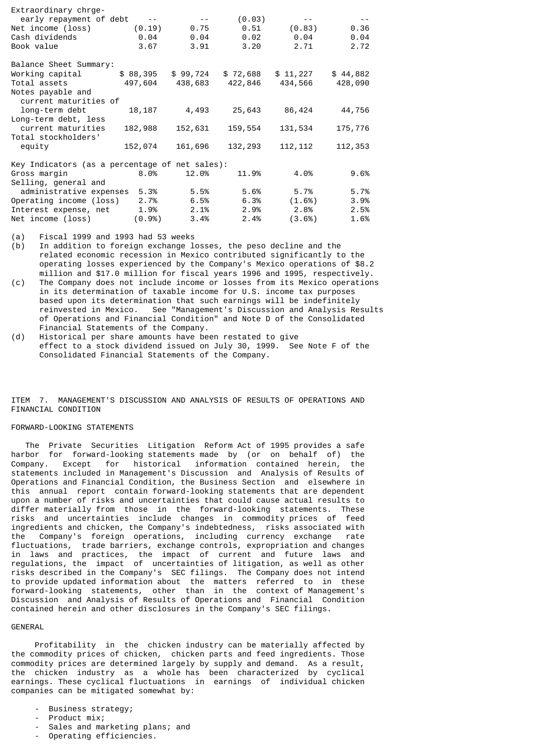| Extraordinary chrge-                           |             |            |          |           |          |
|------------------------------------------------|-------------|------------|----------|-----------|----------|
| early repayment of debt                        | $\sim$ $ -$ | $\sim$ $-$ | (0.03)   |           |          |
| Net income (loss)                              | (0.19)      | 0.75       | 0.51     | (0.83)    | 0.36     |
| Cash dividends                                 | 0.04        | 0.04       | 0.02     | 0.04      | 0.04     |
| Book value                                     | 3.67        | 3.91       | 3.20     | 2.71      | 2.72     |
| Balance Sheet Summary:                         |             |            |          |           |          |
| Working capital                                | \$88,395    | \$99,724   | \$72,688 | \$11,227  | \$44,882 |
| Total assets                                   | 497,604     | 438,683    | 422,846  | 434,566   | 428,090  |
| Notes payable and<br>current maturities of     |             |            |          |           |          |
| long-term debt                                 | 18,187      | 4,493      | 25,643   | 86,424    | 44,756   |
| Long-term debt, less                           |             |            |          |           |          |
| current maturities                             | 182,988     | 152,631    | 159,554  | 131,534   | 175,776  |
| Total stockholders'                            |             |            |          |           |          |
| equity                                         | 152,074     | 161,696    | 132,293  | 112, 112  | 112,353  |
| Key Indicators (as a percentage of net sales): |             |            |          |           |          |
| Gross margin                                   | 8.0%        | 12.0%      | 11.9%    | 4.0%      | 9.6%     |
| Selling, general and                           |             |            |          |           |          |
| administrative expenses                        | 5.3%        | 5.5%       | 5.6%     | 5.7%      | 5.7%     |
| Operating income (loss)                        | 2.7%        | 6.5%       | 6.3%     | (1.6%)    | 3.9%     |
| Interest expense, net                          | 1.9%        | 2.1%       | 2.9%     | 2.8%      | 2.5%     |
| Net income (loss)                              | (0.9%)      | 3.4%       | 2.4%     | $(3.6\%)$ | 1.6%     |

(a) Fiscal 1999 and 1993 had 53 weeks

(b) In addition to foreign exchange losses, the peso decline and the related economic recession in Mexico contributed significantly to the operating losses experienced by the Company's Mexico operations of \$8.2 million and \$17.0 million for fiscal years 1996 and 1995, respectively.

- (c) The Company does not include income or losses from its Mexico operations in its determination of taxable income for U.S. income tax purposes based upon its determination that such earnings will be indefinitely reinvested in Mexico. See "Management's Discussion and Analysis Results of Operations and Financial Condition" and Note D of the Consolidated Financial Statements of the Company.<br>(d) Historical per share amounts have be
- Historical per share amounts have been restated to give effect to a stock dividend issued on July 30, 1999. See Note F of the Consolidated Financial Statements of the Company.

ITEM 7. MANAGEMENT'S DISCUSSION AND ANALYSIS OF RESULTS OF OPERATIONS AND FINANCIAL CONDITION

# FORWARD-LOOKING STATEMENTS

 The Private Securities Litigation Reform Act of 1995 provides a safe harbor for forward-looking statements made by (or on behalf of) the Company. Except for historical information contained herein, the statements included in Management's Discussion and Analysis of Results of Operations and Financial Condition, the Business Section and elsewhere in this annual report contain forward-looking statements that are dependent upon a number of risks and uncertainties that could cause actual results to differ materially from those in the forward-looking statements. These risks and uncertainties include changes in commodity prices of feed ingredients and chicken, the Company's indebtedness, risks associated with the Company's foreign operations, including currency exchange rate fluctuations, trade barriers, exchange controls, expropriation and changes in laws and practices, the impact of current and future laws and regulations, the impact of uncertainties of litigation, as well as other risks described in the Company's SEC filings. The Company does not intend to provide updated information about the matters referred to in these forward-looking statements, other than in the context of Management's Discussion and Analysis of Results of Operations and Financial Condition contained herein and other disclosures in the Company's SEC filings.

#### GENERAL

 Profitability in the chicken industry can be materially affected by the commodity prices of chicken, chicken parts and feed ingredients. Those commodity prices are determined largely by supply and demand. As a result, the chicken industry as a whole has been characterized by cyclical earnings. These cyclical fluctuations in earnings of individual chicken companies can be mitigated somewhat by:

- Business strategy;
- Product mix;
- Sales and marketing plans; and
- Operating efficiencies.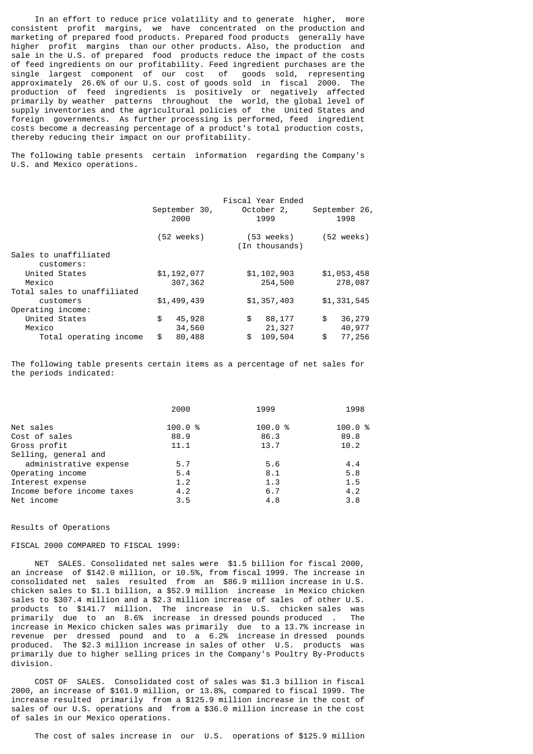In an effort to reduce price volatility and to generate higher, more consistent profit margins, we have concentrated on the production and marketing of prepared food products. Prepared food products generally have higher profit margins than our other products. Also, the production and sale in the U.S. of prepared food products reduce the impact of the costs of feed ingredients on our profitability. Feed ingredient purchases are the single largest component of our cost of goods sold, representing approximately 26.6% of our U.S. cost of goods sold in fiscal 2000. The production of feed ingredients is positively or negatively affected primarily by weather patterns throughout the world, the global level of supply inventories and the agricultural policies of the United States and foreign governments. As further processing is performed, feed ingredient costs become a decreasing percentage of a product's total production costs, thereby reducing their impact on our profitability.

The following table presents certain information regarding the Company's U.S. and Mexico operations.

|                                     |               |         | Fiscal Year Ended            |                      |
|-------------------------------------|---------------|---------|------------------------------|----------------------|
|                                     | September 30, |         | October 2,                   | September 26,        |
|                                     | 2000          |         | 1999                         | 1998                 |
|                                     | (52 weeks)    |         | (53 weeks)<br>(In thousands) | $(52 \text{ weeks})$ |
| Sales to unaffiliated<br>customers: |               |         |                              |                      |
| United States                       | \$1,192,077   |         | \$1,102,903                  | \$1,053,458          |
| Mexico                              |               | 307,362 | 254,500                      | 278,087              |
| Total sales to unaffiliated         |               |         |                              |                      |
| customers                           | \$1,499,439   |         | \$1,357,403                  | \$1,331,545          |
| Operating income:                   |               |         |                              |                      |
| United States                       | \$            | 45,928  | \$<br>88,177                 | \$<br>36,279         |
| Mexico                              |               | 34,560  | 21,327                       | 40,977               |
| Total operating income              | \$            | 80,488  | \$<br>109,504                | \$<br>77,256         |

The following table presents certain items as a percentage of net sales for the periods indicated:

|                            | 2000   | 1999   | 1998   |
|----------------------------|--------|--------|--------|
| Net sales                  | 100.0% | 100.0% | 100.0% |
| Cost of sales              | 88.9   | 86.3   | 89.8   |
| Gross profit               | 11.1   | 13.7   | 10.2   |
| Selling, general and       |        |        |        |
| administrative expense     | 5.7    | 5.6    | 4.4    |
| Operating income           | 5.4    | 8.1    | 5.8    |
| Interest expense           | 1.2    | 1.3    | 1.5    |
| Income before income taxes | 4.2    | 6.7    | 4.2    |
| Net income                 | 3.5    | 4.8    | 3.8    |

#### Results of Operations

### FISCAL 2000 COMPARED TO FISCAL 1999:

 NET SALES. Consolidated net sales were \$1.5 billion for fiscal 2000, an increase of \$142.0 million, or 10.5%, from fiscal 1999. The increase in consolidated net sales resulted from an \$86.9 million increase in U.S. chicken sales to \$1.1 billion, a \$52.9 million increase in Mexico chicken sales to \$307.4 million and a \$2.3 million increase of sales of other U.S. products to \$141.7 million. The increase in U.S. chicken sales was primarily due to an 8.6% increase in dressed pounds produced . The increase in Mexico chicken sales was primarily due to a 13.7% increase in revenue per dressed pound and to a 6.2% increase in dressed pounds produced. The \$2.3 million increase in sales of other U.S. products was primarily due to higher selling prices in the Company's Poultry By-Products division.

 COST OF SALES. Consolidated cost of sales was \$1.3 billion in fiscal 2000, an increase of \$161.9 million, or 13.8%, compared to fiscal 1999. The increase resulted primarily from a \$125.9 million increase in the cost of sales of our U.S. operations and from a \$36.0 million increase in the cost of sales in our Mexico operations.

The cost of sales increase in our U.S. operations of \$125.9 million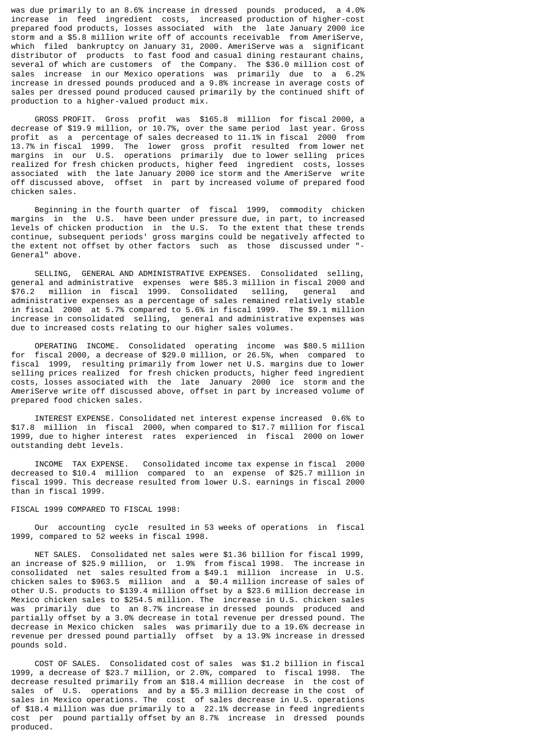was due primarily to an 8.6% increase in dressed pounds produced, a 4.0% increase in feed ingredient costs, increased production of higher-cost prepared food products, losses associated with the late January 2000 ice storm and a \$5.8 million write off of accounts receivable from AmeriServe, which filed bankruptcy on January 31, 2000. AmeriServe was a significant distributor of products to fast food and casual dining restaurant chains, several of which are customers of the Company. The \$36.0 million cost of sales increase in our Mexico operations was primarily due to a 6.2% increase in dressed pounds produced and a 9.8% increase in average costs of sales per dressed pound produced caused primarily by the continued shift of production to a higher-valued product mix.

 GROSS PROFIT. Gross profit was \$165.8 million for fiscal 2000, a decrease of \$19.9 million, or 10.7%, over the same period last year. Gross profit as a percentage of sales decreased to 11.1% in fiscal 2000 from 13.7% in fiscal 1999. The lower gross profit resulted from lower net margins in our U.S. operations primarily due to lower selling prices realized for fresh chicken products, higher feed ingredient costs, losses associated with the late January 2000 ice storm and the AmeriServe write off discussed above, offset in part by increased volume of prepared food chicken sales.

 Beginning in the fourth quarter of fiscal 1999, commodity chicken margins in the U.S. have been under pressure due, in part, to increased levels of chicken production in the U.S. To the extent that these trends continue, subsequent periods' gross margins could be negatively affected to the extent not offset by other factors such as those discussed under "- General" above.

 SELLING, GENERAL AND ADMINISTRATIVE EXPENSES. Consolidated selling, general and administrative expenses were \$85.3 million in fiscal 2000 and \$76.2 million in fiscal 1999. Consolidated selling, general and administrative expenses as a percentage of sales remained relatively stable in fiscal 2000 at 5.7% compared to 5.6% in fiscal 1999. The \$9.1 million increase in consolidated selling, general and administrative expenses was due to increased costs relating to our higher sales volumes.

 OPERATING INCOME. Consolidated operating income was \$80.5 million for fiscal 2000, a decrease of \$29.0 million, or 26.5%, when compared to fiscal 1999, resulting primarily from lower net U.S. margins due to lower selling prices realized for fresh chicken products, higher feed ingredient costs, losses associated with the late January 2000 ice storm and the AmeriServe write off discussed above, offset in part by increased volume of prepared food chicken sales.

 INTEREST EXPENSE. Consolidated net interest expense increased 0.6% to \$17.8 million in fiscal 2000, when compared to \$17.7 million for fiscal 1999, due to higher interest rates experienced in fiscal 2000 on lower outstanding debt levels.

 INCOME TAX EXPENSE. Consolidated income tax expense in fiscal 2000 decreased to \$10.4 million compared to an expense of \$25.7 million in fiscal 1999. This decrease resulted from lower U.S. earnings in fiscal 2000 than in fiscal 1999.

### FISCAL 1999 COMPARED TO FISCAL 1998:

 Our accounting cycle resulted in 53 weeks of operations in fiscal 1999, compared to 52 weeks in fiscal 1998.

 NET SALES. Consolidated net sales were \$1.36 billion for fiscal 1999, an increase of \$25.9 million, or 1.9% from fiscal 1998. The increase in consolidated net sales resulted from a \$49.1 million increase in U.S. chicken sales to \$963.5 million and a \$0.4 million increase of sales of other U.S. products to \$139.4 million offset by a \$23.6 million decrease in Mexico chicken sales to \$254.5 million. The increase in U.S. chicken sales was primarily due to an 8.7% increase in dressed pounds produced and partially offset by a 3.0% decrease in total revenue per dressed pound. The decrease in Mexico chicken sales was primarily due to a 19.6% decrease in revenue per dressed pound partially offset by a 13.9% increase in dressed pounds sold.

 COST OF SALES. Consolidated cost of sales was \$1.2 billion in fiscal 1999, a decrease of \$23.7 million, or 2.0%, compared to fiscal 1998. The decrease resulted primarily from an \$18.4 million decrease in the cost of sales of U.S. operations and by a \$5.3 million decrease in the cost of sales in Mexico operations. The cost of sales decrease in U.S. operations of \$18.4 million was due primarily to a 22.1% decrease in feed ingredients cost per pound partially offset by an 8.7% increase in dressed pounds produced.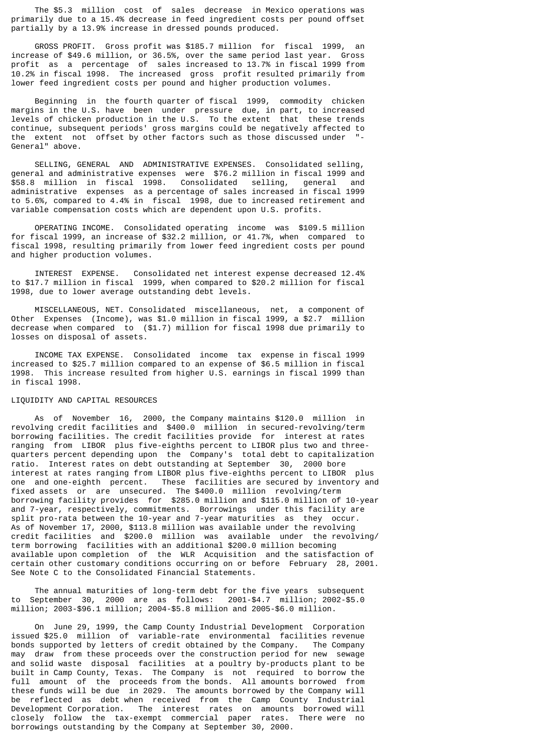The \$5.3 million cost of sales decrease in Mexico operations was primarily due to a 15.4% decrease in feed ingredient costs per pound offset partially by a 13.9% increase in dressed pounds produced.

 GROSS PROFIT. Gross profit was \$185.7 million for fiscal 1999, an increase of \$49.6 million, or 36.5%, over the same period last year. Gross profit as a percentage of sales increased to 13.7% in fiscal 1999 from 10.2% in fiscal 1998. The increased gross profit resulted primarily from lower feed ingredient costs per pound and higher production volumes.

 Beginning in the fourth quarter of fiscal 1999, commodity chicken margins in the U.S. have been under pressure due, in part, to increased levels of chicken production in the U.S. To the extent that these trends continue, subsequent periods' gross margins could be negatively affected to the extent not offset by other factors such as those discussed under General" above.

 SELLING, GENERAL AND ADMINISTRATIVE EXPENSES. Consolidated selling, general and administrative expenses were \$76.2 million in fiscal 1999 and \$58.8 million in fiscal 1998. Consolidated selling, general and administrative expenses as a percentage of sales increased in fiscal 1999 to 5.6%, compared to 4.4% in fiscal 1998, due to increased retirement and variable compensation costs which are dependent upon U.S. profits.

 OPERATING INCOME. Consolidated operating income was \$109.5 million for fiscal 1999, an increase of \$32.2 million, or 41.7%, when compared to fiscal 1998, resulting primarily from lower feed ingredient costs per pound and higher production volumes.

 INTEREST EXPENSE. Consolidated net interest expense decreased 12.4% to \$17.7 million in fiscal 1999, when compared to \$20.2 million for fiscal 1998, due to lower average outstanding debt levels.

 MISCELLANEOUS, NET. Consolidated miscellaneous, net, a component of Other Expenses (Income), was \$1.0 million in fiscal 1999, a \$2.7 million decrease when compared to (\$1.7) million for fiscal 1998 due primarily to losses on disposal of assets.

 INCOME TAX EXPENSE. Consolidated income tax expense in fiscal 1999 increased to \$25.7 million compared to an expense of \$6.5 million in fiscal 1998. This increase resulted from higher U.S. earnings in fiscal 1999 than in fiscal 1998.

### LIQUIDITY AND CAPITAL RESOURCES

 As of November 16, 2000, the Company maintains \$120.0 million in revolving credit facilities and \$400.0 million in secured-revolving/term borrowing facilities. The credit facilities provide for interest at rates ranging from LIBOR plus five-eighths percent to LIBOR plus two and threequarters percent depending upon the Company's total debt to capitalization ratio. Interest rates on debt outstanding at September 30, 2000 bore interest at rates ranging from LIBOR plus five-eighths percent to LIBOR plus one and one-eighth percent. These facilities are secured by inventory and fixed assets or are unsecured. The \$400.0 million revolving/term borrowing facility provides for \$285.0 million and \$115.0 million of 10-year and 7-year, respectively, commitments. Borrowings under this facility are split pro-rata between the 10-year and 7-year maturities as they occur. As of November 17, 2000, \$113.8 million was available under the revolving credit facilities and \$200.0 million was available under the revolving/ term borrowing facilities with an additional \$200.0 million becoming available upon completion of the WLR Acquisition and the satisfaction of certain other customary conditions occurring on or before February 28, 2001. See Note C to the Consolidated Financial Statements.

 The annual maturities of long-term debt for the five years subsequent to September 30, 2000 are as follows: 2001-\$4.7 million; 2002-\$5.0 million; 2003-\$96.1 million; 2004-\$5.8 million and 2005-\$6.0 million.

 On June 29, 1999, the Camp County Industrial Development Corporation issued \$25.0 million of variable-rate environmental facilities revenue bonds supported by letters of credit obtained by the Company. The Company may draw from these proceeds over the construction period for new sewage and solid waste disposal facilities at a poultry by-products plant to be built in Camp County, Texas. The Company is not required to borrow the full amount of the proceeds from the bonds. All amounts borrowed from these funds will be due in 2029. The amounts borrowed by the Company will be reflected as debt when received from the Camp County Industrial Development Corporation. The interest rates on amounts borrowed will closely follow the tax-exempt commercial paper rates. There were no borrowings outstanding by the Company at September 30, 2000.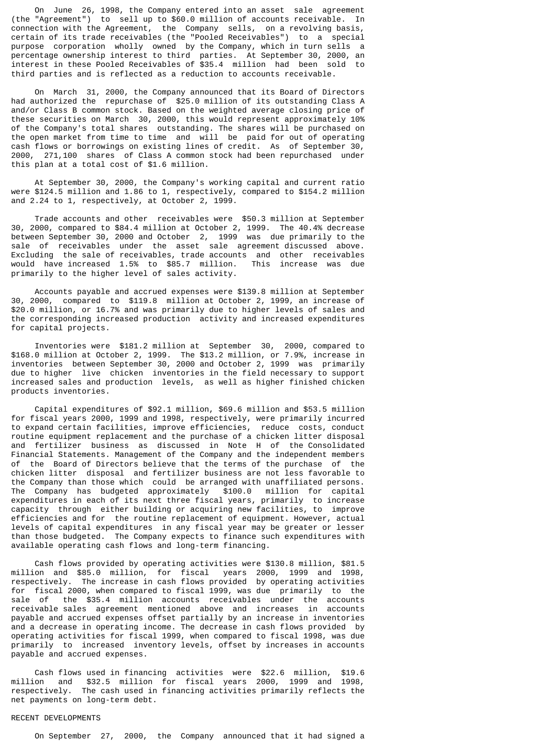On June 26, 1998, the Company entered into an asset sale agreement (the "Agreement") to sell up to \$60.0 million of accounts receivable. In connection with the Agreement, the Company sells, on a revolving basis, certain of its trade receivables (the "Pooled Receivables") to a special purpose corporation wholly owned by the Company, which in turn sells a percentage ownership interest to third parties. At September 30, 2000, an interest in these Pooled Receivables of \$35.4 million had been sold to third parties and is reflected as a reduction to accounts receivable.

 On March 31, 2000, the Company announced that its Board of Directors had authorized the repurchase of \$25.0 million of its outstanding Class A and/or Class B common stock. Based on the weighted average closing price of these securities on March 30, 2000, this would represent approximately 10% of the Company's total shares outstanding. The shares will be purchased on the open market from time to time and will be paid for out of operating cash flows or borrowings on existing lines of credit. As of September 30, 2000, 271,100 shares of Class A common stock had been repurchased under this plan at a total cost of \$1.6 million.

 At September 30, 2000, the Company's working capital and current ratio were \$124.5 million and 1.86 to 1, respectively, compared to \$154.2 million and 2.24 to 1, respectively, at October 2, 1999.

 Trade accounts and other receivables were \$50.3 million at September 30, 2000, compared to \$84.4 million at October 2, 1999. The 40.4% decrease between September 30, 2000 and October 2, 1999 was due primarily to the sale of receivables under the asset sale agreement discussed above. Excluding the sale of receivables, trade accounts and other receivables would have increased 1.5% to \$85.7 million. This increase was due primarily to the higher level of sales activity.

 Accounts payable and accrued expenses were \$139.8 million at September 30, 2000, compared to \$119.8 million at October 2, 1999, an increase of \$20.0 million, or 16.7% and was primarily due to higher levels of sales and the corresponding increased production activity and increased expenditures for capital projects.

 Inventories were \$181.2 million at September 30, 2000, compared to \$168.0 million at October 2, 1999. The \$13.2 million, or 7.9%, increase in inventories between September 30, 2000 and October 2, 1999 was primarily due to higher live chicken inventories in the field necessary to support increased sales and production levels, as well as higher finished chicken products inventories.

 Capital expenditures of \$92.1 million, \$69.6 million and \$53.5 million for fiscal years 2000, 1999 and 1998, respectively, were primarily incurred to expand certain facilities, improve efficiencies, reduce costs, conduct routine equipment replacement and the purchase of a chicken litter disposal and fertilizer business as discussed in Note H of the Consolidated Financial Statements. Management of the Company and the independent members of the Board of Directors believe that the terms of the purchase of the chicken litter disposal and fertilizer business are not less favorable to the Company than those which could be arranged with unaffiliated persons. The Company has budgeted approximately \$100.0 million for capital expenditures in each of its next three fiscal years, primarily to increase capacity through either building or acquiring new facilities, to improve efficiencies and for the routine replacement of equipment. However, actual levels of capital expenditures in any fiscal year may be greater or lesser than those budgeted. The Company expects to finance such expenditures with available operating cash flows and long-term financing.

 Cash flows provided by operating activities were \$130.8 million, \$81.5 million and \$85.0 million, for fiscal years 2000, 1999 and 1998, respectively. The increase in cash flows provided by operating activities for fiscal 2000, when compared to fiscal 1999, was due primarily to the sale of the \$35.4 million accounts receivables under the accounts receivable sales agreement mentioned above and increases in accounts payable and accrued expenses offset partially by an increase in inventories and a decrease in operating income. The decrease in cash flows provided by operating activities for fiscal 1999, when compared to fiscal 1998, was due primarily to increased inventory levels, offset by increases in accounts payable and accrued expenses.

 Cash flows used in financing activities were \$22.6 million, \$19.6 million and \$32.5 million for fiscal years 2000, 1999 and 1998, respectively. The cash used in financing activities primarily reflects the net payments on long-term debt.

### RECENT DEVELOPMENTS

On September 27, 2000, the Company announced that it had signed a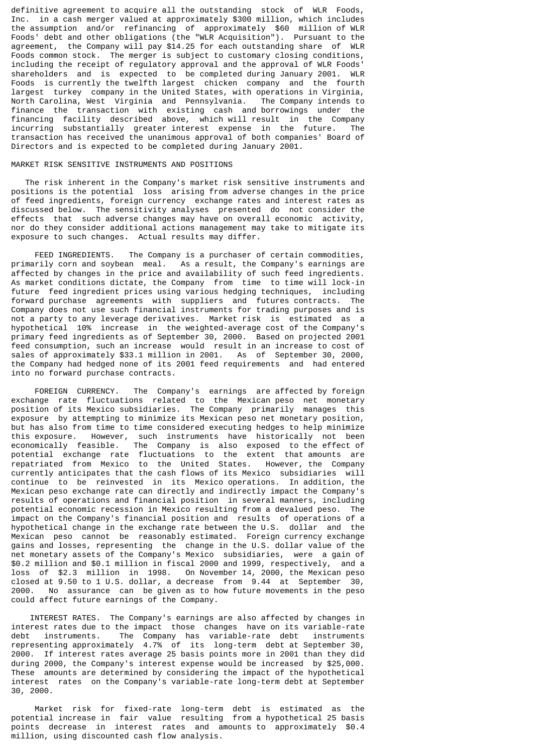definitive agreement to acquire all the outstanding stock of WLR Foods, Inc. in a cash merger valued at approximately \$300 million, which includes the assumption and/or refinancing of approximately \$60 million of WLR Foods' debt and other obligations (the "WLR Acquisition"). Pursuant to the agreement, the Company will pay \$14.25 for each outstanding share of WLR Foods common stock. The merger is subject to customary closing conditions, including the receipt of regulatory approval and the approval of WLR Foods' shareholders and is expected to be completed during January 2001. WLR Foods is currently the twelfth largest chicken company and the fourth largest turkey company in the United States, with operations in Virginia, North Carolina, West Virginia and Pennsylvania. The Company intends to finance the transaction with existing cash and borrowings under the financing facility described above, which will result in the Company incurring substantially greater interest expense in the future. The transaction has received the unanimous approval of both companies' Board of Directors and is expected to be completed during January 2001.

## MARKET RISK SENSITIVE INSTRUMENTS AND POSITIONS

 The risk inherent in the Company's market risk sensitive instruments and positions is the potential loss arising from adverse changes in the price of feed ingredients, foreign currency exchange rates and interest rates as discussed below. The sensitivity analyses presented do not consider the effects that such adverse changes may have on overall economic activity, nor do they consider additional actions management may take to mitigate its exposure to such changes. Actual results may differ.

 FEED INGREDIENTS. The Company is a purchaser of certain commodities, primarily corn and soybean meal. As a result, the Company's earnings are affected by changes in the price and availability of such feed ingredients. As market conditions dictate, the Company from time to time will lock-in future feed ingredient prices using various hedging techniques, including forward purchase agreements with suppliers and futures contracts. The Company does not use such financial instruments for trading purposes and is not a party to any leverage derivatives. Market risk is estimated as a hypothetical 10% increase in the weighted-average cost of the Company's primary feed ingredients as of September 30, 2000. Based on projected 2001 feed consumption, such an increase would result in an increase to cost of sales of approximately \$33.1 million in 2001. As of September 30, 2000, the Company had hedged none of its 2001 feed requirements and had entered into no forward purchase contracts.

 FOREIGN CURRENCY. The Company's earnings are affected by foreign exchange rate fluctuations related to the Mexican peso net monetary position of its Mexico subsidiaries. The Company primarily manages this exposure by attempting to minimize its Mexican peso net monetary position, but has also from time to time considered executing hedges to help minimize this exposure. However, such instruments have historically not been economically feasible. The Company is also exposed to the effect of potential exchange rate fluctuations to the extent that amounts are repatriated from Mexico to the United States. However, the Company currently anticipates that the cash flows of its Mexico subsidiaries will continue to be reinvested in its Mexico operations. In addition, the Mexican peso exchange rate can directly and indirectly impact the Company's results of operations and financial position in several manners, including potential economic recession in Mexico resulting from a devalued peso. The impact on the Company's financial position and results of operations of a hypothetical change in the exchange rate between the U.S. dollar and the Mexican peso cannot be reasonably estimated. Foreign currency exchange gains and losses, representing the change in the U.S. dollar value of the net monetary assets of the Company's Mexico subsidiaries, were a gain of \$0.2 million and \$0.1 million in fiscal 2000 and 1999, respectively, and a loss of \$2.3 million in 1998. On November 14, 2000, the Mexican peso closed at 9.50 to 1 U.S. dollar, a decrease from 9.44 at September 30, 2000. No assurance can be given as to how future movements in the peso could affect future earnings of the Company.

 INTEREST RATES. The Company's earnings are also affected by changes in interest rates due to the impact those changes have on its variable-rate<br>debt instruments. The Company has variable-rate debt instruments The  $\overline{c}$  company has variable-rate debt representing approximately 4.7% of its long-term debt at September 30, 2000. If interest rates average 25 basis points more in 2001 than they did during 2000, the Company's interest expense would be increased by \$25,000. These amounts are determined by considering the impact of the hypothetical interest rates on the Company's variable-rate long-term debt at September 30, 2000.

 Market risk for fixed-rate long-term debt is estimated as the potential increase in fair value resulting from a hypothetical 25 basis points decrease in interest rates and amounts to approximately \$0.4 million, using discounted cash flow analysis.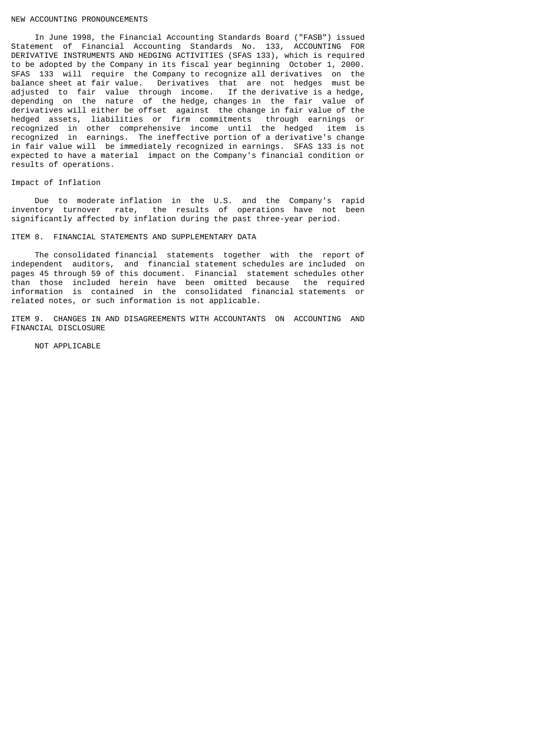#### NEW ACCOUNTING PRONOUNCEMENTS

 In June 1998, the Financial Accounting Standards Board ("FASB") issued Statement of Financial Accounting Standards No. 133, ACCOUNTING FOR DERIVATIVE INSTRUMENTS AND HEDGING ACTIVITIES (SFAS 133), which is required to be adopted by the Company in its fiscal year beginning October 1, 2000. SFAS 133 will require the Company to recognize all derivatives on the balance sheet at fair value. Derivatives that are not hedges must be adjusted to fair value through income. If the derivative is a hedge, depending on the nature of the hedge, changes in the fair value of derivatives will either be offset against the change in fair value of the hedged assets, liabilities or firm commitments through earnings or recognized in other comprehensive income until the hedged item is recognized in earnings. The ineffective portion of a derivative's change in fair value will be immediately recognized in earnings. SFAS 133 is not expected to have a material impact on the Company's financial condition or results of operations.

### Impact of Inflation

 Due to moderate inflation in the U.S. and the Company's rapid inventory turnover rate, the results of operations have not been significantly affected by inflation during the past three-year period.

ITEM 8. FINANCIAL STATEMENTS AND SUPPLEMENTARY DATA

 The consolidated financial statements together with the report of independent auditors, and financial statement schedules are included on pages 45 through 59 of this document. Financial statement schedules other than those included herein have been omitted because the required information is contained in the consolidated financial statements or related notes, or such information is not applicable.

ITEM 9. CHANGES IN AND DISAGREEMENTS WITH ACCOUNTANTS ON ACCOUNTING AND FINANCIAL DISCLOSURE

NOT APPLICABLE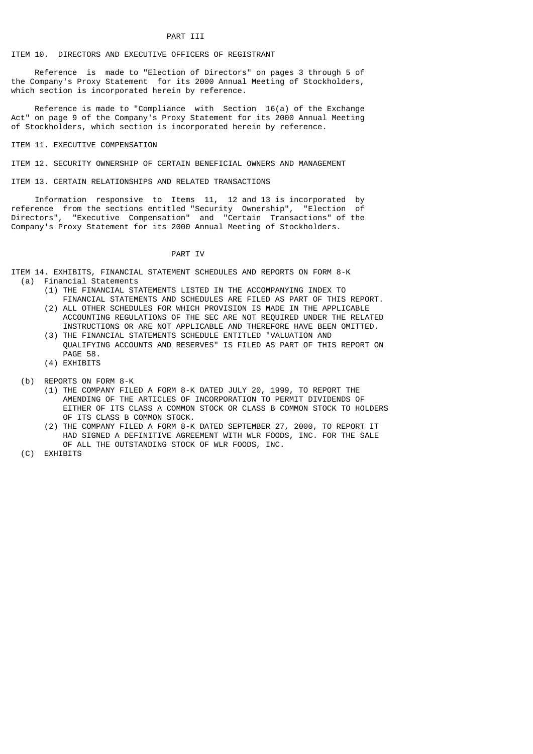### ITEM 10. DIRECTORS AND EXECUTIVE OFFICERS OF REGISTRANT

 Reference is made to "Election of Directors" on pages 3 through 5 of the Company's Proxy Statement for its 2000 Annual Meeting of Stockholders, which section is incorporated herein by reference.

 Reference is made to "Compliance with Section 16(a) of the Exchange Act" on page 9 of the Company's Proxy Statement for its 2000 Annual Meeting of Stockholders, which section is incorporated herein by reference.

### ITEM 11. EXECUTIVE COMPENSATION

ITEM 12. SECURITY OWNERSHIP OF CERTAIN BENEFICIAL OWNERS AND MANAGEMENT

ITEM 13. CERTAIN RELATIONSHIPS AND RELATED TRANSACTIONS

 Information responsive to Items 11, 12 and 13 is incorporated by reference from the sections entitled "Security Ownership", "Election of Directors", "Executive Compensation" and "Certain Transactions" of the Company's Proxy Statement for its 2000 Annual Meeting of Stockholders.

### PART IV

ITEM 14. EXHIBITS, FINANCIAL STATEMENT SCHEDULES AND REPORTS ON FORM 8-K (a) Financial Statements

- (1) THE FINANCIAL STATEMENTS LISTED IN THE ACCOMPANYING INDEX TO FINANCIAL STATEMENTS AND SCHEDULES ARE FILED AS PART OF THIS REPORT.
- (2) ALL OTHER SCHEDULES FOR WHICH PROVISION IS MADE IN THE APPLICABLE ACCOUNTING REGULATIONS OF THE SEC ARE NOT REQUIRED UNDER THE RELATED INSTRUCTIONS OR ARE NOT APPLICABLE AND THEREFORE HAVE BEEN OMITTED.
- (3) THE FINANCIAL STATEMENTS SCHEDULE ENTITLED "VALUATION AND QUALIFYING ACCOUNTS AND RESERVES" IS FILED AS PART OF THIS REPORT ON PAGE 58.
- (4) EXHIBITS
- (b) REPORTS ON FORM 8-K
	- (1) THE COMPANY FILED A FORM 8-K DATED JULY 20, 1999, TO REPORT THE AMENDING OF THE ARTICLES OF INCORPORATION TO PERMIT DIVIDENDS OF EITHER OF ITS CLASS A COMMON STOCK OR CLASS B COMMON STOCK TO HOLDERS OF ITS CLASS B COMMON STOCK.
	- (2) THE COMPANY FILED A FORM 8-K DATED SEPTEMBER 27, 2000, TO REPORT IT HAD SIGNED A DEFINITIVE AGREEMENT WITH WLR FOODS, INC. FOR THE SALE OF ALL THE OUTSTANDING STOCK OF WLR FOODS, INC.
- (C) EXHIBITS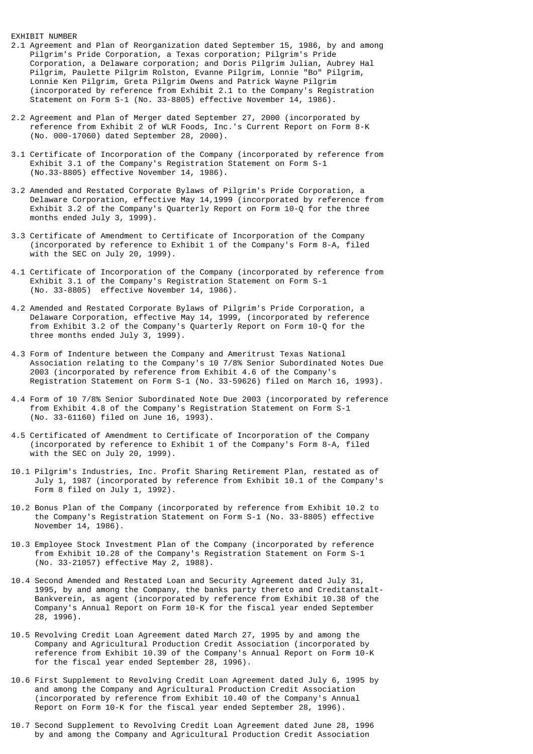### EXHIBIT NUMBER

- 2.1 Agreement and Plan of Reorganization dated September 15, 1986, by and among Pilgrim's Pride Corporation, a Texas corporation; Pilgrim's Pride Corporation, a Delaware corporation; and Doris Pilgrim Julian, Aubrey Hal Pilgrim, Paulette Pilgrim Rolston, Evanne Pilgrim, Lonnie "Bo" Pilgrim, Lonnie Ken Pilgrim, Greta Pilgrim Owens and Patrick Wayne Pilgrim (incorporated by reference from Exhibit 2.1 to the Company's Registration Statement on Form S-1 (No. 33-8805) effective November 14, 1986).
- 2.2 Agreement and Plan of Merger dated September 27, 2000 (incorporated by reference from Exhibit 2 of WLR Foods, Inc.'s Current Report on Form 8-K (No. 000-17060) dated September 28, 2000).
- 3.1 Certificate of Incorporation of the Company (incorporated by reference from Exhibit 3.1 of the Company's Registration Statement on Form S-1 (No.33-8805) effective November 14, 1986).
- 3.2 Amended and Restated Corporate Bylaws of Pilgrim's Pride Corporation, a Delaware Corporation, effective May 14,1999 (incorporated by reference from Exhibit 3.2 of the Company's Quarterly Report on Form 10-Q for the three months ended July 3, 1999).
- 3.3 Certificate of Amendment to Certificate of Incorporation of the Company (incorporated by reference to Exhibit 1 of the Company's Form 8-A, filed with the SEC on July 20, 1999).
- 4.1 Certificate of Incorporation of the Company (incorporated by reference from Exhibit 3.1 of the Company's Registration Statement on Form S-1 (No. 33-8805) effective November 14, 1986).
- 4.2 Amended and Restated Corporate Bylaws of Pilgrim's Pride Corporation, a Delaware Corporation, effective May 14, 1999, (incorporated by reference from Exhibit 3.2 of the Company's Quarterly Report on Form 10-Q for the three months ended July 3, 1999).
- 4.3 Form of Indenture between the Company and Ameritrust Texas National Association relating to the Company's 10 7/8% Senior Subordinated Notes Due 2003 (incorporated by reference from Exhibit 4.6 of the Company's Registration Statement on Form S-1 (No. 33-59626) filed on March 16, 1993).
- 4.4 Form of 10 7/8% Senior Subordinated Note Due 2003 (incorporated by reference from Exhibit 4.8 of the Company's Registration Statement on Form S-1 (No. 33-61160) filed on June 16, 1993).
- 4.5 Certificated of Amendment to Certificate of Incorporation of the Company (incorporated by reference to Exhibit 1 of the Company's Form 8-A, filed with the SEC on July 20, 1999).
- 10.1 Pilgrim's Industries, Inc. Profit Sharing Retirement Plan, restated as of July 1, 1987 (incorporated by reference from Exhibit 10.1 of the Company's Form 8 filed on July 1, 1992).
- 10.2 Bonus Plan of the Company (incorporated by reference from Exhibit 10.2 to the Company's Registration Statement on Form S-1 (No. 33-8805) effective November 14, 1986).
- 10.3 Employee Stock Investment Plan of the Company (incorporated by reference from Exhibit 10.28 of the Company's Registration Statement on Form S-1 (No. 33-21057) effective May 2, 1988).
- 10.4 Second Amended and Restated Loan and Security Agreement dated July 31, 1995, by and among the Company, the banks party thereto and Creditanstalt- Bankverein, as agent (incorporated by reference from Exhibit 10.38 of the Company's Annual Report on Form 10-K for the fiscal year ended September 28, 1996).
- 10.5 Revolving Credit Loan Agreement dated March 27, 1995 by and among the Company and Agricultural Production Credit Association (incorporated by reference from Exhibit 10.39 of the Company's Annual Report on Form 10-K for the fiscal year ended September 28, 1996).
- 10.6 First Supplement to Revolving Credit Loan Agreement dated July 6, 1995 by and among the Company and Agricultural Production Credit Association (incorporated by reference from Exhibit 10.40 of the Company's Annual Report on Form 10-K for the fiscal year ended September 28, 1996).
- 10.7 Second Supplement to Revolving Credit Loan Agreement dated June 28, 1996 by and among the Company and Agricultural Production Credit Association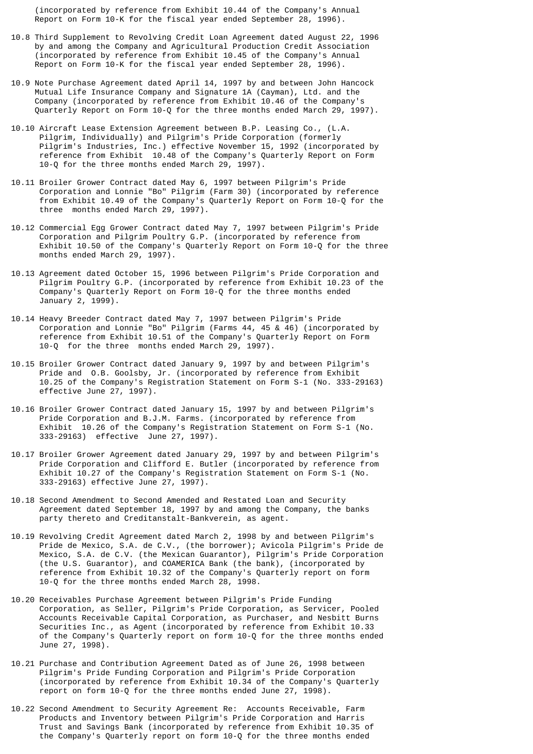(incorporated by reference from Exhibit 10.44 of the Company's Annual Report on Form 10-K for the fiscal year ended September 28, 1996).

- 10.8 Third Supplement to Revolving Credit Loan Agreement dated August 22, 1996 by and among the Company and Agricultural Production Credit Association (incorporated by reference from Exhibit 10.45 of the Company's Annual Report on Form 10-K for the fiscal year ended September 28, 1996).
- 10.9 Note Purchase Agreement dated April 14, 1997 by and between John Hancock Mutual Life Insurance Company and Signature 1A (Cayman), Ltd. and the Company (incorporated by reference from Exhibit 10.46 of the Company's Quarterly Report on Form 10-Q for the three months ended March 29, 1997).
- 10.10 Aircraft Lease Extension Agreement between B.P. Leasing Co., (L.A. Pilgrim, Individually) and Pilgrim's Pride Corporation (formerly Pilgrim's Industries, Inc.) effective November 15, 1992 (incorporated by reference from Exhibit 10.48 of the Company's Quarterly Report on Form 10-Q for the three months ended March 29, 1997).
- 10.11 Broiler Grower Contract dated May 6, 1997 between Pilgrim's Pride Corporation and Lonnie "Bo" Pilgrim (Farm 30) (incorporated by reference from Exhibit 10.49 of the Company's Quarterly Report on Form 10-Q for the three months ended March 29, 1997).
- 10.12 Commercial Egg Grower Contract dated May 7, 1997 between Pilgrim's Pride Corporation and Pilgrim Poultry G.P. (incorporated by reference from Exhibit 10.50 of the Company's Quarterly Report on Form 10-Q for the three months ended March 29, 1997).
- 10.13 Agreement dated October 15, 1996 between Pilgrim's Pride Corporation and Pilgrim Poultry G.P. (incorporated by reference from Exhibit 10.23 of the Company's Quarterly Report on Form 10-Q for the three months ended January 2, 1999).
- 10.14 Heavy Breeder Contract dated May 7, 1997 between Pilgrim's Pride Corporation and Lonnie "Bo" Pilgrim (Farms 44, 45 & 46) (incorporated by reference from Exhibit 10.51 of the Company's Quarterly Report on Form 10-Q for the three months ended March 29, 1997).
- 10.15 Broiler Grower Contract dated January 9, 1997 by and between Pilgrim's Pride and O.B. Goolsby, Jr. (incorporated by reference from Exhibit 10.25 of the Company's Registration Statement on Form S-1 (No. 333-29163) effective June 27, 1997).
- 10.16 Broiler Grower Contract dated January 15, 1997 by and between Pilgrim's Pride Corporation and B.J.M. Farms. (incorporated by reference from Exhibit 10.26 of the Company's Registration Statement on Form S-1 (No. 333-29163) effective June 27, 1997).
- 10.17 Broiler Grower Agreement dated January 29, 1997 by and between Pilgrim's Pride Corporation and Clifford E. Butler (incorporated by reference from Exhibit 10.27 of the Company's Registration Statement on Form S-1 (No. 333-29163) effective June 27, 1997).
- 10.18 Second Amendment to Second Amended and Restated Loan and Security Agreement dated September 18, 1997 by and among the Company, the banks party thereto and Creditanstalt-Bankverein, as agent.
- 10.19 Revolving Credit Agreement dated March 2, 1998 by and between Pilgrim's Pride de Mexico, S.A. de C.V., (the borrower); Avicola Pilgrim's Pride de Mexico, S.A. de C.V. (the Mexican Guarantor), Pilgrim's Pride Corporation (the U.S. Guarantor), and COAMERICA Bank (the bank), (incorporated by reference from Exhibit 10.32 of the Company's Quarterly report on form 10-Q for the three months ended March 28, 1998.
- 10.20 Receivables Purchase Agreement between Pilgrim's Pride Funding Corporation, as Seller, Pilgrim's Pride Corporation, as Servicer, Pooled Accounts Receivable Capital Corporation, as Purchaser, and Nesbitt Burns Securities Inc., as Agent (incorporated by reference from Exhibit 10.33 of the Company's Quarterly report on form 10-Q for the three months ended June 27, 1998).
- 10.21 Purchase and Contribution Agreement Dated as of June 26, 1998 between Pilgrim's Pride Funding Corporation and Pilgrim's Pride Corporation (incorporated by reference from Exhibit 10.34 of the Company's Quarterly report on form 10-Q for the three months ended June 27, 1998).
- 10.22 Second Amendment to Security Agreement Re: Accounts Receivable, Farm Products and Inventory between Pilgrim's Pride Corporation and Harris Trust and Savings Bank (incorporated by reference from Exhibit 10.35 of the Company's Quarterly report on form 10-Q for the three months ended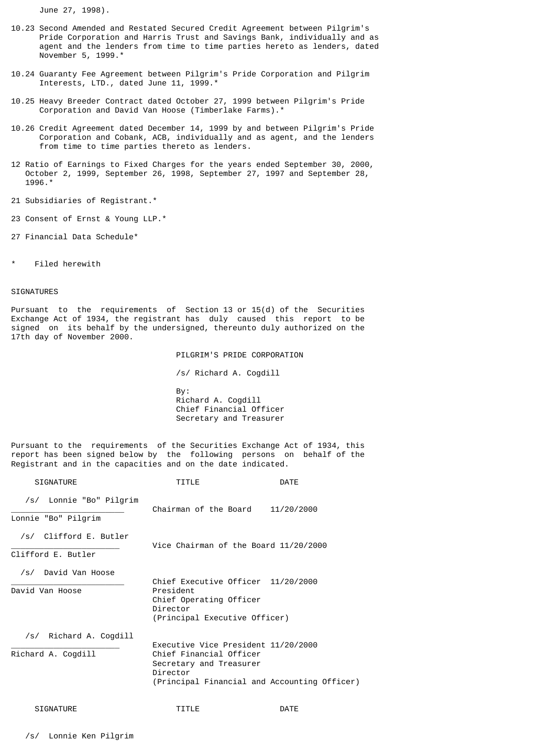June 27, 1998).

- 10.23 Second Amended and Restated Secured Credit Agreement between Pilgrim's Pride Corporation and Harris Trust and Savings Bank, individually and as agent and the lenders from time to time parties hereto as lenders, dated November 5, 1999.\*
- 10.24 Guaranty Fee Agreement between Pilgrim's Pride Corporation and Pilgrim Interests, LTD., dated June 11, 1999.\*
- 10.25 Heavy Breeder Contract dated October 27, 1999 between Pilgrim's Pride Corporation and David Van Hoose (Timberlake Farms).\*
- 10.26 Credit Agreement dated December 14, 1999 by and between Pilgrim's Pride Corporation and Cobank, ACB, individually and as agent, and the lenders from time to time parties thereto as lenders.
- 12 Ratio of Earnings to Fixed Charges for the years ended September 30, 2000, October 2, 1999, September 26, 1998, September 27, 1997 and September 28, 1996.\*
- 21 Subsidiaries of Registrant.\*
- 23 Consent of Ernst & Young LLP.\*
- 27 Financial Data Schedule\*
- Filed herewith

### **SIGNATURES**

Pursuant to the requirements of Section 13 or 15(d) of the Securities Exchange Act of 1934, the registrant has duly caused this report to be signed on its behalf by the undersigned, thereunto duly authorized on the 17th day of November 2000.

PILGRIM'S PRIDE CORPORATION

/s/ Richard A. Cogdill

 By: Richard A. Cogdill Chief Financial Officer Secretary and Treasurer

Pursuant to the requirements of the Securities Exchange Act of 1934, this report has been signed below by the following persons on behalf of the Registrant and in the capacities and on the date indicated.

| <b>SIGNATURE</b>                               | TITLE                                                                                                                                                 | DATE       |
|------------------------------------------------|-------------------------------------------------------------------------------------------------------------------------------------------------------|------------|
| /s/ Lonnie "Bo" Pilgrim<br>Lonnie "Bo" Pilgrim | Chairman of the Board                                                                                                                                 | 11/20/2000 |
| /s/ Clifford E. Butler<br>Clifford E. Butler   | Vice Chairman of the Board 11/20/2000                                                                                                                 |            |
| /s/ David Van Hoose<br>David Van Hoose         | Chief Executive Officer 11/20/2000<br>President<br>Chief Operating Officer<br>Director<br>(Principal Executive Officer)                               |            |
| /s/ Richard A. Cogdill<br>Richard A. Cogdill   | Executive Vice President 11/20/2000<br>Chief Financial Officer<br>Secretary and Treasurer<br>Director<br>(Principal Financial and Accounting Officer) |            |
| <b>SIGNATURE</b>                               | TITLE                                                                                                                                                 | DATE       |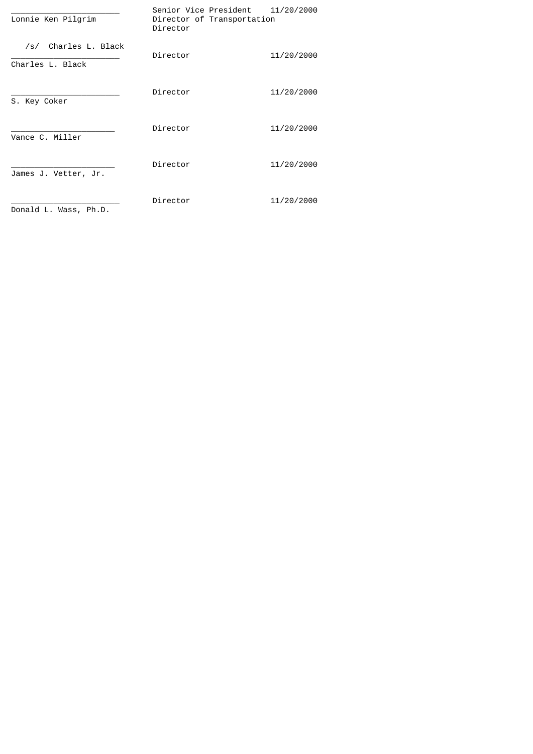| Lonnie Ken Pilgrim                       | Senior Vice President<br>Director of Transportation<br>Director | 11/20/2000 |
|------------------------------------------|-----------------------------------------------------------------|------------|
| /s/ Charles L. Black<br>Charles L. Black | Director                                                        | 11/20/2000 |
| S. Key Coker                             | Director                                                        | 11/20/2000 |
| Vance C. Miller                          | Director                                                        | 11/20/2000 |
| James J. Vetter, Jr.                     | Director                                                        | 11/20/2000 |
| Donald L. Wass, Ph.D.                    | Director                                                        | 11/20/2000 |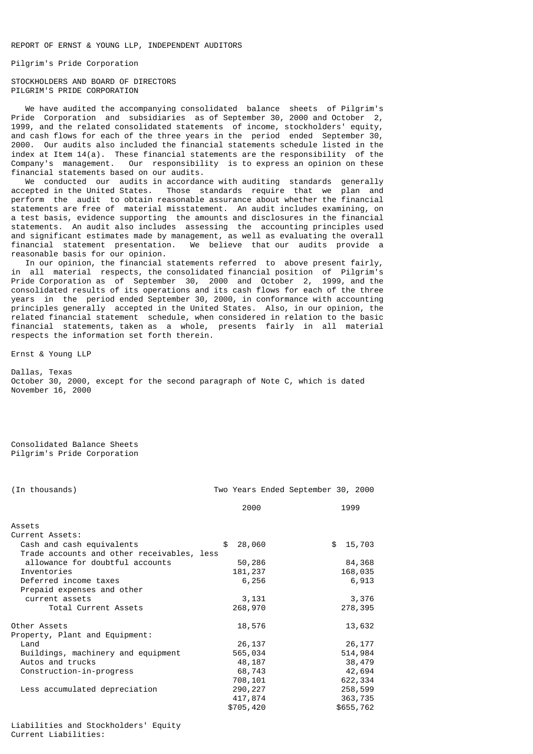REPORT OF ERNST & YOUNG LLP, INDEPENDENT AUDITORS

Pilgrim's Pride Corporation

STOCKHOLDERS AND BOARD OF DIRECTORS PILGRIM'S PRIDE CORPORATION

 We have audited the accompanying consolidated balance sheets of Pilgrim's Pride Corporation and subsidiaries as of September 30, 2000 and October 2, 1999, and the related consolidated statements of income, stockholders' equity, and cash flows for each of the three years in the period ended September 30, 2000. Our audits also included the financial statements schedule listed in the index at Item  $14(a)$ . These financial statements are the responsibility of the Company's management. Our responsibility is to express an opinion on these financial statements based on our audits.

 We conducted our audits in accordance with auditing standards generally accepted in the United States. Those standards require that we plan and perform the audit to obtain reasonable assurance about whether the financial statements are free of material misstatement. An audit includes examining, on a test basis, evidence supporting the amounts and disclosures in the financial statements. An audit also includes assessing the accounting principles used and significant estimates made by management, as well as evaluating the overall financial statement presentation. We believe that our audits provide a reasonable basis for our opinion.

 In our opinion, the financial statements referred to above present fairly, in all material respects, the consolidated financial position of Pilgrim's Pride Corporation as of September 30, 2000 and October 2, 1999, and the consolidated results of its operations and its cash flows for each of the three years in the period ended September 30, 2000, in conformance with accounting principles generally accepted in the United States. Also, in our opinion, the related financial statement schedule, when considered in relation to the basic financial statements, taken as a whole, presents fairly in all material respects the information set forth therein.

Ernst & Young LLP

Dallas, Texas October 30, 2000, except for the second paragraph of Note C, which is dated November 16, 2000

Consolidated Balance Sheets Pilgrim's Pride Corporation

| (In thousands)                             |              | Two Years Ended September 30, 2000 |              |
|--------------------------------------------|--------------|------------------------------------|--------------|
|                                            | 2000         |                                    | 1999         |
| Assets                                     |              |                                    |              |
| Current Assets:                            |              |                                    |              |
| Cash and cash equivalents                  | \$<br>28,060 |                                    | \$<br>15,703 |
| Trade accounts and other receivables, less |              |                                    |              |
| allowance for doubtful accounts            | 50,286       |                                    | 84,368       |
| Inventories                                | 181,237      |                                    | 168,035      |
| Deferred income taxes                      | 6,256        |                                    | 6,913        |
| Prepaid expenses and other                 |              |                                    |              |
| current assets                             | 3,131        |                                    | 3,376        |
| Total Current Assets                       | 268,970      |                                    | 278,395      |
| Other Assets                               | 18,576       |                                    | 13,632       |
| Property, Plant and Equipment:             |              |                                    |              |
| Land                                       | 26,137       |                                    | 26,177       |
| Buildings, machinery and equipment         | 565,034      |                                    | 514,984      |
| Autos and trucks                           | 48,187       |                                    | 38,479       |
| Construction-in-progress                   | 68,743       |                                    | 42,694       |
|                                            | 708,101      |                                    | 622,334      |
| Less accumulated depreciation              | 290, 227     |                                    | 258,599      |
|                                            | 417,874      |                                    | 363,735      |
|                                            | \$705,420    |                                    | \$655,762    |

Liabilities and Stockholders' Equity Current Liabilities: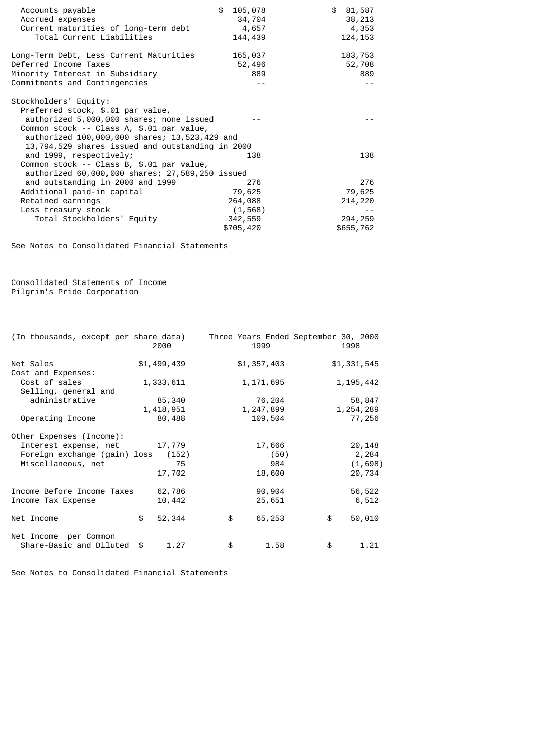| Accounts payable<br>Accrued expenses<br>Current maturities of long-term debt<br>Total Current Liabilities                                                                                                                                                | \$105,078<br>34,704<br>4,657<br>144,439 | \$81,587<br>38,213<br>4,353<br>124, 153 |
|----------------------------------------------------------------------------------------------------------------------------------------------------------------------------------------------------------------------------------------------------------|-----------------------------------------|-----------------------------------------|
| Long-Term Debt, Less Current Maturities<br>Deferred Income Taxes<br>Minority Interest in Subsidiary<br>Commitments and Contingencies                                                                                                                     | 165,037<br>52,496<br>889                | 183,753<br>52,708<br>889                |
| Stockholders' Equity:<br>Preferred stock, \$.01 par value,<br>authorized 5,000,000 shares; none issued<br>Common stock -- Class A, \$.01 par value,<br>authorized 100,000,000 shares; 13,523,429 and<br>13,794,529 shares issued and outstanding in 2000 |                                         |                                         |
| and 1999, respectively;<br>Common stock -- Class B, \$.01 par value,<br>authorized 60,000,000 shares; 27,589,250 issued                                                                                                                                  | 138                                     | 138                                     |
| and outstanding in 2000 and 1999                                                                                                                                                                                                                         | 276                                     | 276                                     |
| Additional paid-in capital                                                                                                                                                                                                                               | 79,625                                  | 79,625                                  |
| Retained earnings                                                                                                                                                                                                                                        | 264,088                                 | 214,220                                 |
| Less treasury stock                                                                                                                                                                                                                                      | (1, 568)                                |                                         |
| Total Stockholders' Equity                                                                                                                                                                                                                               | 342,559                                 | 294,259                                 |
|                                                                                                                                                                                                                                                          | \$705,420                               | \$655,762                               |

See Notes to Consolidated Financial Statements

Consolidated Statements of Income Pilgrim's Pride Corporation

| (In thousands, except per share data) | 2000         | Three Years Ended September 30, 2000<br>1999 |      | 1998         |
|---------------------------------------|--------------|----------------------------------------------|------|--------------|
| Net Sales                             | \$1,499,439  | \$1,357,403                                  |      | \$1,331,545  |
| Cost and Expenses:                    |              |                                              |      |              |
| Cost of sales                         | 1,333,611    | 1, 171, 695                                  |      | 1, 195, 442  |
| Selling, general and                  |              |                                              |      |              |
| administrative                        | 85,340       | 76,204                                       |      | 58,847       |
|                                       | 1,418,951    | 1,247,899                                    |      | 1, 254, 289  |
| Operating Income                      | 80,488       | 109,504                                      |      | 77,256       |
| Other Expenses (Income):              |              |                                              |      |              |
| Interest expense, net                 | 17,779       | 17,666                                       |      | 20,148       |
| Foreign exchange (gain) loss          | (152)        |                                              | (50) | 2,284        |
| Miscellaneous, net                    | 75           |                                              | 984  | (1,698)      |
|                                       | 17,702       | 18,600                                       |      | 20,734       |
| Income Before Income Taxes            | 62,786       | 90,904                                       |      | 56,522       |
| Income Tax Expense                    | 10,442       | 25,651                                       |      | 6,512        |
| Net Income                            | \$<br>52,344 | \$<br>65,253                                 |      | \$<br>50,010 |
| Net Income per Common                 |              |                                              |      |              |
| Share-Basic and Diluted               | \$<br>1.27   | \$                                           | 1.58 | \$<br>1.21   |

See Notes to Consolidated Financial Statements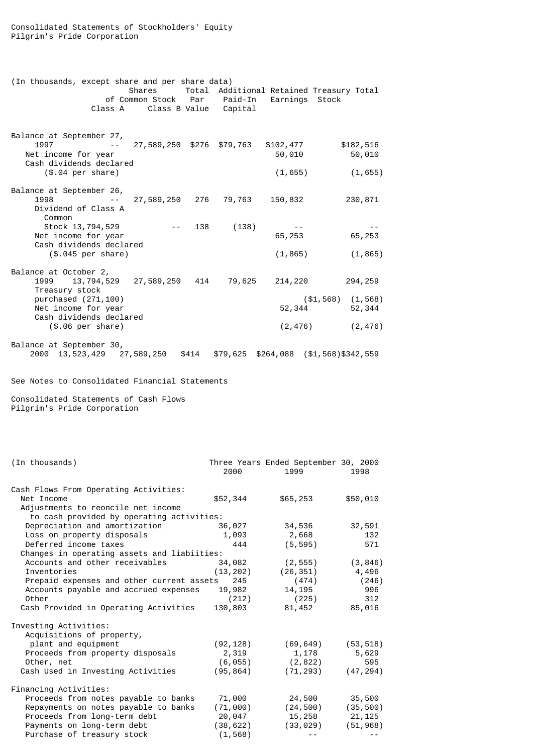| (In thousands, except share and per share data)<br>Class A                                                                                                  |                           |       | of Common Stock Par Paid-In<br>Class B Value Capital | Earnings Stock                 | Shares Total Additional Retained Treasury Total        |
|-------------------------------------------------------------------------------------------------------------------------------------------------------------|---------------------------|-------|------------------------------------------------------|--------------------------------|--------------------------------------------------------|
| Balance at September 27,<br>1997<br>Net income for year<br>Cash dividends declared<br>$($.04$ per share)                                                    | 27,589,250 \$276 \$79,763 |       |                                                      | \$102,477<br>50,010<br>(1,655) | \$182,516<br>50,010<br>(1, 655)                        |
| Balance at September 26,<br>1998<br>Dividend of Class A<br>Common                                                                                           | 27,589,250 276            |       | 79,763                                               | 150,832                        | 230,871                                                |
| Stock 13,794,529<br>Net income for year<br>Cash dividends declared<br>(\$.045 per share)                                                                    |                           | 138   | (138)                                                | 65,253<br>(1, 865)             | 65,253<br>(1, 865)                                     |
| Balance at October 2,<br>1999<br>13,794,529<br>Treasury stock<br>purchased (271,100)<br>Net income for year<br>Cash dividends declared<br>(\$.06 per share) | 27,589,250                | 414   | 79,625                                               | 214,220<br>52,344<br>(2, 476)  | 294,259<br>$( $1,568)$ $(1,568)$<br>52,344<br>(2, 476) |
| Balance at September 30,<br>13,523,429 27,589,250<br>2000                                                                                                   |                           | \$414 |                                                      |                                | $$79,625$ $$264,088$ $($1,568)$ \$342,559              |

See Notes to Consolidated Financial Statements

Consolidated Statements of Cash Flows Pilgrim's Pride Corporation

| (In thousands)                                                                            | 2000      | Three Years Ended September 30, 2000<br>1999 | 1998      |
|-------------------------------------------------------------------------------------------|-----------|----------------------------------------------|-----------|
| Cash Flows From Operating Activities:<br>Net Income<br>Adjustments to reoncile net income | \$52,344  | \$65,253                                     | \$50,010  |
| to cash provided by operating activities:                                                 |           |                                              |           |
| Depreciation and amortization                                                             | 36,027    | 34,536                                       | 32,591    |
| Loss on property disposals                                                                | 1,093     | 2,668                                        | 132       |
| Deferred income taxes                                                                     | 444       | (5, 595)                                     | 571       |
| Changes in operating assets and liabiities:                                               |           |                                              |           |
| Accounts and other receivables                                                            | 34,082    | (2, 555)                                     | (3, 846)  |
| Inventories                                                                               | (13, 202) | (26, 351)                                    | 4,496     |
| Prepaid expenses and other current assets                                                 | 245       | (474)                                        | (246)     |
| Accounts payable and accrued expenses                                                     | 19,982    | 14,195                                       | 996       |
| Other                                                                                     | (212)     | (225)                                        | 312       |
| Cash Provided in Operating Activities                                                     | 130,803   | 81,452                                       | 85,016    |
| Investing Activities:                                                                     |           |                                              |           |
| Acquisitions of property,                                                                 |           |                                              |           |
| plant and equipment                                                                       | (92, 128) | (69, 649)                                    | (53, 518) |
| Proceeds from property disposals                                                          | 2,319     | 1,178                                        | 5,629     |
| Other, net                                                                                | (6, 055)  | (2, 822)                                     | 595       |
| Cash Used in Investing Activities                                                         | (95, 864) | (71, 293)                                    | (47, 294) |
| Financing Activities:                                                                     |           |                                              |           |
| Proceeds from notes payable to banks                                                      | 71,000    | 24,500                                       | 35,500    |
| Repayments on notes payable to banks                                                      | (71,000)  | (24, 500)                                    | (35, 500) |
| Proceeds from long-term debt                                                              | 20,047    | 15, 258                                      | 21, 125   |
| Payments on long-term debt                                                                | (38, 622) | (33, 029)                                    | (51, 968) |
| Purchase of treasury stock                                                                | (1, 568)  |                                              |           |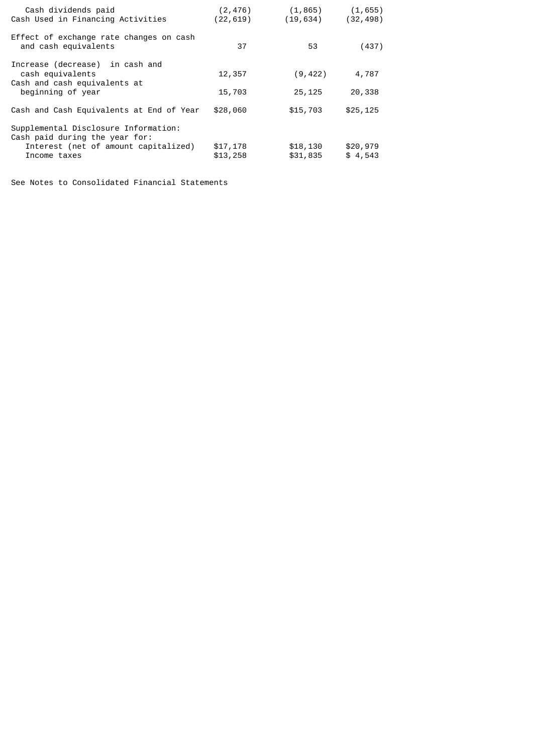| Cash dividends paid<br>Cash Used in Financing Activities                                                                       | (2, 476)<br>(22, 619) | (1, 865)<br>(19, 634) | (1, 655)<br>(32, 498) |
|--------------------------------------------------------------------------------------------------------------------------------|-----------------------|-----------------------|-----------------------|
| Effect of exchange rate changes on cash<br>and cash equivalents                                                                | 37                    | 53                    | (437)                 |
| Increase (decrease) in cash and<br>cash equivalents<br>Cash and cash equivalents at<br>beginning of year                       | 12,357<br>15,703      | (9, 422)<br>25,125    | 4,787<br>20,338       |
| Cash and Cash Equivalents at End of Year                                                                                       | \$28,060              | \$15,703              | \$25, 125             |
| Supplemental Disclosure Information:<br>Cash paid during the year for:<br>Interest (net of amount capitalized)<br>Income taxes | \$17,178<br>\$13,258  | \$18,130<br>\$31,835  | \$20,979<br>\$4,543   |

See Notes to Consolidated Financial Statements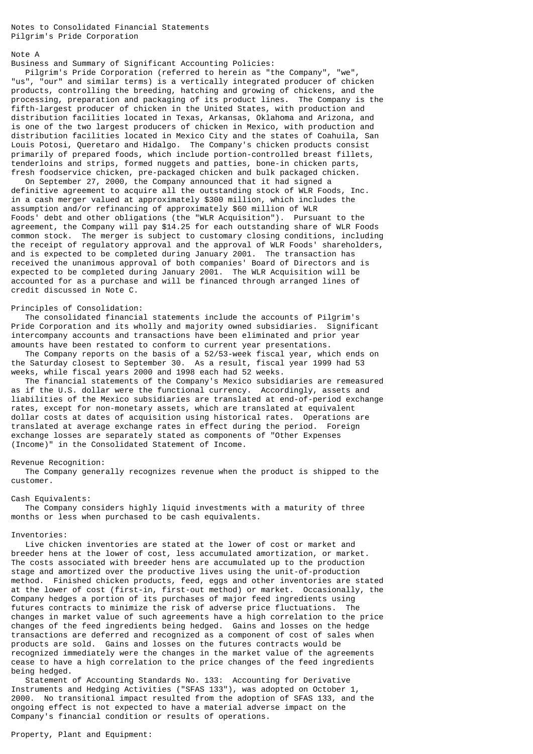Notes to Consolidated Financial Statements Pilgrim's Pride Corporation

### Note A

Business and Summary of Significant Accounting Policies:

 Pilgrim's Pride Corporation (referred to herein as "the Company", "we", "us", "our" and similar terms) is a vertically integrated producer of chicken products, controlling the breeding, hatching and growing of chickens, and the processing, preparation and packaging of its product lines. The Company is the fifth-largest producer of chicken in the United States, with production and distribution facilities located in Texas, Arkansas, Oklahoma and Arizona, and is one of the two largest producers of chicken in Mexico, with production and distribution facilities located in Mexico City and the states of Coahuila, San Louis Potosi, Queretaro and Hidalgo. The Company's chicken products consist primarily of prepared foods, which include portion-controlled breast fillets, tenderloins and strips, formed nuggets and patties, bone-in chicken parts, fresh foodservice chicken, pre-packaged chicken and bulk packaged chicken.

 On September 27, 2000, the Company announced that it had signed a definitive agreement to acquire all the outstanding stock of WLR Foods, Inc. in a cash merger valued at approximately \$300 million, which includes the assumption and/or refinancing of approximately \$60 million of WLR Foods' debt and other obligations (the "WLR Acquisition"). Pursuant to the agreement, the Company will pay \$14.25 for each outstanding share of WLR Foods common stock. The merger is subject to customary closing conditions, including the receipt of regulatory approval and the approval of WLR Foods' shareholders, and is expected to be completed during January 2001. The transaction has received the unanimous approval of both companies' Board of Directors and is expected to be completed during January 2001. The WLR Acquisition will be accounted for as a purchase and will be financed through arranged lines of credit discussed in Note C.

### Principles of Consolidation:

 The consolidated financial statements include the accounts of Pilgrim's Pride Corporation and its wholly and majority owned subsidiaries. Significant intercompany accounts and transactions have been eliminated and prior year amounts have been restated to conform to current year presentations.

 The Company reports on the basis of a 52/53-week fiscal year, which ends on the Saturday closest to September 30. As a result, fiscal year 1999 had 53 weeks, while fiscal years 2000 and 1998 each had 52 weeks.

 The financial statements of the Company's Mexico subsidiaries are remeasured as if the U.S. dollar were the functional currency. Accordingly, assets and liabilities of the Mexico subsidiaries are translated at end-of-period exchange rates, except for non-monetary assets, which are translated at equivalent dollar costs at dates of acquisition using historical rates. Operations are translated at average exchange rates in effect during the period. Foreign exchange losses are separately stated as components of "Other Expenses (Income)" in the Consolidated Statement of Income.

#### Revenue Recognition:

 The Company generally recognizes revenue when the product is shipped to the customer.

#### Cash Equivalents:

 The Company considers highly liquid investments with a maturity of three months or less when purchased to be cash equivalents.

#### Inventories:

 Live chicken inventories are stated at the lower of cost or market and breeder hens at the lower of cost, less accumulated amortization, or market. The costs associated with breeder hens are accumulated up to the production stage and amortized over the productive lives using the unit-of-production method. Finished chicken products, feed, eggs and other inventories are stated at the lower of cost (first-in, first-out method) or market. Occasionally, the Company hedges a portion of its purchases of major feed ingredients using futures contracts to minimize the risk of adverse price fluctuations. The changes in market value of such agreements have a high correlation to the price changes of the feed ingredients being hedged. Gains and losses on the hedge transactions are deferred and recognized as a component of cost of sales when products are sold. Gains and losses on the futures contracts would be recognized immediately were the changes in the market value of the agreements cease to have a high correlation to the price changes of the feed ingredients being hedged.

 Statement of Accounting Standards No. 133: Accounting for Derivative Instruments and Hedging Activities ("SFAS 133"), was adopted on October 1, 2000. No transitional impact resulted from the adoption of SFAS 133, and the ongoing effect is not expected to have a material adverse impact on the Company's financial condition or results of operations.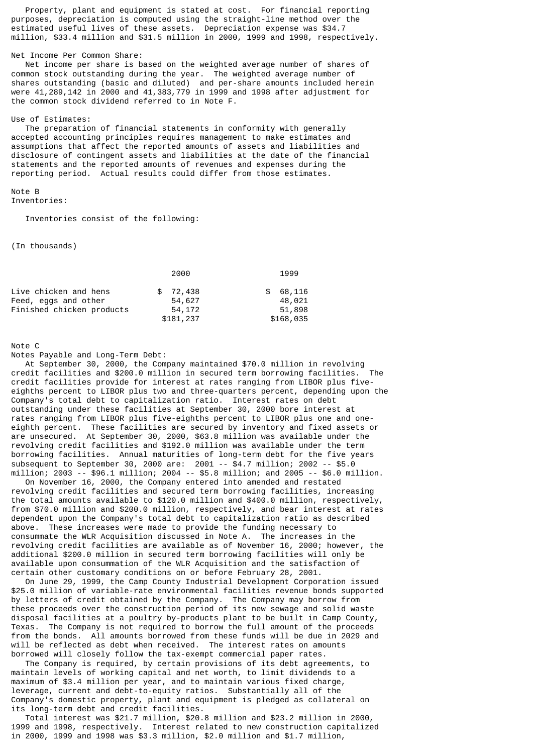Property, plant and equipment is stated at cost. For financial reporting purposes, depreciation is computed using the straight-line method over the estimated useful lives of these assets. Depreciation expense was \$34.7 million, \$33.4 million and \$31.5 million in 2000, 1999 and 1998, respectively.

#### Net Income Per Common Share:

 Net income per share is based on the weighted average number of shares of common stock outstanding during the year. The weighted average number of shares outstanding (basic and diluted) and per-share amounts included herein were 41,289,142 in 2000 and 41,383,779 in 1999 and 1998 after adjustment for the common stock dividend referred to in Note F.

#### Use of Estimates:

 The preparation of financial statements in conformity with generally accepted accounting principles requires management to make estimates and assumptions that affect the reported amounts of assets and liabilities and disclosure of contingent assets and liabilities at the date of the financial statements and the reported amounts of revenues and expenses during the reporting period. Actual results could differ from those estimates.

# Note B

Inventories:

Inventories consist of the following:

(In thousands)

|                           | 2000      | 1999          |
|---------------------------|-----------|---------------|
| Live chicken and hens     | \$72,438  | 68,116<br>SS. |
| Feed, eggs and other      | 54,627    | 48,021        |
| Finished chicken products | 54,172    | 51,898        |
|                           | \$181,237 | \$168,035     |

Note C

Notes Payable and Long-Term Debt:

 At September 30, 2000, the Company maintained \$70.0 million in revolving credit facilities and \$200.0 million in secured term borrowing facilities. The credit facilities provide for interest at rates ranging from LIBOR plus fiveeighths percent to LIBOR plus two and three-quarters percent, depending upon the Company's total debt to capitalization ratio. Interest rates on debt outstanding under these facilities at September 30, 2000 bore interest at rates ranging from LIBOR plus five-eighths percent to LIBOR plus one and oneeighth percent. These facilities are secured by inventory and fixed assets or are unsecured. At September 30, 2000, \$63.8 million was available under the revolving credit facilities and \$192.0 million was available under the term borrowing facilities. Annual maturities of long-term debt for the five years subsequent to September 30, 2000 are: 2001 -- \$4.7 million; 2002 -- \$5.0 million; 2003 -- \$96.1 million; 2004 -- \$5.8 million; and 2005 -- \$6.0 million.

 On November 16, 2000, the Company entered into amended and restated revolving credit facilities and secured term borrowing facilities, increasing the total amounts available to \$120.0 million and \$400.0 million, respectively, from \$70.0 million and \$200.0 million, respectively, and bear interest at rates dependent upon the Company's total debt to capitalization ratio as described above. These increases were made to provide the funding necessary to consummate the WLR Acquisition discussed in Note A. The increases in the revolving credit facilities are available as of November 16, 2000; however, the additional \$200.0 million in secured term borrowing facilities will only be available upon consummation of the WLR Acquisition and the satisfaction of certain other customary conditions on or before February 28, 2001.

 On June 29, 1999, the Camp County Industrial Development Corporation issued \$25.0 million of variable-rate environmental facilities revenue bonds supported by letters of credit obtained by the Company. The Company may borrow from these proceeds over the construction period of its new sewage and solid waste disposal facilities at a poultry by-products plant to be built in Camp County, Texas. The Company is not required to borrow the full amount of the proceeds from the bonds. All amounts borrowed from these funds will be due in 2029 and will be reflected as debt when received. The interest rates on amounts borrowed will closely follow the tax-exempt commercial paper rates.

 The Company is required, by certain provisions of its debt agreements, to maintain levels of working capital and net worth, to limit dividends to a maximum of \$3.4 million per year, and to maintain various fixed charge, leverage, current and debt-to-equity ratios. Substantially all of the Company's domestic property, plant and equipment is pledged as collateral on its long-term debt and credit facilities.

 Total interest was \$21.7 million, \$20.8 million and \$23.2 million in 2000, 1999 and 1998, respectively. Interest related to new construction capitalized in 2000, 1999 and 1998 was \$3.3 million, \$2.0 million and \$1.7 million,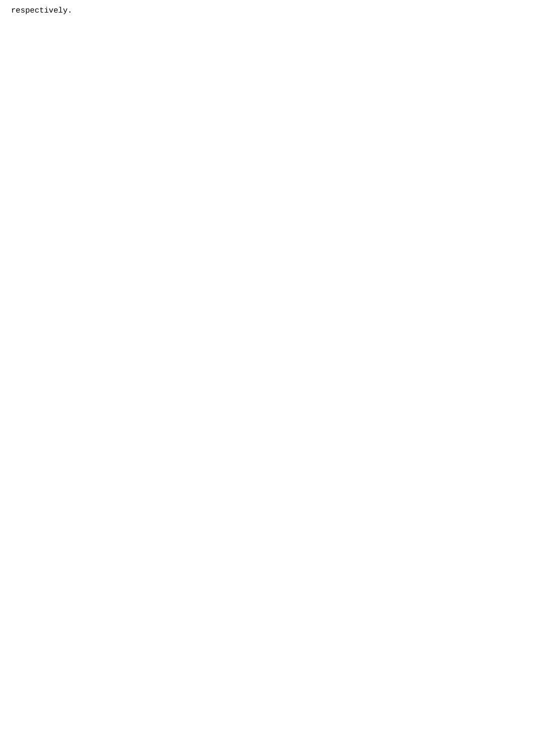respectively.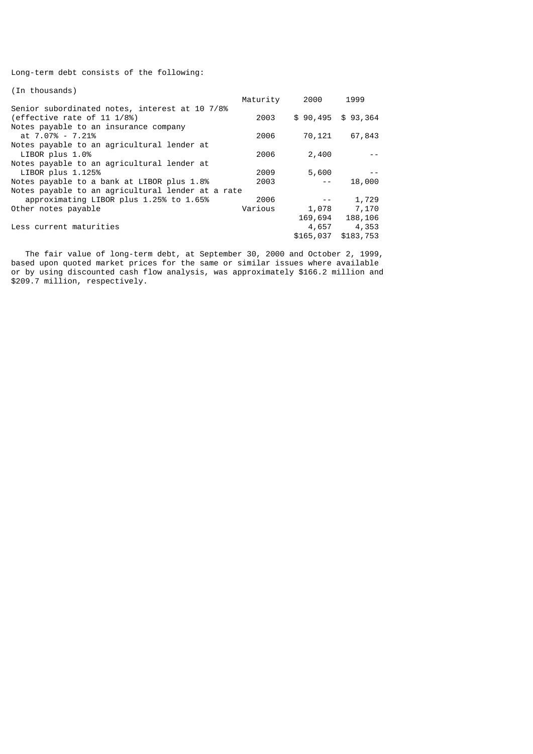Long-term debt consists of the following:

| (In thousands)                                    |          |           |                    |
|---------------------------------------------------|----------|-----------|--------------------|
|                                                   | Maturity | 2000      | 1999               |
| Senior subordinated notes, interest at 10 7/8%    |          |           |                    |
| (effective rate of 11 1/8%)                       | 2003     |           | $$90,495$ \$93,364 |
| Notes payable to an insurance company             |          |           |                    |
| at 7.07% - 7.21%                                  | 2006     | 70,121    | 67,843             |
| Notes payable to an agricultural lender at        |          |           |                    |
| LIBOR plus 1.0%                                   | 2006     | 2,400     |                    |
| Notes payable to an agricultural lender at        |          |           |                    |
| LIBOR plus 1.125%                                 | 2009     | 5,600     |                    |
| Notes payable to a bank at LIBOR plus 1.8%        | 2003     |           | 18,000             |
| Notes payable to an agricultural lender at a rate |          |           |                    |
| approximating LIBOR plus 1.25% to 1.65%           | 2006     |           | 1,729              |
| Other notes payable                               | Various  | 1,078     | 7,170              |
|                                                   |          | 169,694   | 188,106            |
| Less current maturities                           |          | 4,657     | 4,353              |
|                                                   |          | \$165,037 | \$183,753          |

 The fair value of long-term debt, at September 30, 2000 and October 2, 1999, based upon quoted market prices for the same or similar issues where available or by using discounted cash flow analysis, was approximately \$166.2 million and \$209.7 million, respectively.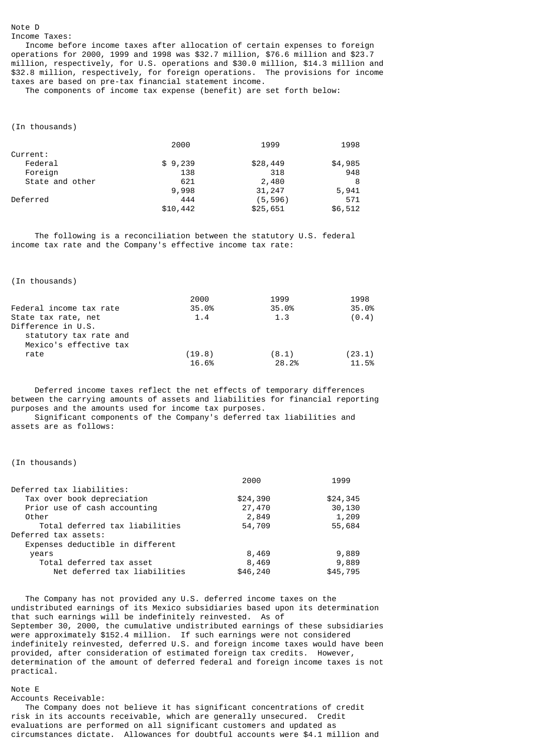### Note D

Income Taxes:

 Income before income taxes after allocation of certain expenses to foreign operations for 2000, 1999 and 1998 was \$32.7 million, \$76.6 million and \$23.7 million, respectively, for U.S. operations and \$30.0 million, \$14.3 million and \$32.8 million, respectively, for foreign operations. The provisions for income taxes are based on pre-tax financial statement income.

The components of income tax expense (benefit) are set forth below:

(In thousands)

|                 | 2000     | 1999     | 1998    |
|-----------------|----------|----------|---------|
| Current:        |          |          |         |
| Federal         | \$9,239  | \$28,449 | \$4,985 |
| Foreign         | 138      | 318      | 948     |
| State and other | 621      | 2,480    | 8       |
|                 | 9,998    | 31,247   | 5,941   |
| Deferred        | 444      | (5, 596) | 571     |
|                 | \$10,442 | \$25,651 | \$6,512 |

 The following is a reconciliation between the statutory U.S. federal income tax rate and the Company's effective income tax rate:

(In thousands)

|                         | 2000   | 1999  | 1998   |
|-------------------------|--------|-------|--------|
| Federal income tax rate | 35.0%  | 35.0% | 35.0%  |
| State tax rate, net     | 1.4    | 1.3   | (0.4)  |
| Difference in U.S.      |        |       |        |
| statutory tax rate and  |        |       |        |
| Mexico's effective tax  |        |       |        |
| rate                    | (19.8) | (8.1) | (23.1) |
|                         | 16.6%  | 28.2% | 11.5%  |

 Deferred income taxes reflect the net effects of temporary differences between the carrying amounts of assets and liabilities for financial reporting purposes and the amounts used for income tax purposes. Significant components of the Company's deferred tax liabilities and assets are as follows:

(In thousands)

|                                  | 2000     | 1999     |
|----------------------------------|----------|----------|
| Deferred tax liabilities:        |          |          |
| Tax over book depreciation       | \$24,390 | \$24,345 |
| Prior use of cash accounting     | 27,470   | 30,130   |
| Other                            | 2,849    | 1,209    |
| Total deferred tax liabilities   | 54,709   | 55,684   |
| Deferred tax assets:             |          |          |
| Expenses deductible in different |          |          |
| years                            | 8,469    | 9,889    |
| Total deferred tax asset         | 8,469    | 9,889    |
| Net deferred tax liabilities     | \$46,240 | \$45,795 |

 The Company has not provided any U.S. deferred income taxes on the undistributed earnings of its Mexico subsidiaries based upon its determination that such earnings will be indefinitely reinvested. As of September 30, 2000, the cumulative undistributed earnings of these subsidiaries were approximately \$152.4 million. If such earnings were not considered indefinitely reinvested, deferred U.S. and foreign income taxes would have been provided, after consideration of estimated foreign tax credits. However, determination of the amount of deferred federal and foreign income taxes is not practical.

Note E

Accounts Receivable:

 The Company does not believe it has significant concentrations of credit risk in its accounts receivable, which are generally unsecured. Credit evaluations are performed on all significant customers and updated as circumstances dictate. Allowances for doubtful accounts were \$4.1 million and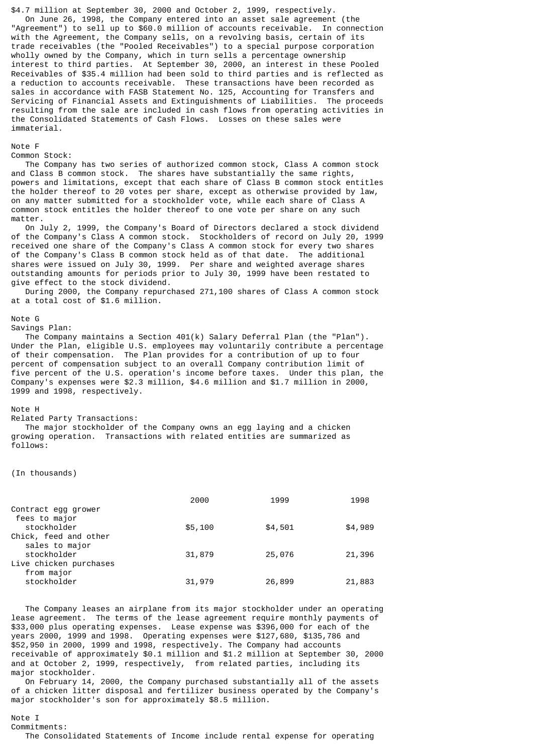\$4.7 million at September 30, 2000 and October 2, 1999, respectively. On June 26, 1998, the Company entered into an asset sale agreement (the "Agreement") to sell up to \$60.0 million of accounts receivable. In connection with the Agreement, the Company sells, on a revolving basis, certain of its trade receivables (the "Pooled Receivables") to a special purpose corporation wholly owned by the Company, which in turn sells a percentage ownership interest to third parties. At September 30, 2000, an interest in these Pooled Receivables of \$35.4 million had been sold to third parties and is reflected as a reduction to accounts receivable. These transactions have been recorded as sales in accordance with FASB Statement No. 125, Accounting for Transfers and Servicing of Financial Assets and Extinguishments of Liabilities. The proceeds resulting from the sale are included in cash flows from operating activities in the Consolidated Statements of Cash Flows. Losses on these sales were immaterial.

# Note F

#### Common Stock:

 The Company has two series of authorized common stock, Class A common stock and Class B common stock. The shares have substantially the same rights, powers and limitations, except that each share of Class B common stock entitles the holder thereof to 20 votes per share, except as otherwise provided by law, on any matter submitted for a stockholder vote, while each share of Class A common stock entitles the holder thereof to one vote per share on any such matter.

 On July 2, 1999, the Company's Board of Directors declared a stock dividend of the Company's Class A common stock. Stockholders of record on July 20, 1999 received one share of the Company's Class A common stock for every two shares of the Company's Class B common stock held as of that date. The additional shares were issued on July 30, 1999. Per share and weighted average shares outstanding amounts for periods prior to July 30, 1999 have been restated to give effect to the stock dividend.

 During 2000, the Company repurchased 271,100 shares of Class A common stock at a total cost of \$1.6 million.

# Note G

### Savings Plan:

 The Company maintains a Section 401(k) Salary Deferral Plan (the "Plan"). Under the Plan, eligible U.S. employees may voluntarily contribute a percentage of their compensation. The Plan provides for a contribution of up to four percent of compensation subject to an overall Company contribution limit of five percent of the U.S. operation's income before taxes. Under this plan, the Company's expenses were \$2.3 million, \$4.6 million and \$1.7 million in 2000, 1999 and 1998, respectively.

#### Note H

#### Related Party Transactions:

 The major stockholder of the Company owns an egg laying and a chicken growing operation. Transactions with related entities are summarized as follows:

(In thousands)

|                        | 2000    | 1999    | 1998    |
|------------------------|---------|---------|---------|
| Contract egg grower    |         |         |         |
| fees to major          |         |         |         |
| stockholder            | \$5,100 | \$4,501 | \$4,989 |
| Chick, feed and other  |         |         |         |
| sales to major         |         |         |         |
| stockholder            | 31,879  | 25,076  | 21,396  |
| Live chicken purchases |         |         |         |
| from major             |         |         |         |
| stockholder            | 31,979  | 26,899  | 21,883  |

 The Company leases an airplane from its major stockholder under an operating lease agreement. The terms of the lease agreement require monthly payments of \$33,000 plus operating expenses. Lease expense was \$396,000 for each of the years 2000, 1999 and 1998. Operating expenses were \$127,680, \$135,786 and \$52,950 in 2000, 1999 and 1998, respectively. The Company had accounts receivable of approximately \$0.1 million and \$1.2 million at September 30, 2000 and at October 2, 1999, respectively, from related parties, including its major stockholder.

 On February 14, 2000, the Company purchased substantially all of the assets of a chicken litter disposal and fertilizer business operated by the Company's major stockholder's son for approximately \$8.5 million.

#### Note I

Commitments:

The Consolidated Statements of Income include rental expense for operating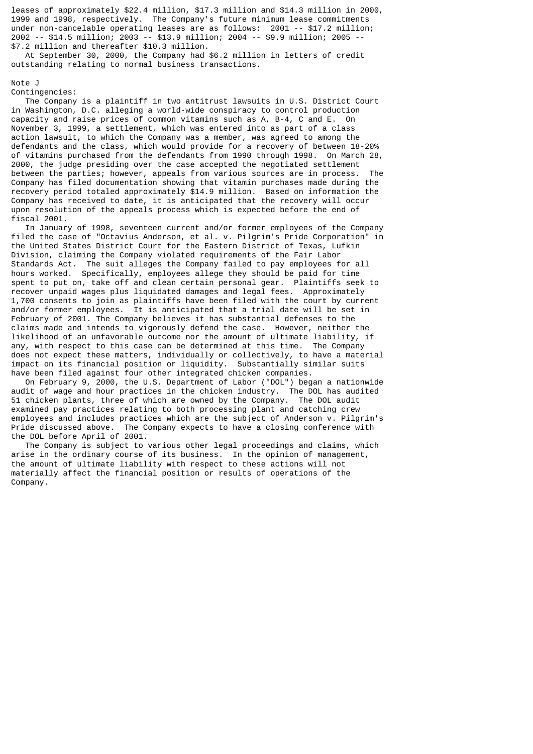leases of approximately \$22.4 million, \$17.3 million and \$14.3 million in 2000, 1999 and 1998, respectively. The Company's future minimum lease commitments under non-cancelable operating leases are as follows: 2001 -- \$17.2 million; 2002 -- \$14.5 million; 2003 -- \$13.9 million; 2004 -- \$9.9 million; 2005 -- \$7.2 million and thereafter \$10.3 million.

 At September 30, 2000, the Company had \$6.2 million in letters of credit outstanding relating to normal business transactions.

Note J

Contingencies:

 The Company is a plaintiff in two antitrust lawsuits in U.S. District Court in Washington, D.C. alleging a world-wide conspiracy to control production capacity and raise prices of common vitamins such as A, B-4, C and E. On November 3, 1999, a settlement, which was entered into as part of a class action lawsuit, to which the Company was a member, was agreed to among the defendants and the class, which would provide for a recovery of between 18-20% of vitamins purchased from the defendants from 1990 through 1998. On March 28, 2000, the judge presiding over the case accepted the negotiated settlement between the parties; however, appeals from various sources are in process. The Company has filed documentation showing that vitamin purchases made during the recovery period totaled approximately \$14.9 million. Based on information the Company has received to date, it is anticipated that the recovery will occur upon resolution of the appeals process which is expected before the end of fiscal 2001.

 In January of 1998, seventeen current and/or former employees of the Company filed the case of "Octavius Anderson, et al. v. Pilgrim's Pride Corporation" in the United States District Court for the Eastern District of Texas, Lufkin Division, claiming the Company violated requirements of the Fair Labor Standards Act. The suit alleges the Company failed to pay employees for all hours worked. Specifically, employees allege they should be paid for time spent to put on, take off and clean certain personal gear. Plaintiffs seek to recover unpaid wages plus liquidated damages and legal fees. Approximately 1,700 consents to join as plaintiffs have been filed with the court by current and/or former employees. It is anticipated that a trial date will be set in February of 2001. The Company believes it has substantial defenses to the claims made and intends to vigorously defend the case. However, neither the likelihood of an unfavorable outcome nor the amount of ultimate liability, if any, with respect to this case can be determined at this time. The Company does not expect these matters, individually or collectively, to have a material impact on its financial position or liquidity. Substantially similar suits have been filed against four other integrated chicken companies.

 On February 9, 2000, the U.S. Department of Labor ("DOL") began a nationwide audit of wage and hour practices in the chicken industry. The DOL has audited 51 chicken plants, three of which are owned by the Company. The DOL audit examined pay practices relating to both processing plant and catching crew employees and includes practices which are the subject of Anderson v. Pilgrim's Pride discussed above. The Company expects to have a closing conference with the DOL before April of 2001.

 The Company is subject to various other legal proceedings and claims, which arise in the ordinary course of its business. In the opinion of management, the amount of ultimate liability with respect to these actions will not materially affect the financial position or results of operations of the Company.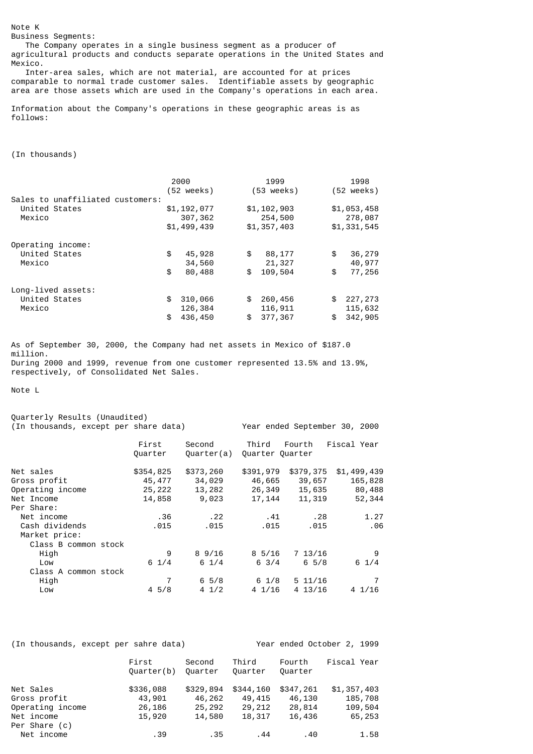Business Segments: The Company operates in a single business segment as a producer of agricultural products and conducts separate operations in the United States and Mexico.

 Inter-area sales, which are not material, are accounted for at prices comparable to normal trade customer sales. Identifiable assets by geographic area are those assets which are used in the Company's operations in each area.

Information about the Company's operations in these geographic areas is as follows:

(In thousands)

Note K

|                                  | 2000        | 1999        | 1998                 |
|----------------------------------|-------------|-------------|----------------------|
|                                  | (52 weeks)  | (53 weeks)  | $(52 \text{ weeks})$ |
| Sales to unaffiliated customers: | \$1,192,077 | \$1,102,903 | \$1,053,458          |
| United States                    | 307,362     | 254,500     | 278,087              |
| Mexico                           | \$1,499,439 | \$1,357,403 | \$1,331,545          |
|                                  |             |             |                      |
| Operating income:                |             |             |                      |
| United States                    | \$          | \$          | 36,279               |
|                                  | 45,928      | 88,177      | \$                   |
| Mexico                           | 34,560      | 21,327      | 40,977               |
|                                  | \$          | 109,504     | \$                   |
|                                  | 80,488      | \$          | 77,256               |
| Long-lived assets:               |             |             |                      |
| United States                    | 310,066     | \$          | 227,273              |
|                                  | \$          | 260,456     | \$                   |
| Mexico                           | 126,384     | 116,911     | 115,632              |
|                                  | 436,450     | 377,367     | 342,905              |
|                                  | \$          | \$          | \$                   |

As of September 30, 2000, the Company had net assets in Mexico of \$187.0 million. During 2000 and 1999, revenue from one customer represented 13.5% and 13.9%, respectively, of Consolidated Net Sales.

Note L

| Quarterly Results (Unaudited)         |                 |                 |                  |                |                               |
|---------------------------------------|-----------------|-----------------|------------------|----------------|-------------------------------|
| (In thousands, except per share data) |                 |                 |                  |                | Year ended September 30, 2000 |
|                                       | First           | Second          | Third            | Fourth         | Fiscal Year                   |
|                                       | Quarter         | Quarter(a)      | Quarter Quarter  |                |                               |
| Net sales                             | \$354,825       | \$373,260       | \$391,979        | \$379,375      | \$1,499,439                   |
| Gross profit                          | 45,477          | 34,029          | 46,665           | 39,657         | 165,828                       |
| Operating income                      | 25,222          | 13,282          | 26,349           | 15,635         | 80,488                        |
| Net Income                            | 14,858          | 9,023           | 17,144           | 11,319         | 52,344                        |
| Per Share:                            |                 |                 |                  |                |                               |
| Net income                            | .36             | .22             | . 41             | . 28           | 1.27                          |
| Cash dividends                        | .015            | .015            | .015             | .015           | .06                           |
| Market price:                         |                 |                 |                  |                |                               |
| Class B common stock                  |                 |                 |                  |                |                               |
| High                                  | 9               | $8\,9/16$       | $8\frac{5}{16}$  | 713/16         | 9                             |
| Low                                   | $6 \frac{1}{4}$ | $6 \frac{1}{4}$ | $6 \frac{3}{4}$  | $6\frac{5}{8}$ | $6 \frac{1}{4}$               |
| Class A common stock                  |                 |                 |                  |                |                               |
| High                                  |                 | $6\frac{5}{8}$  | 6 1/8            | $5\;11/16$     |                               |
| Low                                   | $4\,5/8$        | $4 \frac{1}{2}$ | $4 \frac{1}{16}$ | 4 13/16        | 41/16                         |

| (In thousands, except per sahre data) |                     |                   | Year ended October 2, 1999 |                   |             |
|---------------------------------------|---------------------|-------------------|----------------------------|-------------------|-------------|
|                                       | First<br>Quarter(b) | Second<br>Quarter | Third<br>Quarter           | Fourth<br>Quarter | Fiscal Year |
| Net Sales                             | \$336,088           | \$329,894         | \$344,160                  | \$347,261         | \$1,357,403 |
| Gross profit                          | 43,901              | 46,262            | 49,415                     | 46,130            | 185,708     |
| Operating income                      | 26,186              | 25,292            | 29,212                     | 28,814            | 109,504     |
| Net income                            | 15,920              | 14,580            | 18,317                     | 16,436            | 65,253      |
| Per Share (c)                         |                     |                   |                            |                   |             |
| Net income                            | .39                 | .35               | .44                        | .40               | 1.58        |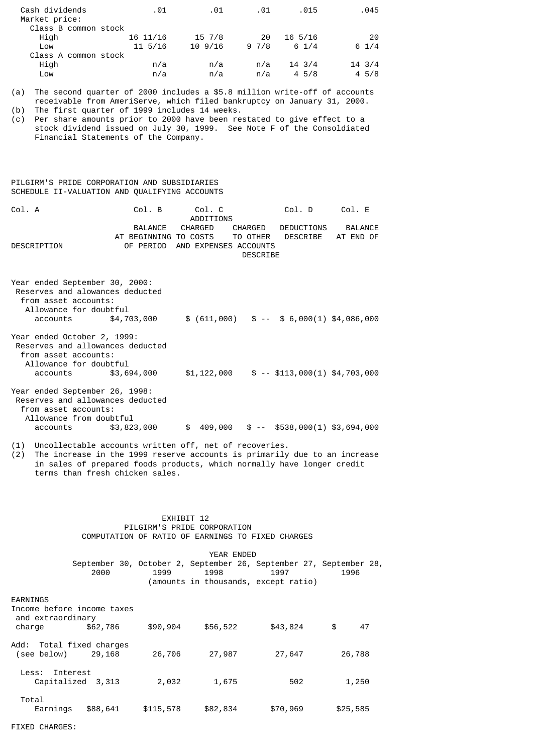| Cash dividends<br>Market price: | .01        | .01    | .01  | .015             | .045             |
|---------------------------------|------------|--------|------|------------------|------------------|
| Class B common stock            |            |        |      |                  |                  |
| High                            | 16 11/16   | 15 7/8 | 20   | $16\;\;5/16$     | 20               |
| Low                             | $11\,5/16$ | 109/16 | 97/8 | $6 \frac{1}{4}$  | $6 \frac{1}{4}$  |
| Class A common stock            |            |        |      |                  |                  |
| High                            | n/a        | n/a    | n/a  | $14 \frac{3}{4}$ | $14 \frac{3}{4}$ |
| Low                             | n/a        | n/a    | n/a  | $4\,5/8$         | 45/8             |

(a) The second quarter of 2000 includes a \$5.8 million write-off of accounts receivable from AmeriServe, which filed bankruptcy on January 31, 2000.

(b) The first quarter of 1999 includes 14 weeks.

(c) Per share amounts prior to 2000 have been restated to give effect to a stock dividend issued on July 30, 1999. See Note F of the Consoldiated Financial Statements of the Company.

# PILGIRM'S PRIDE CORPORATION AND SUBSIDIARIES SCHEDULE II-VALUATION AND QUALIFYING ACCOUNTS

| Col. A      | Col. B                                    | Col. C<br>ADDITIONS |                                          | Col. D                           | Col. F  |
|-------------|-------------------------------------------|---------------------|------------------------------------------|----------------------------------|---------|
|             | BALANCE<br>AT BEGINNING TO COSTS TO OTHER | CHARGED             | CHARGED                                  | DEDUCTIONS<br>DESCRIBE AT END OF | BALANCE |
| DESCRIPTION | OF PFRIOD                                 |                     | AND EXPENSES ACCOUNTS<br><b>DESCRIBE</b> |                                  |         |

| Year ended September 30, 2000:<br>Reserves and alowances deducted<br>from asset accounts:<br>Allowance for doubtful                       |             |             |                                                       |  |
|-------------------------------------------------------------------------------------------------------------------------------------------|-------------|-------------|-------------------------------------------------------|--|
| accounts                                                                                                                                  | \$4,703,000 |             | $$ (611,000) \quad $ - - $ 6,000(1) \quad $4,086,000$ |  |
| Year ended October 2, 1999:<br>Reserves and allowances deducted<br>from asset accounts:<br>Allowance for doubtful<br>accounts \$3,694,000 |             | \$1,122,000 | $$ - $113,000(1) $4,703,000$                          |  |
|                                                                                                                                           |             |             |                                                       |  |
| Year ended September 26, 1998:                                                                                                            |             |             |                                                       |  |
| Reserves and allowances deducted                                                                                                          |             |             |                                                       |  |
| from asset accounts:                                                                                                                      |             |             |                                                       |  |
| Allowance from doubtful                                                                                                                   |             |             |                                                       |  |
| accounts                                                                                                                                  | \$3,823,000 | \$          | $409,000$ \$ -- \$538,000(1) \$3,694,000              |  |

(1) Uncollectable accounts written off, net of recoveries.

 $(2)$  The increase in the 1999 reserve accounts is primarily due to an increase in sales of prepared foods products, which normally have longer credit terms than fresh chicken sales.

### EXHIBIT 12 PILGIRM'S PRIDE CORPORATION COMPUTATION OF RATIO OF EARNINGS TO FIXED CHARGES

|                                                 |                   | YEAR ENDED |           |          |                                                                            |          |  |
|-------------------------------------------------|-------------------|------------|-----------|----------|----------------------------------------------------------------------------|----------|--|
|                                                 | 2000              |            | 1999      | 1998     | September 30, October 2, September 26, September 27, September 28,<br>1997 | 1996     |  |
|                                                 |                   |            |           |          | (amounts in thousands, except ratio)                                       |          |  |
| EARNINGS                                        |                   |            |           |          |                                                                            |          |  |
| Income before income taxes<br>and extraordinary |                   |            |           |          |                                                                            |          |  |
| charge                                          | \$62,786          |            | \$90,904  | \$56,522 | \$43,824                                                                   | \$<br>47 |  |
| Add: Total fixed charges                        |                   |            |           |          |                                                                            |          |  |
| (see below)                                     | 29,168            |            | 26,706    | 27,987   | 27,647                                                                     | 26,788   |  |
| Interest<br>Less:                               | Capitalized 3,313 |            | 2,032     | 1,675    | 502                                                                        | 1,250    |  |
|                                                 |                   |            |           |          |                                                                            |          |  |
| Total<br>Earnings                               | \$88,641          |            | \$115,578 | \$82,834 | \$70,969                                                                   | \$25,585 |  |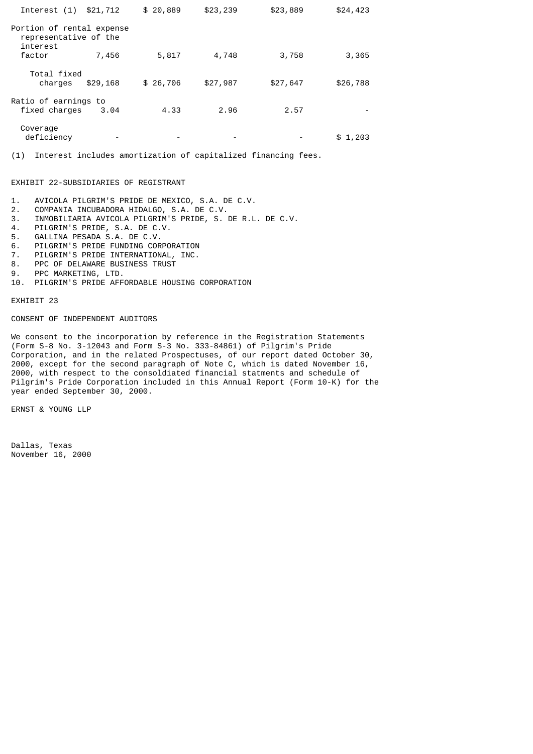| Interest (1) \$21,712                                          |          | \$20,889 | \$23,239 | \$23,889 | \$24,423 |
|----------------------------------------------------------------|----------|----------|----------|----------|----------|
| Portion of rental expense<br>representative of the<br>interest |          |          |          |          |          |
| factor                                                         | 7,456    | 5,817    | 4,748    | 3,758    | 3,365    |
| Total fixed<br>charges                                         | \$29,168 | \$26,706 | \$27,987 | \$27,647 | \$26,788 |
| Ratio of earnings to<br>fixed charges                          | 3.04     | 4.33     | 2.96     | 2.57     |          |
| Coverage<br>deficiency                                         |          |          |          |          | \$1,203  |

(1) Interest includes amortization of capitalized financing fees.

# EXHIBIT 22-SUBSIDIARIES OF REGISTRANT

- 1. AVICOLA PILGRIM'S PRIDE DE MEXICO, S.A. DE C.V.<br>2. COMPANIA INCUBADORA HIDALGO, S.A. DE C.V.
- 2. COMPANIA INCUBADORA HIDALGO, S.A. DE C.V.
- 3. INMOBILIARIA AVICOLA PILGRIM'S PRIDE, S. DE R.L. DE C.V.
- 4. PILGRIM'S PRIDE, S.A. DE C.V.
- 5. GALLINA PESADA S.A. DE C.V.
- 6. PILGRIM'S PRIDE FUNDING CORPORATION
- 7. PILGRIM'S PRIDE INTERNATIONAL, INC.
- 8. PPC OF DELAWARE BUSINESS TRUST
- 9. PPC MARKETING, LTD.<br>10. PILGRIM'S PRIDE AFF
- PILGRIM'S PRIDE AFFORDABLE HOUSING CORPORATION

EXHIBIT 23

### CONSENT OF INDEPENDENT AUDITORS

We consent to the incorporation by reference in the Registration Statements (Form S-8 No. 3-12043 and Form S-3 No. 333-84861) of Pilgrim's Pride Corporation, and in the related Prospectuses, of our report dated October 30, 2000, except for the second paragraph of Note C, which is dated November 16, 2000, with respect to the consoldiated financial statments and schedule of Pilgrim's Pride Corporation included in this Annual Report (Form 10-K) for the year ended September 30, 2000.

ERNST & YOUNG LLP

Dallas, Texas November 16, 2000